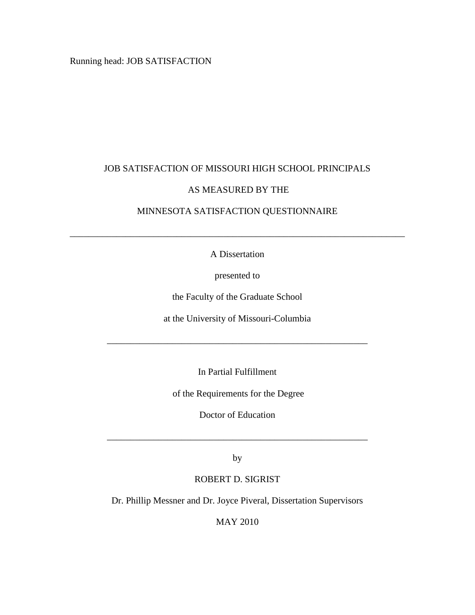Running head: JOB SATISFACTION

## JOB SATISFACTION OF MISSOURI HIGH SCHOOL PRINCIPALS

## AS MEASURED BY THE

# MINNESOTA SATISFACTION QUESTIONNAIRE

A Dissertation

\_\_\_\_\_\_\_\_\_\_\_\_\_\_\_\_\_\_\_\_\_\_\_\_\_\_\_\_\_\_\_\_\_\_\_\_\_\_\_\_\_\_\_\_\_\_\_\_\_\_\_\_\_\_\_\_\_\_\_\_\_\_\_\_\_\_\_\_\_\_\_\_

presented to

the Faculty of the Graduate School

at the University of Missouri-Columbia

\_\_\_\_\_\_\_\_\_\_\_\_\_\_\_\_\_\_\_\_\_\_\_\_\_\_\_\_\_\_\_\_\_\_\_\_\_\_\_\_\_\_\_\_\_\_\_\_\_\_\_\_\_\_\_\_

In Partial Fulfillment

of the Requirements for the Degree

Doctor of Education

by

\_\_\_\_\_\_\_\_\_\_\_\_\_\_\_\_\_\_\_\_\_\_\_\_\_\_\_\_\_\_\_\_\_\_\_\_\_\_\_\_\_\_\_\_\_\_\_\_\_\_\_\_\_\_\_\_

## ROBERT D. SIGRIST

Dr. Phillip Messner and Dr. Joyce Piveral, Dissertation Supervisors

MAY 2010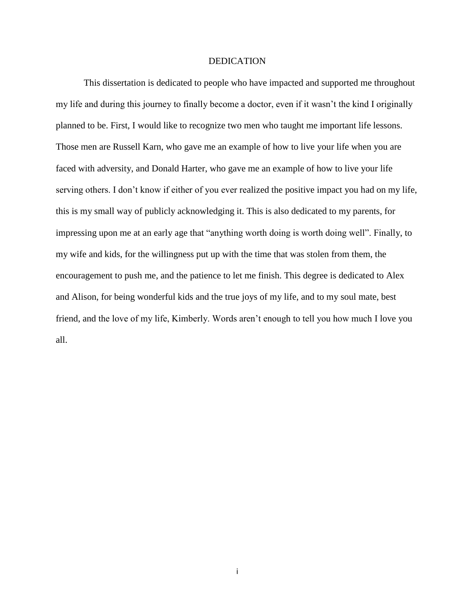#### DEDICATION

This dissertation is dedicated to people who have impacted and supported me throughout my life and during this journey to finally become a doctor, even if it wasn't the kind I originally planned to be. First, I would like to recognize two men who taught me important life lessons. Those men are Russell Karn, who gave me an example of how to live your life when you are faced with adversity, and Donald Harter, who gave me an example of how to live your life serving others. I don't know if either of you ever realized the positive impact you had on my life, this is my small way of publicly acknowledging it. This is also dedicated to my parents, for impressing upon me at an early age that "anything worth doing is worth doing well". Finally, to my wife and kids, for the willingness put up with the time that was stolen from them, the encouragement to push me, and the patience to let me finish. This degree is dedicated to Alex and Alison, for being wonderful kids and the true joys of my life, and to my soul mate, best friend, and the love of my life, Kimberly. Words aren't enough to tell you how much I love you all.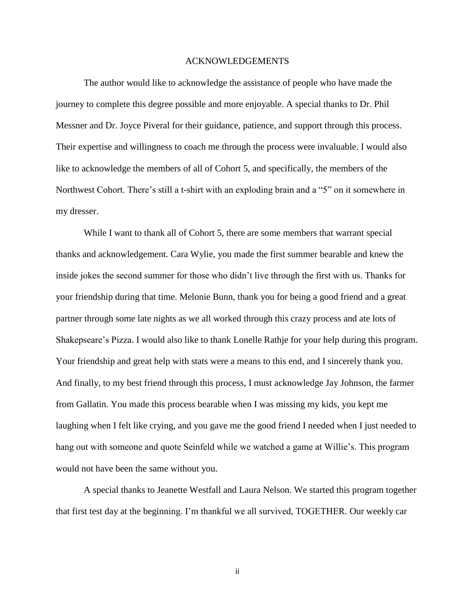#### ACKNOWLEDGEMENTS

The author would like to acknowledge the assistance of people who have made the journey to complete this degree possible and more enjoyable. A special thanks to Dr. Phil Messner and Dr. Joyce Piveral for their guidance, patience, and support through this process. Their expertise and willingness to coach me through the process were invaluable. I would also like to acknowledge the members of all of Cohort 5, and specifically, the members of the Northwest Cohort. There's still a t-shirt with an exploding brain and a "5" on it somewhere in my dresser.

While I want to thank all of Cohort 5, there are some members that warrant special thanks and acknowledgement. Cara Wylie, you made the first summer bearable and knew the inside jokes the second summer for those who didn't live through the first with us. Thanks for your friendship during that time. Melonie Bunn, thank you for being a good friend and a great partner through some late nights as we all worked through this crazy process and ate lots of Shakepseare's Pizza. I would also like to thank Lonelle Rathje for your help during this program. Your friendship and great help with stats were a means to this end, and I sincerely thank you. And finally, to my best friend through this process, I must acknowledge Jay Johnson, the farmer from Gallatin. You made this process bearable when I was missing my kids, you kept me laughing when I felt like crying, and you gave me the good friend I needed when I just needed to hang out with someone and quote Seinfeld while we watched a game at Willie's. This program would not have been the same without you.

A special thanks to Jeanette Westfall and Laura Nelson. We started this program together that first test day at the beginning. I'm thankful we all survived, TOGETHER. Our weekly car

ii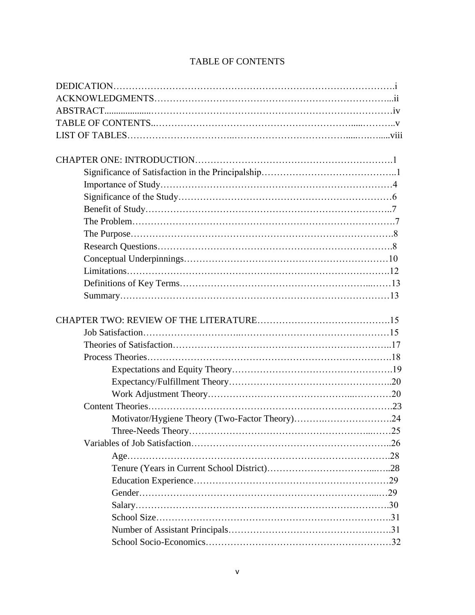# TABLE OF CONTENTS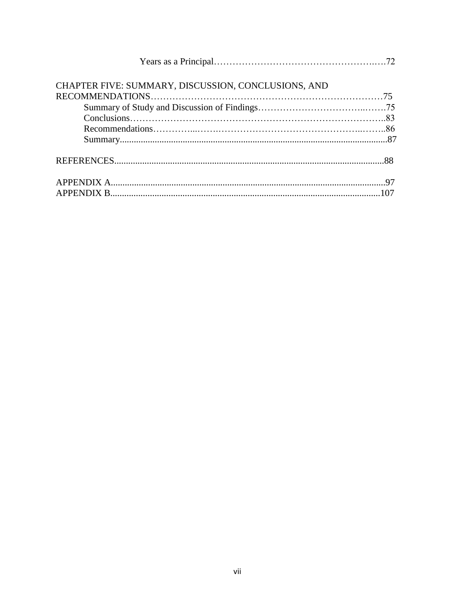| CHAPTER FIVE: SUMMARY, DISCUSSION, CONCLUSIONS, AND |  |
|-----------------------------------------------------|--|
|                                                     |  |
|                                                     |  |
|                                                     |  |
|                                                     |  |
|                                                     |  |
|                                                     |  |
|                                                     |  |
|                                                     |  |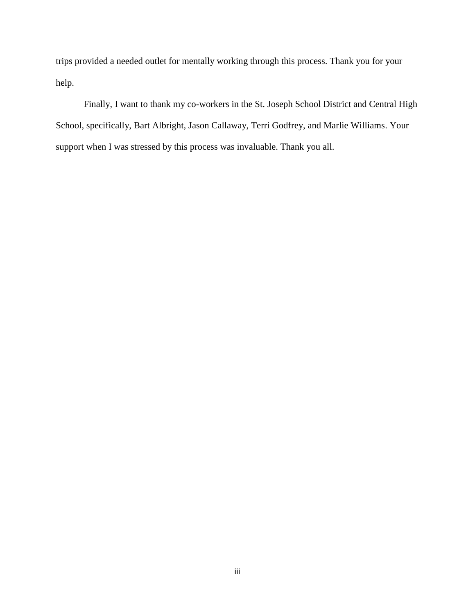trips provided a needed outlet for mentally working through this process. Thank you for your help.

Finally, I want to thank my co-workers in the St. Joseph School District and Central High School, specifically, Bart Albright, Jason Callaway, Terri Godfrey, and Marlie Williams. Your support when I was stressed by this process was invaluable. Thank you all.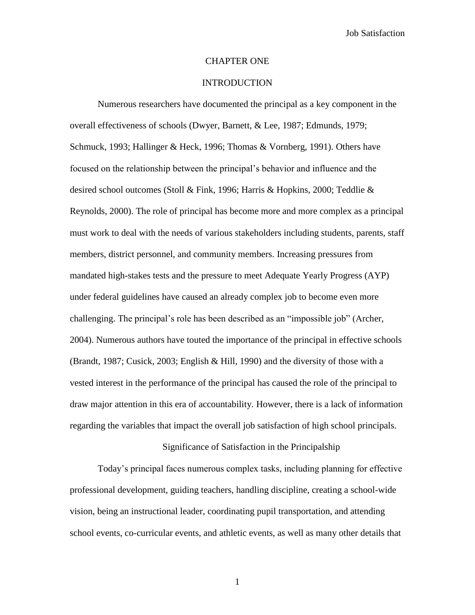## CHAPTER ONE

## **INTRODUCTION**

Numerous researchers have documented the principal as a key component in the overall effectiveness of schools (Dwyer, Barnett, & Lee, 1987; Edmunds, 1979; Schmuck, 1993; Hallinger & Heck, 1996; Thomas & Vornberg, 1991). Others have focused on the relationship between the principal"s behavior and influence and the desired school outcomes (Stoll & Fink, 1996; Harris & Hopkins, 2000; Teddlie & Reynolds, 2000). The role of principal has become more and more complex as a principal must work to deal with the needs of various stakeholders including students, parents, staff members, district personnel, and community members. Increasing pressures from mandated high-stakes tests and the pressure to meet Adequate Yearly Progress (AYP) under federal guidelines have caused an already complex job to become even more challenging. The principal"s role has been described as an "impossible job" (Archer, 2004). Numerous authors have touted the importance of the principal in effective schools (Brandt, 1987; Cusick, 2003; English & Hill, 1990) and the diversity of those with a vested interest in the performance of the principal has caused the role of the principal to draw major attention in this era of accountability. However, there is a lack of information regarding the variables that impact the overall job satisfaction of high school principals.

Significance of Satisfaction in the Principalship

Today"s principal faces numerous complex tasks, including planning for effective professional development, guiding teachers, handling discipline, creating a school-wide vision, being an instructional leader, coordinating pupil transportation, and attending school events, co-curricular events, and athletic events, as well as many other details that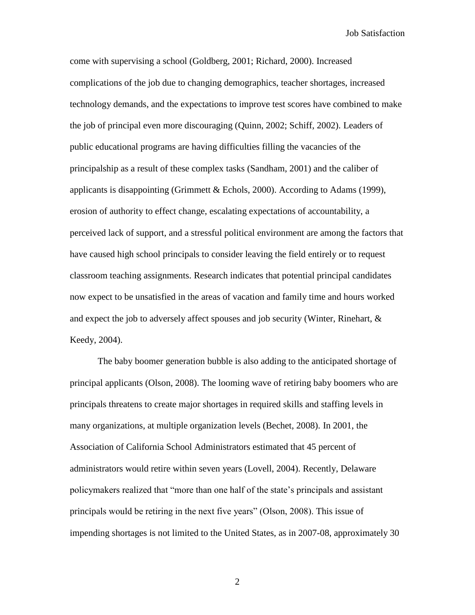come with supervising a school (Goldberg, 2001; Richard, 2000). Increased complications of the job due to changing demographics, teacher shortages, increased technology demands, and the expectations to improve test scores have combined to make the job of principal even more discouraging (Quinn, 2002; Schiff, 2002). Leaders of public educational programs are having difficulties filling the vacancies of the principalship as a result of these complex tasks (Sandham, 2001) and the caliber of applicants is disappointing (Grimmett & Echols, 2000). According to Adams (1999), erosion of authority to effect change, escalating expectations of accountability, a perceived lack of support, and a stressful political environment are among the factors that have caused high school principals to consider leaving the field entirely or to request classroom teaching assignments. Research indicates that potential principal candidates now expect to be unsatisfied in the areas of vacation and family time and hours worked and expect the job to adversely affect spouses and job security (Winter, Rinehart, & Keedy, 2004).

The baby boomer generation bubble is also adding to the anticipated shortage of principal applicants (Olson, 2008). The looming wave of retiring baby boomers who are principals threatens to create major shortages in required skills and staffing levels in many organizations, at multiple organization levels (Bechet, 2008). In 2001, the Association of California School Administrators estimated that 45 percent of administrators would retire within seven years (Lovell, 2004). Recently, Delaware policymakers realized that "more than one half of the state"s principals and assistant principals would be retiring in the next five years" (Olson, 2008). This issue of impending shortages is not limited to the United States, as in 2007-08, approximately 30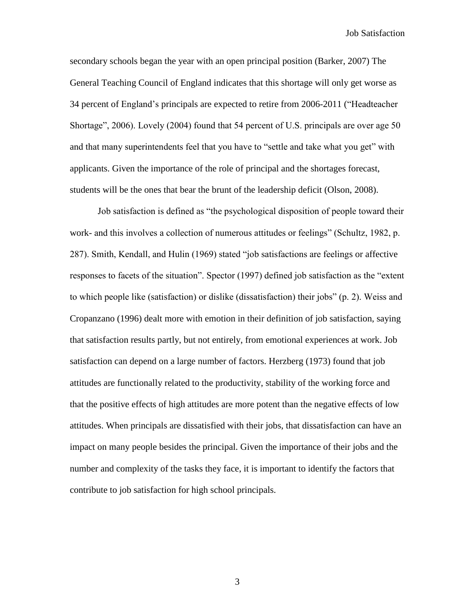secondary schools began the year with an open principal position (Barker, 2007) The General Teaching Council of England indicates that this shortage will only get worse as 34 percent of England"s principals are expected to retire from 2006-2011 ("Headteacher Shortage", 2006). Lovely (2004) found that 54 percent of U.S. principals are over age 50 and that many superintendents feel that you have to "settle and take what you get" with applicants. Given the importance of the role of principal and the shortages forecast, students will be the ones that bear the brunt of the leadership deficit (Olson, 2008).

Job satisfaction is defined as "the psychological disposition of people toward their work- and this involves a collection of numerous attitudes or feelings" (Schultz, 1982, p. 287). Smith, Kendall, and Hulin (1969) stated "job satisfactions are feelings or affective responses to facets of the situation". Spector (1997) defined job satisfaction as the "extent to which people like (satisfaction) or dislike (dissatisfaction) their jobs" (p. 2). Weiss and Cropanzano (1996) dealt more with emotion in their definition of job satisfaction, saying that satisfaction results partly, but not entirely, from emotional experiences at work. Job satisfaction can depend on a large number of factors. Herzberg (1973) found that job attitudes are functionally related to the productivity, stability of the working force and that the positive effects of high attitudes are more potent than the negative effects of low attitudes. When principals are dissatisfied with their jobs, that dissatisfaction can have an impact on many people besides the principal. Given the importance of their jobs and the number and complexity of the tasks they face, it is important to identify the factors that contribute to job satisfaction for high school principals.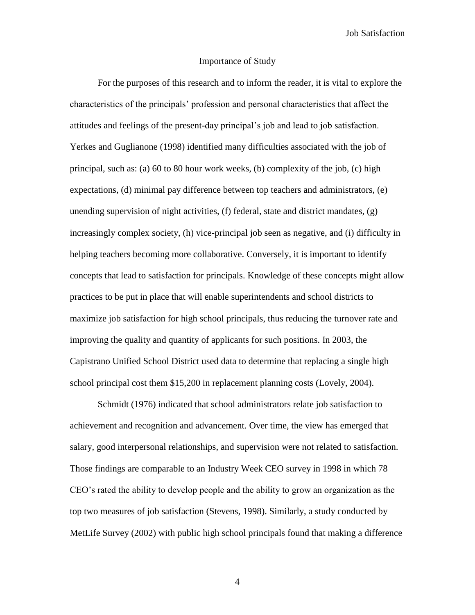## Importance of Study

For the purposes of this research and to inform the reader, it is vital to explore the characteristics of the principals" profession and personal characteristics that affect the attitudes and feelings of the present-day principal"s job and lead to job satisfaction. Yerkes and Guglianone (1998) identified many difficulties associated with the job of principal, such as: (a) 60 to 80 hour work weeks, (b) complexity of the job, (c) high expectations, (d) minimal pay difference between top teachers and administrators, (e) unending supervision of night activities,  $(f)$  federal, state and district mandates,  $(g)$ increasingly complex society, (h) vice-principal job seen as negative, and (i) difficulty in helping teachers becoming more collaborative. Conversely, it is important to identify concepts that lead to satisfaction for principals. Knowledge of these concepts might allow practices to be put in place that will enable superintendents and school districts to maximize job satisfaction for high school principals, thus reducing the turnover rate and improving the quality and quantity of applicants for such positions. In 2003, the Capistrano Unified School District used data to determine that replacing a single high school principal cost them \$15,200 in replacement planning costs (Lovely, 2004).

Schmidt (1976) indicated that school administrators relate job satisfaction to achievement and recognition and advancement. Over time, the view has emerged that salary, good interpersonal relationships, and supervision were not related to satisfaction. Those findings are comparable to an Industry Week CEO survey in 1998 in which 78 CEO"s rated the ability to develop people and the ability to grow an organization as the top two measures of job satisfaction (Stevens, 1998). Similarly, a study conducted by MetLife Survey (2002) with public high school principals found that making a difference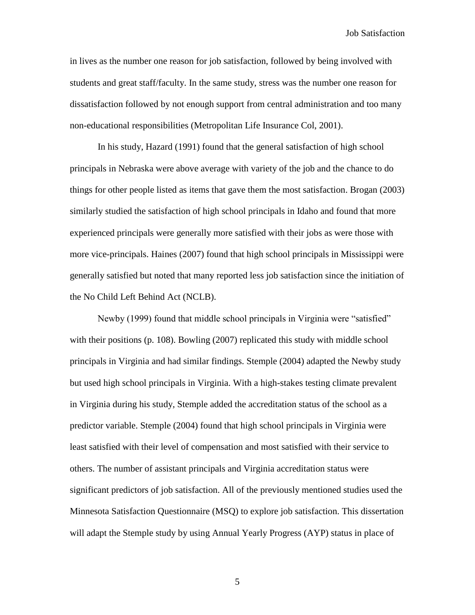in lives as the number one reason for job satisfaction, followed by being involved with students and great staff/faculty. In the same study, stress was the number one reason for dissatisfaction followed by not enough support from central administration and too many non-educational responsibilities (Metropolitan Life Insurance Col, 2001).

In his study, Hazard (1991) found that the general satisfaction of high school principals in Nebraska were above average with variety of the job and the chance to do things for other people listed as items that gave them the most satisfaction. Brogan (2003) similarly studied the satisfaction of high school principals in Idaho and found that more experienced principals were generally more satisfied with their jobs as were those with more vice-principals. Haines (2007) found that high school principals in Mississippi were generally satisfied but noted that many reported less job satisfaction since the initiation of the No Child Left Behind Act (NCLB).

Newby (1999) found that middle school principals in Virginia were "satisfied" with their positions (p. 108). Bowling (2007) replicated this study with middle school principals in Virginia and had similar findings. Stemple (2004) adapted the Newby study but used high school principals in Virginia. With a high-stakes testing climate prevalent in Virginia during his study, Stemple added the accreditation status of the school as a predictor variable. Stemple (2004) found that high school principals in Virginia were least satisfied with their level of compensation and most satisfied with their service to others. The number of assistant principals and Virginia accreditation status were significant predictors of job satisfaction. All of the previously mentioned studies used the Minnesota Satisfaction Questionnaire (MSQ) to explore job satisfaction. This dissertation will adapt the Stemple study by using Annual Yearly Progress (AYP) status in place of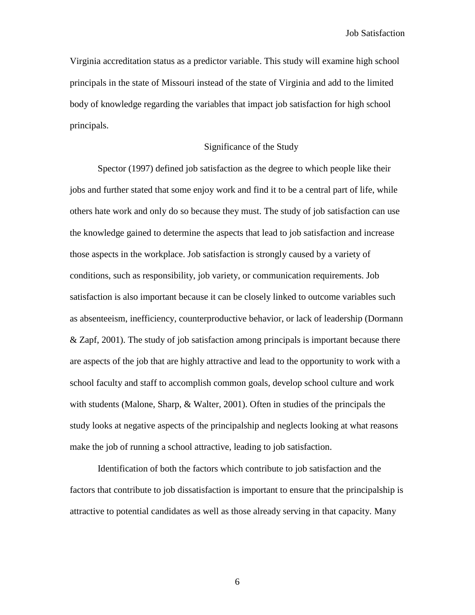Virginia accreditation status as a predictor variable. This study will examine high school principals in the state of Missouri instead of the state of Virginia and add to the limited body of knowledge regarding the variables that impact job satisfaction for high school principals.

## Significance of the Study

Spector (1997) defined job satisfaction as the degree to which people like their jobs and further stated that some enjoy work and find it to be a central part of life, while others hate work and only do so because they must. The study of job satisfaction can use the knowledge gained to determine the aspects that lead to job satisfaction and increase those aspects in the workplace. Job satisfaction is strongly caused by a variety of conditions, such as responsibility, job variety, or communication requirements. Job satisfaction is also important because it can be closely linked to outcome variables such as absenteeism, inefficiency, counterproductive behavior, or lack of leadership (Dormann & Zapf, 2001). The study of job satisfaction among principals is important because there are aspects of the job that are highly attractive and lead to the opportunity to work with a school faculty and staff to accomplish common goals, develop school culture and work with students (Malone, Sharp, & Walter, 2001). Often in studies of the principals the study looks at negative aspects of the principalship and neglects looking at what reasons make the job of running a school attractive, leading to job satisfaction.

Identification of both the factors which contribute to job satisfaction and the factors that contribute to job dissatisfaction is important to ensure that the principalship is attractive to potential candidates as well as those already serving in that capacity. Many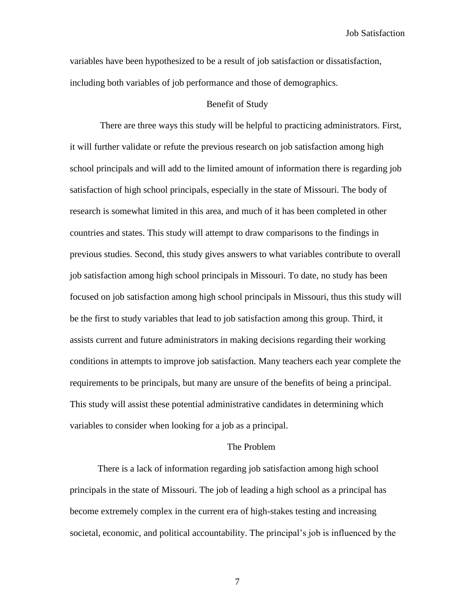variables have been hypothesized to be a result of job satisfaction or dissatisfaction, including both variables of job performance and those of demographics.

### Benefit of Study

There are three ways this study will be helpful to practicing administrators. First, it will further validate or refute the previous research on job satisfaction among high school principals and will add to the limited amount of information there is regarding job satisfaction of high school principals, especially in the state of Missouri. The body of research is somewhat limited in this area, and much of it has been completed in other countries and states. This study will attempt to draw comparisons to the findings in previous studies. Second, this study gives answers to what variables contribute to overall job satisfaction among high school principals in Missouri. To date, no study has been focused on job satisfaction among high school principals in Missouri, thus this study will be the first to study variables that lead to job satisfaction among this group. Third, it assists current and future administrators in making decisions regarding their working conditions in attempts to improve job satisfaction. Many teachers each year complete the requirements to be principals, but many are unsure of the benefits of being a principal. This study will assist these potential administrative candidates in determining which variables to consider when looking for a job as a principal.

#### The Problem

There is a lack of information regarding job satisfaction among high school principals in the state of Missouri. The job of leading a high school as a principal has become extremely complex in the current era of high-stakes testing and increasing societal, economic, and political accountability. The principal's job is influenced by the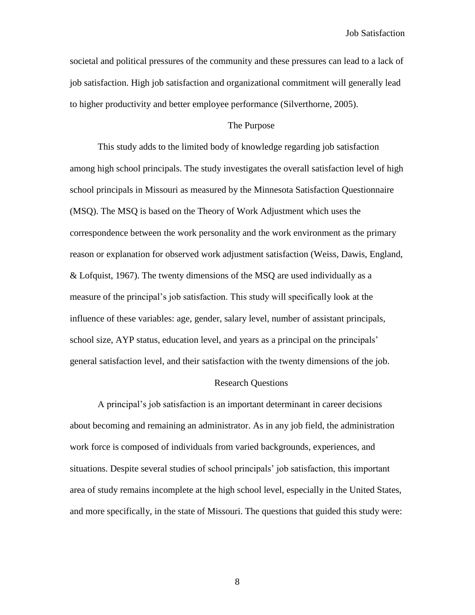societal and political pressures of the community and these pressures can lead to a lack of job satisfaction. High job satisfaction and organizational commitment will generally lead to higher productivity and better employee performance (Silverthorne, 2005).

## The Purpose

This study adds to the limited body of knowledge regarding job satisfaction among high school principals. The study investigates the overall satisfaction level of high school principals in Missouri as measured by the Minnesota Satisfaction Questionnaire (MSQ). The MSQ is based on the Theory of Work Adjustment which uses the correspondence between the work personality and the work environment as the primary reason or explanation for observed work adjustment satisfaction (Weiss, Dawis, England, & Lofquist, 1967). The twenty dimensions of the MSQ are used individually as a measure of the principal"s job satisfaction. This study will specifically look at the influence of these variables: age, gender, salary level, number of assistant principals, school size, AYP status, education level, and years as a principal on the principals" general satisfaction level, and their satisfaction with the twenty dimensions of the job.

#### Research Questions

A principal"s job satisfaction is an important determinant in career decisions about becoming and remaining an administrator. As in any job field, the administration work force is composed of individuals from varied backgrounds, experiences, and situations. Despite several studies of school principals" job satisfaction, this important area of study remains incomplete at the high school level, especially in the United States, and more specifically, in the state of Missouri. The questions that guided this study were: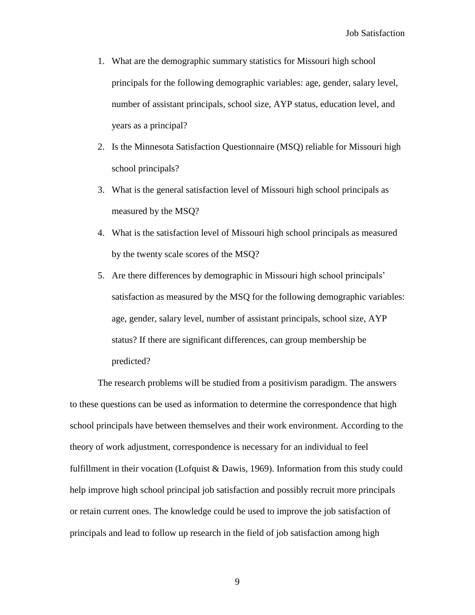- 1. What are the demographic summary statistics for Missouri high school principals for the following demographic variables: age, gender, salary level, number of assistant principals, school size, AYP status, education level, and years as a principal?
- 2. Is the Minnesota Satisfaction Questionnaire (MSQ) reliable for Missouri high school principals?
- 3. What is the general satisfaction level of Missouri high school principals as measured by the MSQ?
- 4. What is the satisfaction level of Missouri high school principals as measured by the twenty scale scores of the MSQ?
- 5. Are there differences by demographic in Missouri high school principals" satisfaction as measured by the MSQ for the following demographic variables: age, gender, salary level, number of assistant principals, school size, AYP status? If there are significant differences, can group membership be predicted?

The research problems will be studied from a positivism paradigm. The answers to these questions can be used as information to determine the correspondence that high school principals have between themselves and their work environment. According to the theory of work adjustment, correspondence is necessary for an individual to feel fulfillment in their vocation (Lofquist & Dawis, 1969). Information from this study could help improve high school principal job satisfaction and possibly recruit more principals or retain current ones. The knowledge could be used to improve the job satisfaction of principals and lead to follow up research in the field of job satisfaction among high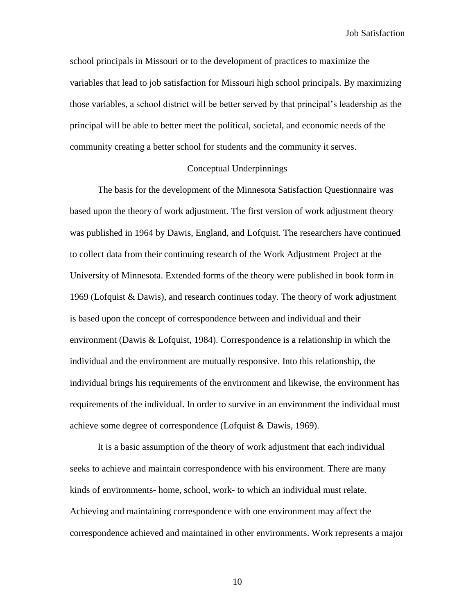school principals in Missouri or to the development of practices to maximize the variables that lead to job satisfaction for Missouri high school principals. By maximizing those variables, a school district will be better served by that principal"s leadership as the principal will be able to better meet the political, societal, and economic needs of the community creating a better school for students and the community it serves.

## Conceptual Underpinnings

The basis for the development of the Minnesota Satisfaction Questionnaire was based upon the theory of work adjustment. The first version of work adjustment theory was published in 1964 by Dawis, England, and Lofquist. The researchers have continued to collect data from their continuing research of the Work Adjustment Project at the University of Minnesota. Extended forms of the theory were published in book form in 1969 (Lofquist & Dawis), and research continues today. The theory of work adjustment is based upon the concept of correspondence between and individual and their environment (Dawis & Lofquist, 1984). Correspondence is a relationship in which the individual and the environment are mutually responsive. Into this relationship, the individual brings his requirements of the environment and likewise, the environment has requirements of the individual. In order to survive in an environment the individual must achieve some degree of correspondence (Lofquist & Dawis, 1969).

It is a basic assumption of the theory of work adjustment that each individual seeks to achieve and maintain correspondence with his environment. There are many kinds of environments- home, school, work- to which an individual must relate. Achieving and maintaining correspondence with one environment may affect the correspondence achieved and maintained in other environments. Work represents a major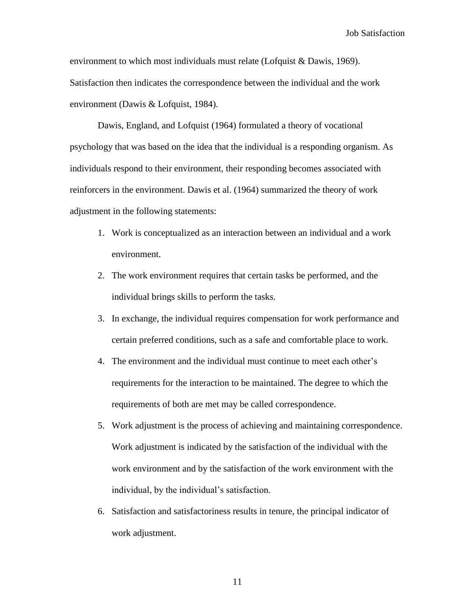environment to which most individuals must relate (Lofquist & Dawis, 1969). Satisfaction then indicates the correspondence between the individual and the work environment (Dawis & Lofquist, 1984).

Dawis, England, and Lofquist (1964) formulated a theory of vocational psychology that was based on the idea that the individual is a responding organism. As individuals respond to their environment, their responding becomes associated with reinforcers in the environment. Dawis et al. (1964) summarized the theory of work adjustment in the following statements:

- 1. Work is conceptualized as an interaction between an individual and a work environment.
- 2. The work environment requires that certain tasks be performed, and the individual brings skills to perform the tasks.
- 3. In exchange, the individual requires compensation for work performance and certain preferred conditions, such as a safe and comfortable place to work.
- 4. The environment and the individual must continue to meet each other"s requirements for the interaction to be maintained. The degree to which the requirements of both are met may be called correspondence.
- 5. Work adjustment is the process of achieving and maintaining correspondence. Work adjustment is indicated by the satisfaction of the individual with the work environment and by the satisfaction of the work environment with the individual, by the individual's satisfaction.
- 6. Satisfaction and satisfactoriness results in tenure, the principal indicator of work adjustment.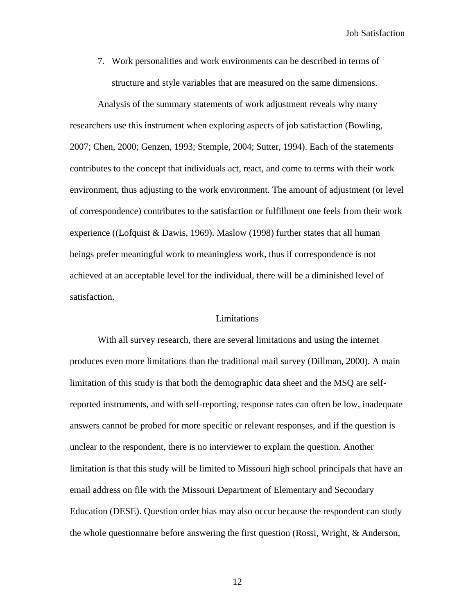7. Work personalities and work environments can be described in terms of structure and style variables that are measured on the same dimensions.

Analysis of the summary statements of work adjustment reveals why many researchers use this instrument when exploring aspects of job satisfaction (Bowling, 2007; Chen, 2000; Genzen, 1993; Stemple, 2004; Sutter, 1994). Each of the statements contributes to the concept that individuals act, react, and come to terms with their work environment, thus adjusting to the work environment. The amount of adjustment (or level of correspondence) contributes to the satisfaction or fulfillment one feels from their work experience ((Lofquist & Dawis, 1969). Maslow (1998) further states that all human beings prefer meaningful work to meaningless work, thus if correspondence is not achieved at an acceptable level for the individual, there will be a diminished level of satisfaction.

### Limitations

With all survey research, there are several limitations and using the internet produces even more limitations than the traditional mail survey (Dillman, 2000). A main limitation of this study is that both the demographic data sheet and the MSQ are selfreported instruments, and with self-reporting, response rates can often be low, inadequate answers cannot be probed for more specific or relevant responses, and if the question is unclear to the respondent, there is no interviewer to explain the question. Another limitation is that this study will be limited to Missouri high school principals that have an email address on file with the Missouri Department of Elementary and Secondary Education (DESE). Question order bias may also occur because the respondent can study the whole questionnaire before answering the first question (Rossi, Wright, & Anderson,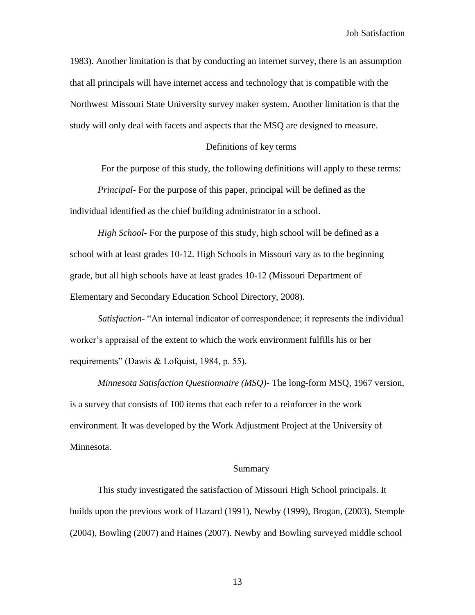1983). Another limitation is that by conducting an internet survey, there is an assumption that all principals will have internet access and technology that is compatible with the Northwest Missouri State University survey maker system. Another limitation is that the study will only deal with facets and aspects that the MSQ are designed to measure.

#### Definitions of key terms

For the purpose of this study, the following definitions will apply to these terms:

*Principal*- For the purpose of this paper, principal will be defined as the individual identified as the chief building administrator in a school.

*High School*- For the purpose of this study, high school will be defined as a school with at least grades 10-12. High Schools in Missouri vary as to the beginning grade, but all high schools have at least grades 10-12 (Missouri Department of Elementary and Secondary Education School Directory, 2008).

*Satisfaction*- "An internal indicator of correspondence; it represents the individual worker"s appraisal of the extent to which the work environment fulfills his or her requirements" (Dawis & Lofquist, 1984, p. 55).

*Minnesota Satisfaction Questionnaire (MSQ)-* The long-form MSQ, 1967 version, is a survey that consists of 100 items that each refer to a reinforcer in the work environment. It was developed by the Work Adjustment Project at the University of Minnesota.

#### Summary

This study investigated the satisfaction of Missouri High School principals. It builds upon the previous work of Hazard (1991), Newby (1999), Brogan, (2003), Stemple (2004), Bowling (2007) and Haines (2007). Newby and Bowling surveyed middle school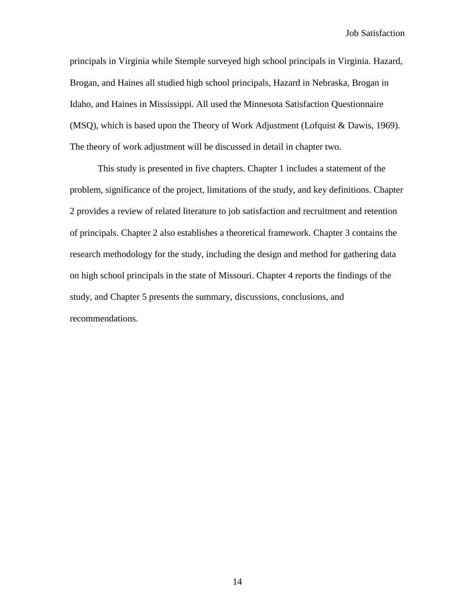principals in Virginia while Stemple surveyed high school principals in Virginia. Hazard, Brogan, and Haines all studied high school principals, Hazard in Nebraska, Brogan in Idaho, and Haines in Mississippi. All used the Minnesota Satisfaction Questionnaire (MSQ), which is based upon the Theory of Work Adjustment (Lofquist & Dawis, 1969). The theory of work adjustment will be discussed in detail in chapter two.

This study is presented in five chapters. Chapter 1 includes a statement of the problem, significance of the project, limitations of the study, and key definitions. Chapter 2 provides a review of related literature to job satisfaction and recruitment and retention of principals. Chapter 2 also establishes a theoretical framework. Chapter 3 contains the research methodology for the study, including the design and method for gathering data on high school principals in the state of Missouri. Chapter 4 reports the findings of the study, and Chapter 5 presents the summary, discussions, conclusions, and recommendations.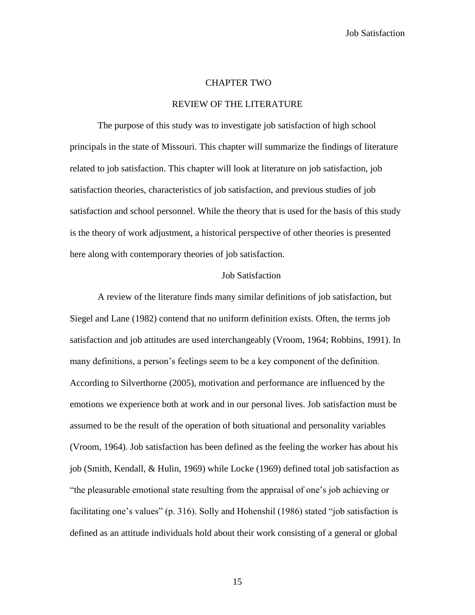#### CHAPTER TWO

#### REVIEW OF THE LITERATURE

The purpose of this study was to investigate job satisfaction of high school principals in the state of Missouri. This chapter will summarize the findings of literature related to job satisfaction. This chapter will look at literature on job satisfaction, job satisfaction theories, characteristics of job satisfaction, and previous studies of job satisfaction and school personnel. While the theory that is used for the basis of this study is the theory of work adjustment, a historical perspective of other theories is presented here along with contemporary theories of job satisfaction.

### Job Satisfaction

A review of the literature finds many similar definitions of job satisfaction, but Siegel and Lane (1982) contend that no uniform definition exists. Often, the terms job satisfaction and job attitudes are used interchangeably (Vroom, 1964; Robbins, 1991). In many definitions, a person"s feelings seem to be a key component of the definition. According to Silverthorne (2005), motivation and performance are influenced by the emotions we experience both at work and in our personal lives. Job satisfaction must be assumed to be the result of the operation of both situational and personality variables (Vroom, 1964). Job satisfaction has been defined as the feeling the worker has about his job (Smith, Kendall, & Hulin, 1969) while Locke (1969) defined total job satisfaction as "the pleasurable emotional state resulting from the appraisal of one"s job achieving or facilitating one's values" (p. 316). Solly and Hohenshil (1986) stated "job satisfaction is defined as an attitude individuals hold about their work consisting of a general or global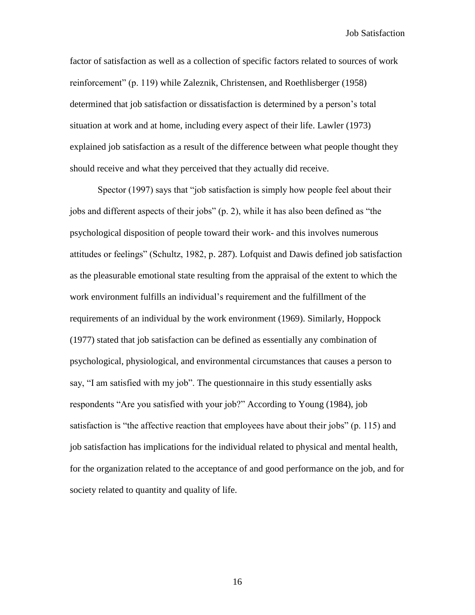factor of satisfaction as well as a collection of specific factors related to sources of work reinforcement" (p. 119) while Zaleznik, Christensen, and Roethlisberger (1958) determined that job satisfaction or dissatisfaction is determined by a person"s total situation at work and at home, including every aspect of their life. Lawler (1973) explained job satisfaction as a result of the difference between what people thought they should receive and what they perceived that they actually did receive.

Spector (1997) says that "job satisfaction is simply how people feel about their jobs and different aspects of their jobs" (p. 2), while it has also been defined as "the psychological disposition of people toward their work- and this involves numerous attitudes or feelings" (Schultz, 1982, p. 287). Lofquist and Dawis defined job satisfaction as the pleasurable emotional state resulting from the appraisal of the extent to which the work environment fulfills an individual"s requirement and the fulfillment of the requirements of an individual by the work environment (1969). Similarly, Hoppock (1977) stated that job satisfaction can be defined as essentially any combination of psychological, physiological, and environmental circumstances that causes a person to say, "I am satisfied with my job". The questionnaire in this study essentially asks respondents "Are you satisfied with your job?" According to Young (1984), job satisfaction is "the affective reaction that employees have about their jobs" (p. 115) and job satisfaction has implications for the individual related to physical and mental health, for the organization related to the acceptance of and good performance on the job, and for society related to quantity and quality of life.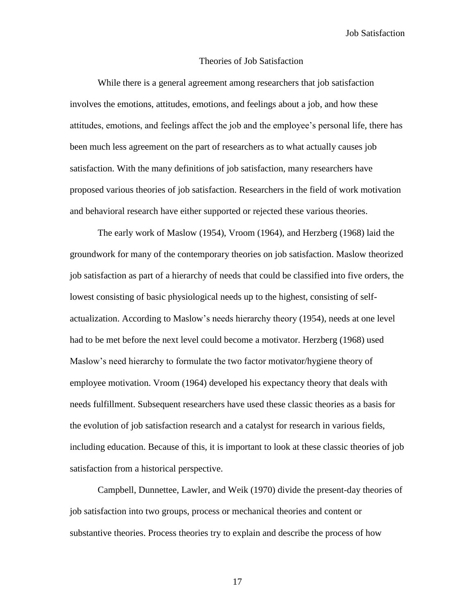#### Theories of Job Satisfaction

While there is a general agreement among researchers that job satisfaction involves the emotions, attitudes, emotions, and feelings about a job, and how these attitudes, emotions, and feelings affect the job and the employee"s personal life, there has been much less agreement on the part of researchers as to what actually causes job satisfaction. With the many definitions of job satisfaction, many researchers have proposed various theories of job satisfaction. Researchers in the field of work motivation and behavioral research have either supported or rejected these various theories.

The early work of Maslow (1954), Vroom (1964), and Herzberg (1968) laid the groundwork for many of the contemporary theories on job satisfaction. Maslow theorized job satisfaction as part of a hierarchy of needs that could be classified into five orders, the lowest consisting of basic physiological needs up to the highest, consisting of selfactualization. According to Maslow"s needs hierarchy theory (1954), needs at one level had to be met before the next level could become a motivator. Herzberg (1968) used Maslow"s need hierarchy to formulate the two factor motivator/hygiene theory of employee motivation. Vroom (1964) developed his expectancy theory that deals with needs fulfillment. Subsequent researchers have used these classic theories as a basis for the evolution of job satisfaction research and a catalyst for research in various fields, including education. Because of this, it is important to look at these classic theories of job satisfaction from a historical perspective.

Campbell, Dunnettee, Lawler, and Weik (1970) divide the present-day theories of job satisfaction into two groups, process or mechanical theories and content or substantive theories. Process theories try to explain and describe the process of how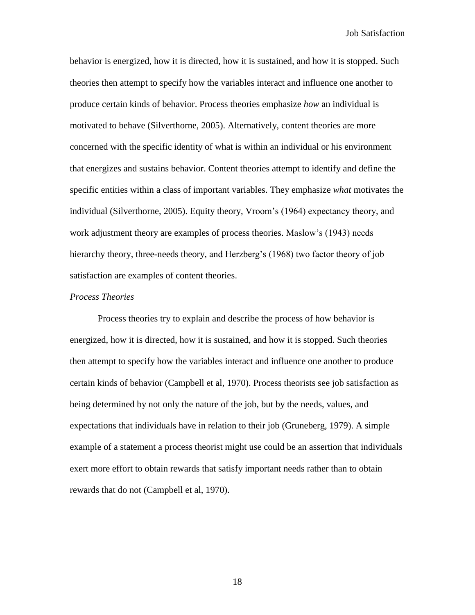behavior is energized, how it is directed, how it is sustained, and how it is stopped. Such theories then attempt to specify how the variables interact and influence one another to produce certain kinds of behavior. Process theories emphasize *how* an individual is motivated to behave (Silverthorne, 2005). Alternatively, content theories are more concerned with the specific identity of what is within an individual or his environment that energizes and sustains behavior. Content theories attempt to identify and define the specific entities within a class of important variables. They emphasize *what* motivates the individual (Silverthorne, 2005). Equity theory, Vroom"s (1964) expectancy theory, and work adjustment theory are examples of process theories. Maslow"s (1943) needs hierarchy theory, three-needs theory, and Herzberg's (1968) two factor theory of job satisfaction are examples of content theories.

## *Process Theories*

Process theories try to explain and describe the process of how behavior is energized, how it is directed, how it is sustained, and how it is stopped. Such theories then attempt to specify how the variables interact and influence one another to produce certain kinds of behavior (Campbell et al, 1970). Process theorists see job satisfaction as being determined by not only the nature of the job, but by the needs, values, and expectations that individuals have in relation to their job (Gruneberg, 1979). A simple example of a statement a process theorist might use could be an assertion that individuals exert more effort to obtain rewards that satisfy important needs rather than to obtain rewards that do not (Campbell et al, 1970).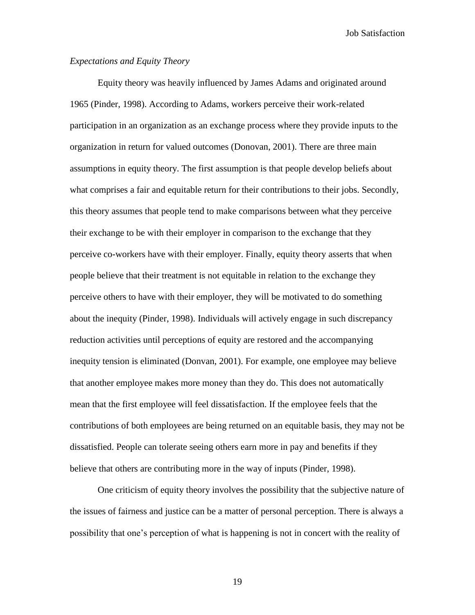## *Expectations and Equity Theory*

Equity theory was heavily influenced by James Adams and originated around 1965 (Pinder, 1998). According to Adams, workers perceive their work-related participation in an organization as an exchange process where they provide inputs to the organization in return for valued outcomes (Donovan, 2001). There are three main assumptions in equity theory. The first assumption is that people develop beliefs about what comprises a fair and equitable return for their contributions to their jobs. Secondly, this theory assumes that people tend to make comparisons between what they perceive their exchange to be with their employer in comparison to the exchange that they perceive co-workers have with their employer. Finally, equity theory asserts that when people believe that their treatment is not equitable in relation to the exchange they perceive others to have with their employer, they will be motivated to do something about the inequity (Pinder, 1998). Individuals will actively engage in such discrepancy reduction activities until perceptions of equity are restored and the accompanying inequity tension is eliminated (Donvan, 2001). For example, one employee may believe that another employee makes more money than they do. This does not automatically mean that the first employee will feel dissatisfaction. If the employee feels that the contributions of both employees are being returned on an equitable basis, they may not be dissatisfied. People can tolerate seeing others earn more in pay and benefits if they believe that others are contributing more in the way of inputs (Pinder, 1998).

One criticism of equity theory involves the possibility that the subjective nature of the issues of fairness and justice can be a matter of personal perception. There is always a possibility that one"s perception of what is happening is not in concert with the reality of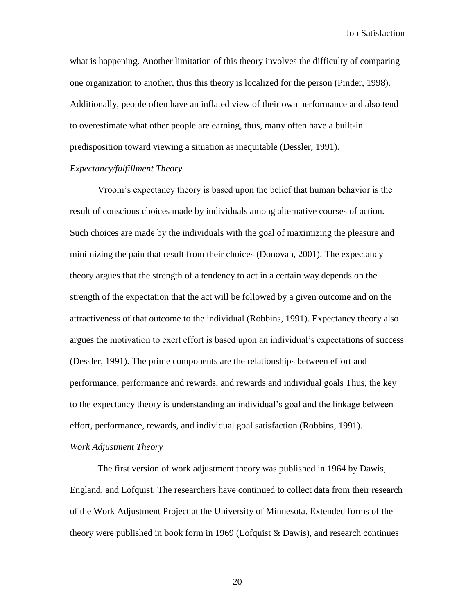what is happening. Another limitation of this theory involves the difficulty of comparing one organization to another, thus this theory is localized for the person (Pinder, 1998). Additionally, people often have an inflated view of their own performance and also tend to overestimate what other people are earning, thus, many often have a built-in predisposition toward viewing a situation as inequitable (Dessler, 1991).

#### *Expectancy/fulfillment Theory*

Vroom"s expectancy theory is based upon the belief that human behavior is the result of conscious choices made by individuals among alternative courses of action. Such choices are made by the individuals with the goal of maximizing the pleasure and minimizing the pain that result from their choices (Donovan, 2001). The expectancy theory argues that the strength of a tendency to act in a certain way depends on the strength of the expectation that the act will be followed by a given outcome and on the attractiveness of that outcome to the individual (Robbins, 1991). Expectancy theory also argues the motivation to exert effort is based upon an individual"s expectations of success (Dessler, 1991). The prime components are the relationships between effort and performance, performance and rewards, and rewards and individual goals Thus, the key to the expectancy theory is understanding an individual"s goal and the linkage between effort, performance, rewards, and individual goal satisfaction (Robbins, 1991).

## *Work Adjustment Theory*

The first version of work adjustment theory was published in 1964 by Dawis, England, and Lofquist. The researchers have continued to collect data from their research of the Work Adjustment Project at the University of Minnesota. Extended forms of the theory were published in book form in 1969 (Lofquist & Dawis), and research continues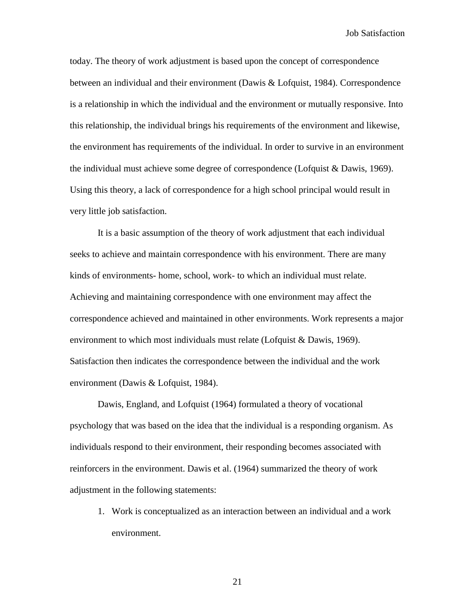today. The theory of work adjustment is based upon the concept of correspondence between an individual and their environment (Dawis & Lofquist, 1984). Correspondence is a relationship in which the individual and the environment or mutually responsive. Into this relationship, the individual brings his requirements of the environment and likewise, the environment has requirements of the individual. In order to survive in an environment the individual must achieve some degree of correspondence (Lofquist & Dawis, 1969). Using this theory, a lack of correspondence for a high school principal would result in very little job satisfaction.

It is a basic assumption of the theory of work adjustment that each individual seeks to achieve and maintain correspondence with his environment. There are many kinds of environments- home, school, work- to which an individual must relate. Achieving and maintaining correspondence with one environment may affect the correspondence achieved and maintained in other environments. Work represents a major environment to which most individuals must relate (Lofquist & Dawis, 1969). Satisfaction then indicates the correspondence between the individual and the work environment (Dawis & Lofquist, 1984).

Dawis, England, and Lofquist (1964) formulated a theory of vocational psychology that was based on the idea that the individual is a responding organism. As individuals respond to their environment, their responding becomes associated with reinforcers in the environment. Dawis et al. (1964) summarized the theory of work adjustment in the following statements:

1. Work is conceptualized as an interaction between an individual and a work environment.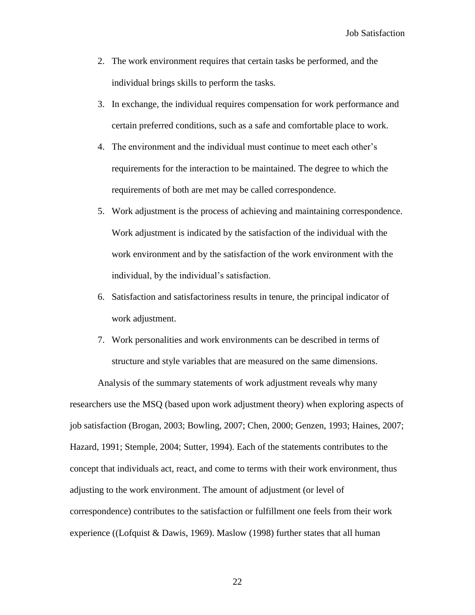- 2. The work environment requires that certain tasks be performed, and the individual brings skills to perform the tasks.
- 3. In exchange, the individual requires compensation for work performance and certain preferred conditions, such as a safe and comfortable place to work.
- 4. The environment and the individual must continue to meet each other"s requirements for the interaction to be maintained. The degree to which the requirements of both are met may be called correspondence.
- 5. Work adjustment is the process of achieving and maintaining correspondence. Work adjustment is indicated by the satisfaction of the individual with the work environment and by the satisfaction of the work environment with the individual, by the individual's satisfaction.
- 6. Satisfaction and satisfactoriness results in tenure, the principal indicator of work adjustment.
- 7. Work personalities and work environments can be described in terms of structure and style variables that are measured on the same dimensions.

Analysis of the summary statements of work adjustment reveals why many researchers use the MSQ (based upon work adjustment theory) when exploring aspects of job satisfaction (Brogan, 2003; Bowling, 2007; Chen, 2000; Genzen, 1993; Haines, 2007; Hazard, 1991; Stemple, 2004; Sutter, 1994). Each of the statements contributes to the concept that individuals act, react, and come to terms with their work environment, thus adjusting to the work environment. The amount of adjustment (or level of correspondence) contributes to the satisfaction or fulfillment one feels from their work experience ((Lofquist & Dawis, 1969). Maslow (1998) further states that all human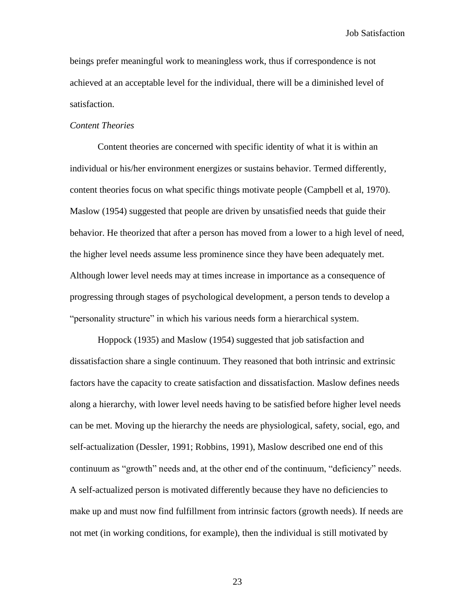beings prefer meaningful work to meaningless work, thus if correspondence is not achieved at an acceptable level for the individual, there will be a diminished level of satisfaction.

#### *Content Theories*

Content theories are concerned with specific identity of what it is within an individual or his/her environment energizes or sustains behavior. Termed differently, content theories focus on what specific things motivate people (Campbell et al, 1970). Maslow (1954) suggested that people are driven by unsatisfied needs that guide their behavior. He theorized that after a person has moved from a lower to a high level of need, the higher level needs assume less prominence since they have been adequately met. Although lower level needs may at times increase in importance as a consequence of progressing through stages of psychological development, a person tends to develop a "personality structure" in which his various needs form a hierarchical system.

Hoppock (1935) and Maslow (1954) suggested that job satisfaction and dissatisfaction share a single continuum. They reasoned that both intrinsic and extrinsic factors have the capacity to create satisfaction and dissatisfaction. Maslow defines needs along a hierarchy, with lower level needs having to be satisfied before higher level needs can be met. Moving up the hierarchy the needs are physiological, safety, social, ego, and self-actualization (Dessler, 1991; Robbins, 1991), Maslow described one end of this continuum as "growth" needs and, at the other end of the continuum, "deficiency" needs. A self-actualized person is motivated differently because they have no deficiencies to make up and must now find fulfillment from intrinsic factors (growth needs). If needs are not met (in working conditions, for example), then the individual is still motivated by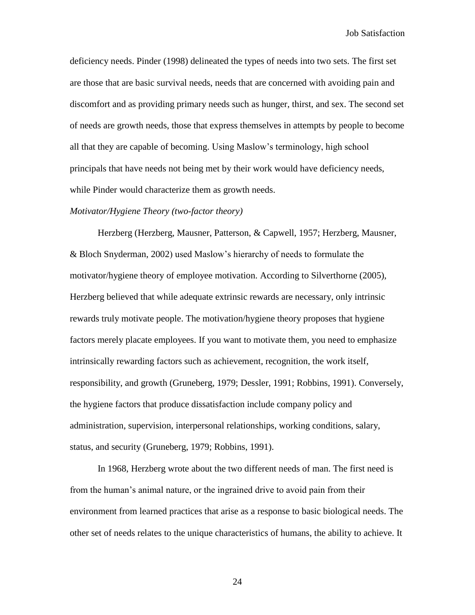deficiency needs. Pinder (1998) delineated the types of needs into two sets. The first set are those that are basic survival needs, needs that are concerned with avoiding pain and discomfort and as providing primary needs such as hunger, thirst, and sex. The second set of needs are growth needs, those that express themselves in attempts by people to become all that they are capable of becoming. Using Maslow"s terminology, high school principals that have needs not being met by their work would have deficiency needs, while Pinder would characterize them as growth needs.

## *Motivator/Hygiene Theory (two-factor theory)*

Herzberg (Herzberg, Mausner, Patterson, & Capwell, 1957; Herzberg, Mausner, & Bloch Snyderman, 2002) used Maslow"s hierarchy of needs to formulate the motivator/hygiene theory of employee motivation. According to Silverthorne (2005), Herzberg believed that while adequate extrinsic rewards are necessary, only intrinsic rewards truly motivate people. The motivation/hygiene theory proposes that hygiene factors merely placate employees. If you want to motivate them, you need to emphasize intrinsically rewarding factors such as achievement, recognition, the work itself, responsibility, and growth (Gruneberg, 1979; Dessler, 1991; Robbins, 1991). Conversely, the hygiene factors that produce dissatisfaction include company policy and administration, supervision, interpersonal relationships, working conditions, salary, status, and security (Gruneberg, 1979; Robbins, 1991).

In 1968, Herzberg wrote about the two different needs of man. The first need is from the human"s animal nature, or the ingrained drive to avoid pain from their environment from learned practices that arise as a response to basic biological needs. The other set of needs relates to the unique characteristics of humans, the ability to achieve. It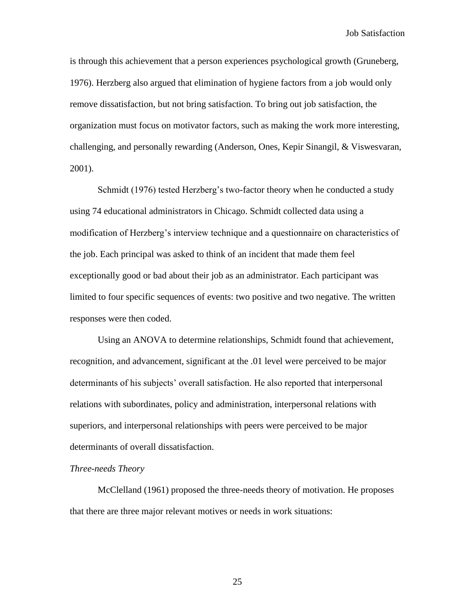is through this achievement that a person experiences psychological growth (Gruneberg, 1976). Herzberg also argued that elimination of hygiene factors from a job would only remove dissatisfaction, but not bring satisfaction. To bring out job satisfaction, the organization must focus on motivator factors, such as making the work more interesting, challenging, and personally rewarding (Anderson, Ones, Kepir Sinangil, & Viswesvaran, 2001).

Schmidt (1976) tested Herzberg's two-factor theory when he conducted a study using 74 educational administrators in Chicago. Schmidt collected data using a modification of Herzberg"s interview technique and a questionnaire on characteristics of the job. Each principal was asked to think of an incident that made them feel exceptionally good or bad about their job as an administrator. Each participant was limited to four specific sequences of events: two positive and two negative. The written responses were then coded.

Using an ANOVA to determine relationships, Schmidt found that achievement, recognition, and advancement, significant at the .01 level were perceived to be major determinants of his subjects' overall satisfaction. He also reported that interpersonal relations with subordinates, policy and administration, interpersonal relations with superiors, and interpersonal relationships with peers were perceived to be major determinants of overall dissatisfaction.

## *Three-needs Theory*

McClelland (1961) proposed the three-needs theory of motivation. He proposes that there are three major relevant motives or needs in work situations: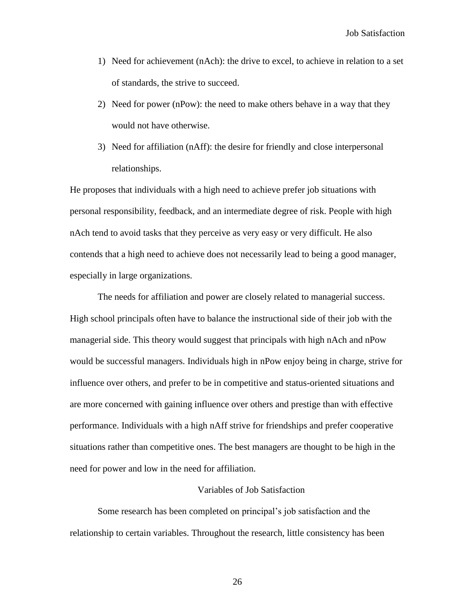- 1) Need for achievement (nAch): the drive to excel, to achieve in relation to a set of standards, the strive to succeed.
- 2) Need for power (nPow): the need to make others behave in a way that they would not have otherwise.
- 3) Need for affiliation (nAff): the desire for friendly and close interpersonal relationships.

He proposes that individuals with a high need to achieve prefer job situations with personal responsibility, feedback, and an intermediate degree of risk. People with high nAch tend to avoid tasks that they perceive as very easy or very difficult. He also contends that a high need to achieve does not necessarily lead to being a good manager, especially in large organizations.

The needs for affiliation and power are closely related to managerial success. High school principals often have to balance the instructional side of their job with the managerial side. This theory would suggest that principals with high nAch and nPow would be successful managers. Individuals high in nPow enjoy being in charge, strive for influence over others, and prefer to be in competitive and status-oriented situations and are more concerned with gaining influence over others and prestige than with effective performance. Individuals with a high nAff strive for friendships and prefer cooperative situations rather than competitive ones. The best managers are thought to be high in the need for power and low in the need for affiliation.

#### Variables of Job Satisfaction

Some research has been completed on principal"s job satisfaction and the relationship to certain variables. Throughout the research, little consistency has been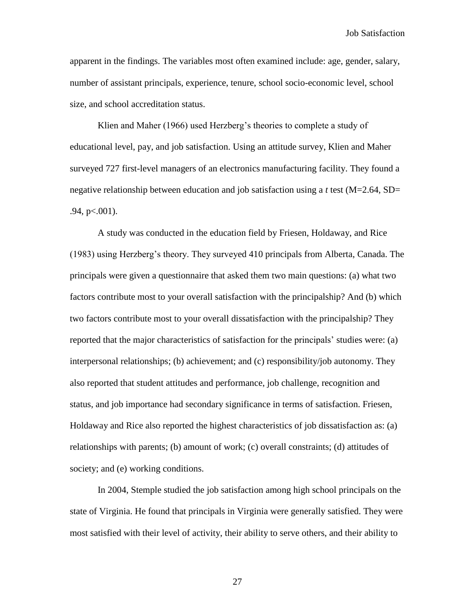apparent in the findings. The variables most often examined include: age, gender, salary, number of assistant principals, experience, tenure, school socio-economic level, school size, and school accreditation status.

Klien and Maher (1966) used Herzberg's theories to complete a study of educational level, pay, and job satisfaction. Using an attitude survey, Klien and Maher surveyed 727 first-level managers of an electronics manufacturing facility. They found a negative relationship between education and job satisfaction using a *t* test (M=2.64, SD=  $.94, p<.001$ ).

A study was conducted in the education field by Friesen, Holdaway, and Rice (1983) using Herzberg"s theory. They surveyed 410 principals from Alberta, Canada. The principals were given a questionnaire that asked them two main questions: (a) what two factors contribute most to your overall satisfaction with the principalship? And (b) which two factors contribute most to your overall dissatisfaction with the principalship? They reported that the major characteristics of satisfaction for the principals" studies were: (a) interpersonal relationships; (b) achievement; and (c) responsibility/job autonomy. They also reported that student attitudes and performance, job challenge, recognition and status, and job importance had secondary significance in terms of satisfaction. Friesen, Holdaway and Rice also reported the highest characteristics of job dissatisfaction as: (a) relationships with parents; (b) amount of work; (c) overall constraints; (d) attitudes of society; and (e) working conditions.

In 2004, Stemple studied the job satisfaction among high school principals on the state of Virginia. He found that principals in Virginia were generally satisfied. They were most satisfied with their level of activity, their ability to serve others, and their ability to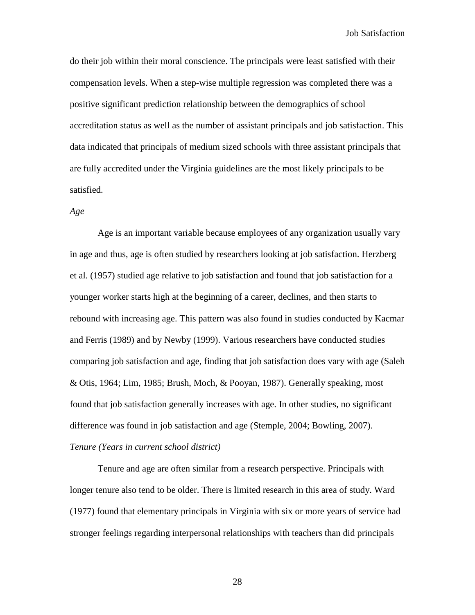do their job within their moral conscience. The principals were least satisfied with their compensation levels. When a step-wise multiple regression was completed there was a positive significant prediction relationship between the demographics of school accreditation status as well as the number of assistant principals and job satisfaction. This data indicated that principals of medium sized schools with three assistant principals that are fully accredited under the Virginia guidelines are the most likely principals to be satisfied.

## *Age*

Age is an important variable because employees of any organization usually vary in age and thus, age is often studied by researchers looking at job satisfaction. Herzberg et al. (1957) studied age relative to job satisfaction and found that job satisfaction for a younger worker starts high at the beginning of a career, declines, and then starts to rebound with increasing age. This pattern was also found in studies conducted by Kacmar and Ferris (1989) and by Newby (1999). Various researchers have conducted studies comparing job satisfaction and age, finding that job satisfaction does vary with age (Saleh & Otis, 1964; Lim, 1985; Brush, Moch, & Pooyan, 1987). Generally speaking, most found that job satisfaction generally increases with age. In other studies, no significant difference was found in job satisfaction and age (Stemple, 2004; Bowling, 2007). *Tenure (Years in current school district)*

Tenure and age are often similar from a research perspective. Principals with longer tenure also tend to be older. There is limited research in this area of study. Ward (1977) found that elementary principals in Virginia with six or more years of service had stronger feelings regarding interpersonal relationships with teachers than did principals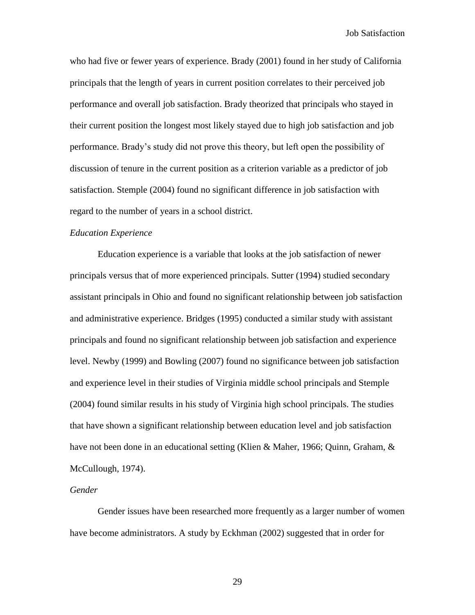who had five or fewer years of experience. Brady (2001) found in her study of California principals that the length of years in current position correlates to their perceived job performance and overall job satisfaction. Brady theorized that principals who stayed in their current position the longest most likely stayed due to high job satisfaction and job performance. Brady"s study did not prove this theory, but left open the possibility of discussion of tenure in the current position as a criterion variable as a predictor of job satisfaction. Stemple (2004) found no significant difference in job satisfaction with regard to the number of years in a school district.

## *Education Experience*

Education experience is a variable that looks at the job satisfaction of newer principals versus that of more experienced principals. Sutter (1994) studied secondary assistant principals in Ohio and found no significant relationship between job satisfaction and administrative experience. Bridges (1995) conducted a similar study with assistant principals and found no significant relationship between job satisfaction and experience level. Newby (1999) and Bowling (2007) found no significance between job satisfaction and experience level in their studies of Virginia middle school principals and Stemple (2004) found similar results in his study of Virginia high school principals. The studies that have shown a significant relationship between education level and job satisfaction have not been done in an educational setting (Klien & Maher, 1966; Quinn, Graham, & McCullough, 1974).

## *Gender*

Gender issues have been researched more frequently as a larger number of women have become administrators. A study by Eckhman (2002) suggested that in order for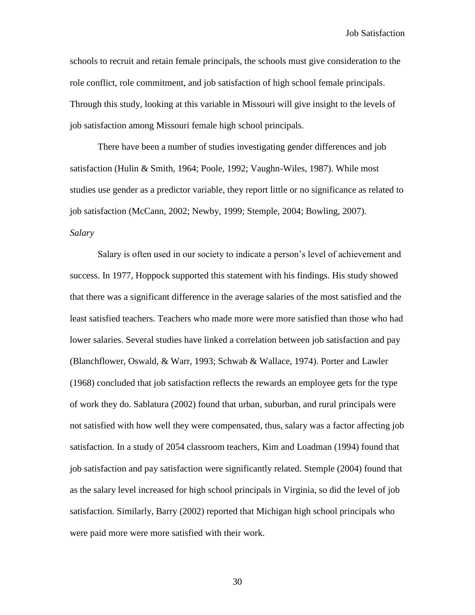schools to recruit and retain female principals, the schools must give consideration to the role conflict, role commitment, and job satisfaction of high school female principals. Through this study, looking at this variable in Missouri will give insight to the levels of job satisfaction among Missouri female high school principals.

There have been a number of studies investigating gender differences and job satisfaction (Hulin & Smith, 1964; Poole, 1992; Vaughn-Wiles, 1987). While most studies use gender as a predictor variable, they report little or no significance as related to job satisfaction (McCann, 2002; Newby, 1999; Stemple, 2004; Bowling, 2007). *Salary*

Salary is often used in our society to indicate a person"s level of achievement and success. In 1977, Hoppock supported this statement with his findings. His study showed that there was a significant difference in the average salaries of the most satisfied and the least satisfied teachers. Teachers who made more were more satisfied than those who had lower salaries. Several studies have linked a correlation between job satisfaction and pay (Blanchflower, Oswald, & Warr, 1993; Schwab & Wallace, 1974). Porter and Lawler (1968) concluded that job satisfaction reflects the rewards an employee gets for the type of work they do. Sablatura (2002) found that urban, suburban, and rural principals were not satisfied with how well they were compensated, thus, salary was a factor affecting job satisfaction. In a study of 2054 classroom teachers, Kim and Loadman (1994) found that job satisfaction and pay satisfaction were significantly related. Stemple (2004) found that as the salary level increased for high school principals in Virginia, so did the level of job satisfaction. Similarly, Barry (2002) reported that Michigan high school principals who were paid more were more satisfied with their work.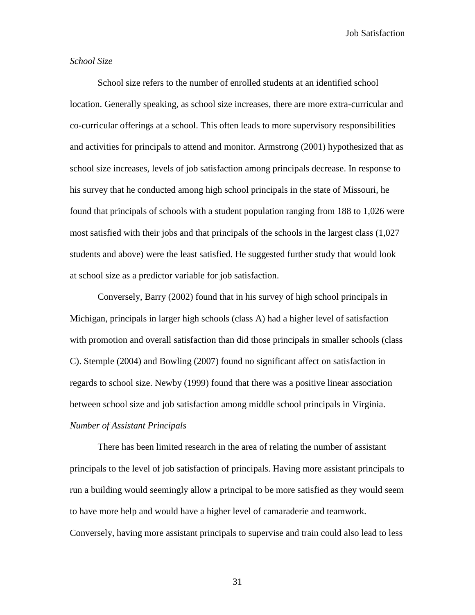# *School Size*

School size refers to the number of enrolled students at an identified school location. Generally speaking, as school size increases, there are more extra-curricular and co-curricular offerings at a school. This often leads to more supervisory responsibilities and activities for principals to attend and monitor. Armstrong (2001) hypothesized that as school size increases, levels of job satisfaction among principals decrease. In response to his survey that he conducted among high school principals in the state of Missouri, he found that principals of schools with a student population ranging from 188 to 1,026 were most satisfied with their jobs and that principals of the schools in the largest class (1,027 students and above) were the least satisfied. He suggested further study that would look at school size as a predictor variable for job satisfaction.

Conversely, Barry (2002) found that in his survey of high school principals in Michigan, principals in larger high schools (class A) had a higher level of satisfaction with promotion and overall satisfaction than did those principals in smaller schools (class C). Stemple (2004) and Bowling (2007) found no significant affect on satisfaction in regards to school size. Newby (1999) found that there was a positive linear association between school size and job satisfaction among middle school principals in Virginia. *Number of Assistant Principals*

There has been limited research in the area of relating the number of assistant principals to the level of job satisfaction of principals. Having more assistant principals to run a building would seemingly allow a principal to be more satisfied as they would seem to have more help and would have a higher level of camaraderie and teamwork. Conversely, having more assistant principals to supervise and train could also lead to less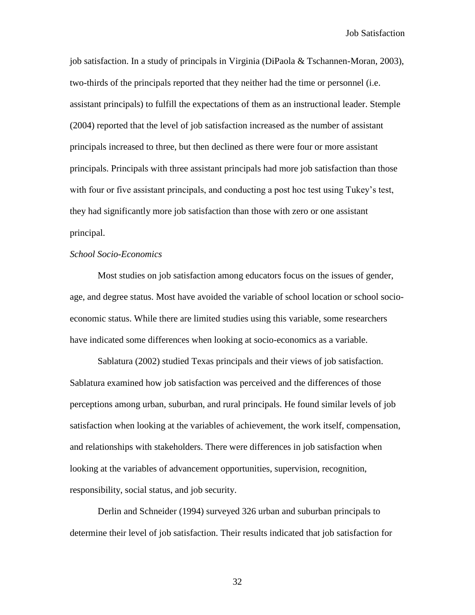job satisfaction. In a study of principals in Virginia (DiPaola & Tschannen-Moran, 2003), two-thirds of the principals reported that they neither had the time or personnel (i.e. assistant principals) to fulfill the expectations of them as an instructional leader. Stemple (2004) reported that the level of job satisfaction increased as the number of assistant principals increased to three, but then declined as there were four or more assistant principals. Principals with three assistant principals had more job satisfaction than those with four or five assistant principals, and conducting a post hoc test using Tukey's test, they had significantly more job satisfaction than those with zero or one assistant principal.

## *School Socio-Economics*

Most studies on job satisfaction among educators focus on the issues of gender, age, and degree status. Most have avoided the variable of school location or school socioeconomic status. While there are limited studies using this variable, some researchers have indicated some differences when looking at socio-economics as a variable.

Sablatura (2002) studied Texas principals and their views of job satisfaction. Sablatura examined how job satisfaction was perceived and the differences of those perceptions among urban, suburban, and rural principals. He found similar levels of job satisfaction when looking at the variables of achievement, the work itself, compensation, and relationships with stakeholders. There were differences in job satisfaction when looking at the variables of advancement opportunities, supervision, recognition, responsibility, social status, and job security.

Derlin and Schneider (1994) surveyed 326 urban and suburban principals to determine their level of job satisfaction. Their results indicated that job satisfaction for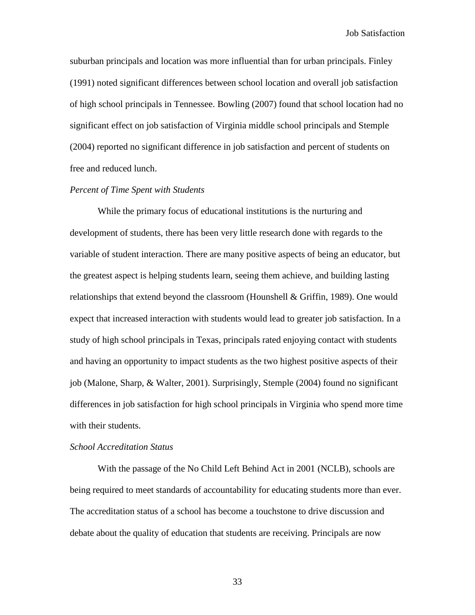suburban principals and location was more influential than for urban principals. Finley (1991) noted significant differences between school location and overall job satisfaction of high school principals in Tennessee. Bowling (2007) found that school location had no significant effect on job satisfaction of Virginia middle school principals and Stemple (2004) reported no significant difference in job satisfaction and percent of students on free and reduced lunch.

## *Percent of Time Spent with Students*

While the primary focus of educational institutions is the nurturing and development of students, there has been very little research done with regards to the variable of student interaction. There are many positive aspects of being an educator, but the greatest aspect is helping students learn, seeing them achieve, and building lasting relationships that extend beyond the classroom (Hounshell & Griffin, 1989). One would expect that increased interaction with students would lead to greater job satisfaction. In a study of high school principals in Texas, principals rated enjoying contact with students and having an opportunity to impact students as the two highest positive aspects of their job (Malone, Sharp, & Walter, 2001). Surprisingly, Stemple (2004) found no significant differences in job satisfaction for high school principals in Virginia who spend more time with their students.

#### *School Accreditation Status*

With the passage of the No Child Left Behind Act in 2001 (NCLB), schools are being required to meet standards of accountability for educating students more than ever. The accreditation status of a school has become a touchstone to drive discussion and debate about the quality of education that students are receiving. Principals are now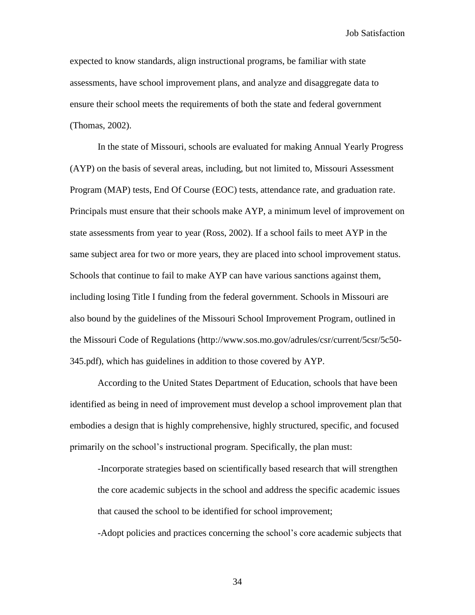expected to know standards, align instructional programs, be familiar with state assessments, have school improvement plans, and analyze and disaggregate data to ensure their school meets the requirements of both the state and federal government (Thomas, 2002).

In the state of Missouri, schools are evaluated for making Annual Yearly Progress (AYP) on the basis of several areas, including, but not limited to, Missouri Assessment Program (MAP) tests, End Of Course (EOC) tests, attendance rate, and graduation rate. Principals must ensure that their schools make AYP, a minimum level of improvement on state assessments from year to year (Ross, 2002). If a school fails to meet AYP in the same subject area for two or more years, they are placed into school improvement status. Schools that continue to fail to make AYP can have various sanctions against them, including losing Title I funding from the federal government. Schools in Missouri are also bound by the guidelines of the Missouri School Improvement Program, outlined in the Missouri Code of Regulations (http://www.sos.mo.gov/adrules/csr/current/5csr/5c50- 345.pdf), which has guidelines in addition to those covered by AYP.

According to the United States Department of Education, schools that have been identified as being in need of improvement must develop a school improvement plan that embodies a design that is highly comprehensive, highly structured, specific, and focused primarily on the school's instructional program. Specifically, the plan must:

-Incorporate strategies based on scientifically based research that will strengthen the core academic subjects in the school and address the specific academic issues that caused the school to be identified for school improvement; -Adopt policies and practices concerning the school"s core academic subjects that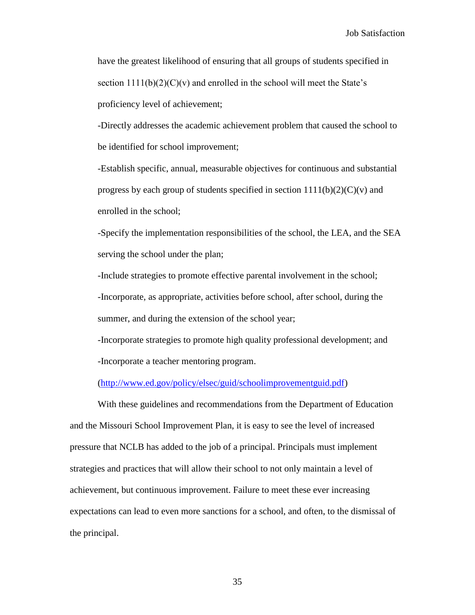have the greatest likelihood of ensuring that all groups of students specified in section  $1111(b)(2)(C)(v)$  and enrolled in the school will meet the State's proficiency level of achievement;

-Directly addresses the academic achievement problem that caused the school to be identified for school improvement;

-Establish specific, annual, measurable objectives for continuous and substantial progress by each group of students specified in section  $1111(b)(2)(C)(v)$  and enrolled in the school;

-Specify the implementation responsibilities of the school, the LEA, and the SEA serving the school under the plan;

-Include strategies to promote effective parental involvement in the school; -Incorporate, as appropriate, activities before school, after school, during the summer, and during the extension of the school year;

-Incorporate strategies to promote high quality professional development; and -Incorporate a teacher mentoring program.

[\(http://www.ed.gov/policy/elsec/guid/schoolimprovementguid.pdf\)](http://www.ed.gov/policy/elsec/guid/schoolimprovementguid.pdf)

With these guidelines and recommendations from the Department of Education and the Missouri School Improvement Plan, it is easy to see the level of increased pressure that NCLB has added to the job of a principal. Principals must implement strategies and practices that will allow their school to not only maintain a level of achievement, but continuous improvement. Failure to meet these ever increasing expectations can lead to even more sanctions for a school, and often, to the dismissal of the principal.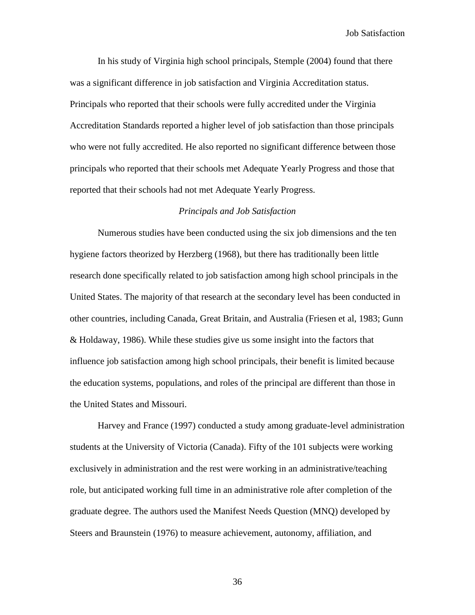In his study of Virginia high school principals, Stemple (2004) found that there was a significant difference in job satisfaction and Virginia Accreditation status. Principals who reported that their schools were fully accredited under the Virginia Accreditation Standards reported a higher level of job satisfaction than those principals who were not fully accredited. He also reported no significant difference between those principals who reported that their schools met Adequate Yearly Progress and those that reported that their schools had not met Adequate Yearly Progress.

## *Principals and Job Satisfaction*

Numerous studies have been conducted using the six job dimensions and the ten hygiene factors theorized by Herzberg (1968), but there has traditionally been little research done specifically related to job satisfaction among high school principals in the United States. The majority of that research at the secondary level has been conducted in other countries, including Canada, Great Britain, and Australia (Friesen et al, 1983; Gunn & Holdaway, 1986). While these studies give us some insight into the factors that influence job satisfaction among high school principals, their benefit is limited because the education systems, populations, and roles of the principal are different than those in the United States and Missouri.

Harvey and France (1997) conducted a study among graduate-level administration students at the University of Victoria (Canada). Fifty of the 101 subjects were working exclusively in administration and the rest were working in an administrative/teaching role, but anticipated working full time in an administrative role after completion of the graduate degree. The authors used the Manifest Needs Question (MNQ) developed by Steers and Braunstein (1976) to measure achievement, autonomy, affiliation, and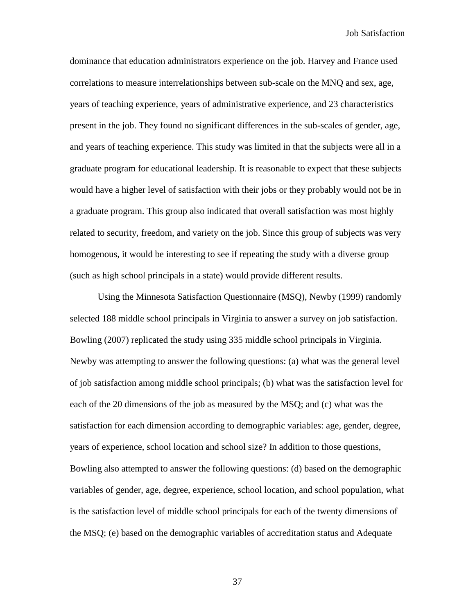dominance that education administrators experience on the job. Harvey and France used correlations to measure interrelationships between sub-scale on the MNQ and sex, age, years of teaching experience, years of administrative experience, and 23 characteristics present in the job. They found no significant differences in the sub-scales of gender, age, and years of teaching experience. This study was limited in that the subjects were all in a graduate program for educational leadership. It is reasonable to expect that these subjects would have a higher level of satisfaction with their jobs or they probably would not be in a graduate program. This group also indicated that overall satisfaction was most highly related to security, freedom, and variety on the job. Since this group of subjects was very homogenous, it would be interesting to see if repeating the study with a diverse group (such as high school principals in a state) would provide different results.

Using the Minnesota Satisfaction Questionnaire (MSQ), Newby (1999) randomly selected 188 middle school principals in Virginia to answer a survey on job satisfaction. Bowling (2007) replicated the study using 335 middle school principals in Virginia. Newby was attempting to answer the following questions: (a) what was the general level of job satisfaction among middle school principals; (b) what was the satisfaction level for each of the 20 dimensions of the job as measured by the MSQ; and (c) what was the satisfaction for each dimension according to demographic variables: age, gender, degree, years of experience, school location and school size? In addition to those questions, Bowling also attempted to answer the following questions: (d) based on the demographic variables of gender, age, degree, experience, school location, and school population, what is the satisfaction level of middle school principals for each of the twenty dimensions of the MSQ; (e) based on the demographic variables of accreditation status and Adequate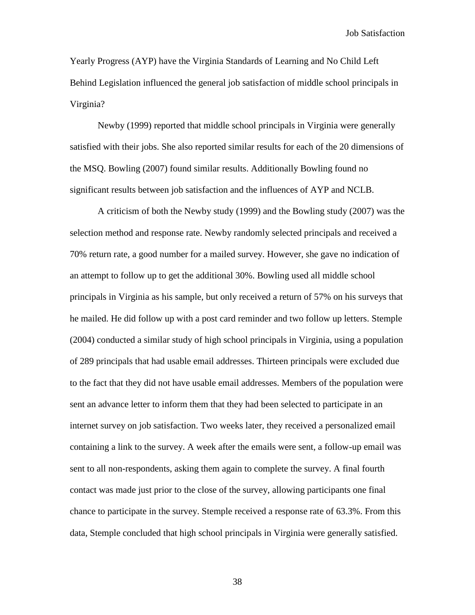Yearly Progress (AYP) have the Virginia Standards of Learning and No Child Left Behind Legislation influenced the general job satisfaction of middle school principals in Virginia?

Newby (1999) reported that middle school principals in Virginia were generally satisfied with their jobs. She also reported similar results for each of the 20 dimensions of the MSQ. Bowling (2007) found similar results. Additionally Bowling found no significant results between job satisfaction and the influences of AYP and NCLB.

A criticism of both the Newby study (1999) and the Bowling study (2007) was the selection method and response rate. Newby randomly selected principals and received a 70% return rate, a good number for a mailed survey. However, she gave no indication of an attempt to follow up to get the additional 30%. Bowling used all middle school principals in Virginia as his sample, but only received a return of 57% on his surveys that he mailed. He did follow up with a post card reminder and two follow up letters. Stemple (2004) conducted a similar study of high school principals in Virginia, using a population of 289 principals that had usable email addresses. Thirteen principals were excluded due to the fact that they did not have usable email addresses. Members of the population were sent an advance letter to inform them that they had been selected to participate in an internet survey on job satisfaction. Two weeks later, they received a personalized email containing a link to the survey. A week after the emails were sent, a follow-up email was sent to all non-respondents, asking them again to complete the survey. A final fourth contact was made just prior to the close of the survey, allowing participants one final chance to participate in the survey. Stemple received a response rate of 63.3%. From this data, Stemple concluded that high school principals in Virginia were generally satisfied.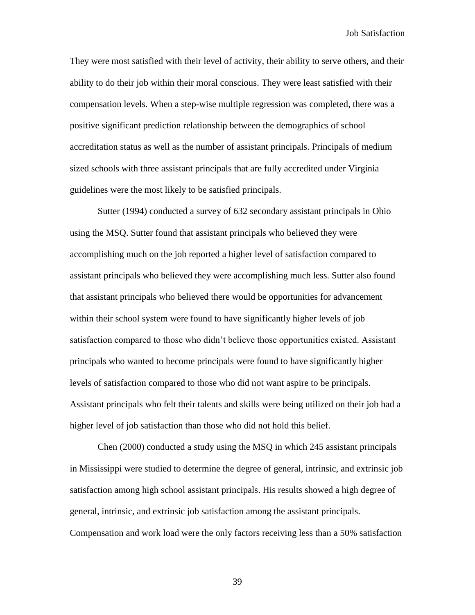They were most satisfied with their level of activity, their ability to serve others, and their ability to do their job within their moral conscious. They were least satisfied with their compensation levels. When a step-wise multiple regression was completed, there was a positive significant prediction relationship between the demographics of school accreditation status as well as the number of assistant principals. Principals of medium sized schools with three assistant principals that are fully accredited under Virginia guidelines were the most likely to be satisfied principals.

Sutter (1994) conducted a survey of 632 secondary assistant principals in Ohio using the MSQ. Sutter found that assistant principals who believed they were accomplishing much on the job reported a higher level of satisfaction compared to assistant principals who believed they were accomplishing much less. Sutter also found that assistant principals who believed there would be opportunities for advancement within their school system were found to have significantly higher levels of job satisfaction compared to those who didn"t believe those opportunities existed. Assistant principals who wanted to become principals were found to have significantly higher levels of satisfaction compared to those who did not want aspire to be principals. Assistant principals who felt their talents and skills were being utilized on their job had a higher level of job satisfaction than those who did not hold this belief.

Chen (2000) conducted a study using the MSQ in which 245 assistant principals in Mississippi were studied to determine the degree of general, intrinsic, and extrinsic job satisfaction among high school assistant principals. His results showed a high degree of general, intrinsic, and extrinsic job satisfaction among the assistant principals. Compensation and work load were the only factors receiving less than a 50% satisfaction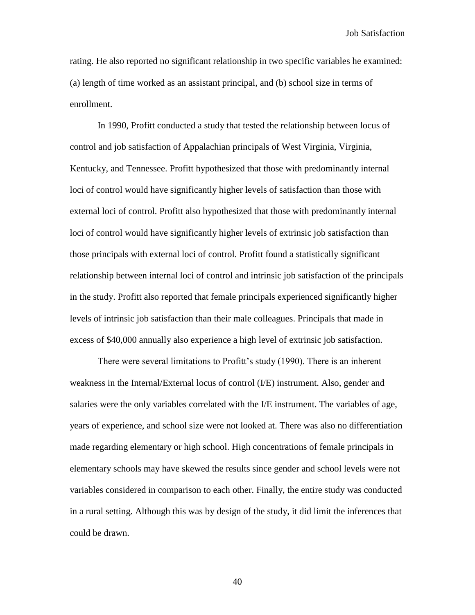rating. He also reported no significant relationship in two specific variables he examined: (a) length of time worked as an assistant principal, and (b) school size in terms of enrollment.

In 1990, Profitt conducted a study that tested the relationship between locus of control and job satisfaction of Appalachian principals of West Virginia, Virginia, Kentucky, and Tennessee. Profitt hypothesized that those with predominantly internal loci of control would have significantly higher levels of satisfaction than those with external loci of control. Profitt also hypothesized that those with predominantly internal loci of control would have significantly higher levels of extrinsic job satisfaction than those principals with external loci of control. Profitt found a statistically significant relationship between internal loci of control and intrinsic job satisfaction of the principals in the study. Profitt also reported that female principals experienced significantly higher levels of intrinsic job satisfaction than their male colleagues. Principals that made in excess of \$40,000 annually also experience a high level of extrinsic job satisfaction.

There were several limitations to Profitt's study (1990). There is an inherent weakness in the Internal/External locus of control (I/E) instrument. Also, gender and salaries were the only variables correlated with the I/E instrument. The variables of age, years of experience, and school size were not looked at. There was also no differentiation made regarding elementary or high school. High concentrations of female principals in elementary schools may have skewed the results since gender and school levels were not variables considered in comparison to each other. Finally, the entire study was conducted in a rural setting. Although this was by design of the study, it did limit the inferences that could be drawn.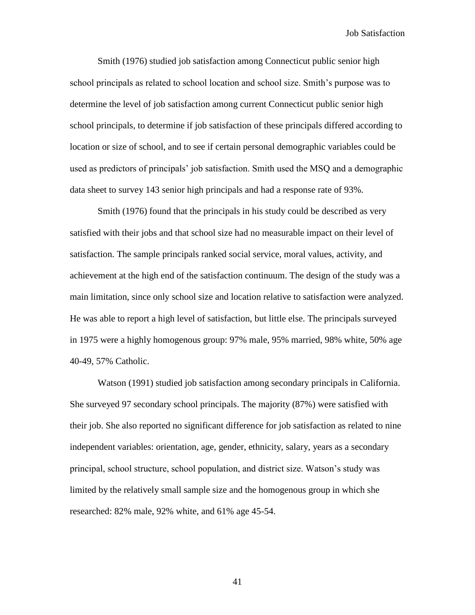Smith (1976) studied job satisfaction among Connecticut public senior high school principals as related to school location and school size. Smith"s purpose was to determine the level of job satisfaction among current Connecticut public senior high school principals, to determine if job satisfaction of these principals differed according to location or size of school, and to see if certain personal demographic variables could be used as predictors of principals" job satisfaction. Smith used the MSQ and a demographic data sheet to survey 143 senior high principals and had a response rate of 93%.

Smith (1976) found that the principals in his study could be described as very satisfied with their jobs and that school size had no measurable impact on their level of satisfaction. The sample principals ranked social service, moral values, activity, and achievement at the high end of the satisfaction continuum. The design of the study was a main limitation, since only school size and location relative to satisfaction were analyzed. He was able to report a high level of satisfaction, but little else. The principals surveyed in 1975 were a highly homogenous group: 97% male, 95% married, 98% white, 50% age 40-49, 57% Catholic.

Watson (1991) studied job satisfaction among secondary principals in California. She surveyed 97 secondary school principals. The majority (87%) were satisfied with their job. She also reported no significant difference for job satisfaction as related to nine independent variables: orientation, age, gender, ethnicity, salary, years as a secondary principal, school structure, school population, and district size. Watson"s study was limited by the relatively small sample size and the homogenous group in which she researched: 82% male, 92% white, and 61% age 45-54.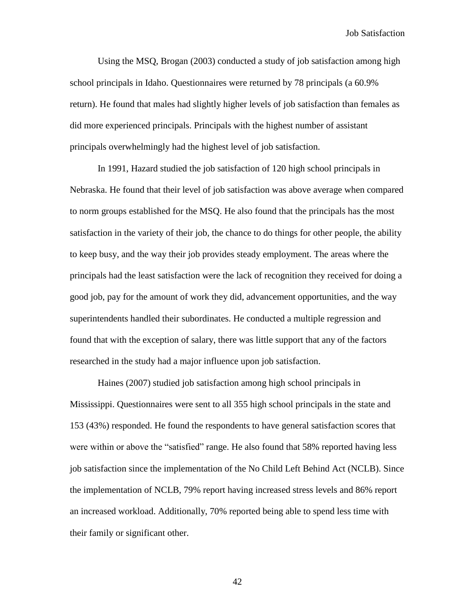Using the MSQ, Brogan (2003) conducted a study of job satisfaction among high school principals in Idaho. Questionnaires were returned by 78 principals (a 60.9% return). He found that males had slightly higher levels of job satisfaction than females as did more experienced principals. Principals with the highest number of assistant principals overwhelmingly had the highest level of job satisfaction.

In 1991, Hazard studied the job satisfaction of 120 high school principals in Nebraska. He found that their level of job satisfaction was above average when compared to norm groups established for the MSQ. He also found that the principals has the most satisfaction in the variety of their job, the chance to do things for other people, the ability to keep busy, and the way their job provides steady employment. The areas where the principals had the least satisfaction were the lack of recognition they received for doing a good job, pay for the amount of work they did, advancement opportunities, and the way superintendents handled their subordinates. He conducted a multiple regression and found that with the exception of salary, there was little support that any of the factors researched in the study had a major influence upon job satisfaction.

Haines (2007) studied job satisfaction among high school principals in Mississippi. Questionnaires were sent to all 355 high school principals in the state and 153 (43%) responded. He found the respondents to have general satisfaction scores that were within or above the "satisfied" range. He also found that 58% reported having less job satisfaction since the implementation of the No Child Left Behind Act (NCLB). Since the implementation of NCLB, 79% report having increased stress levels and 86% report an increased workload. Additionally, 70% reported being able to spend less time with their family or significant other.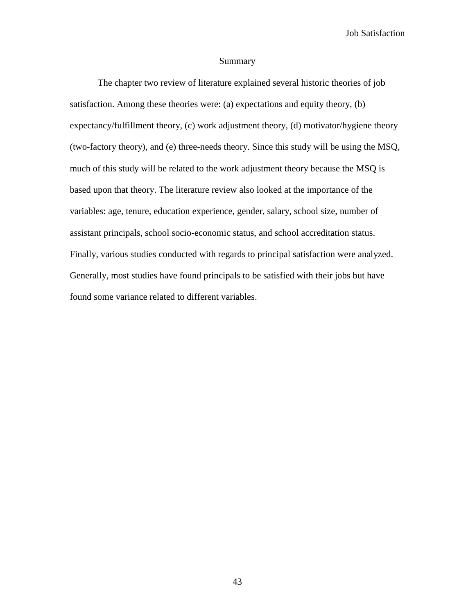#### Summary

The chapter two review of literature explained several historic theories of job satisfaction. Among these theories were: (a) expectations and equity theory, (b) expectancy/fulfillment theory, (c) work adjustment theory, (d) motivator/hygiene theory (two-factory theory), and (e) three-needs theory. Since this study will be using the MSQ, much of this study will be related to the work adjustment theory because the MSQ is based upon that theory. The literature review also looked at the importance of the variables: age, tenure, education experience, gender, salary, school size, number of assistant principals, school socio-economic status, and school accreditation status. Finally, various studies conducted with regards to principal satisfaction were analyzed. Generally, most studies have found principals to be satisfied with their jobs but have found some variance related to different variables.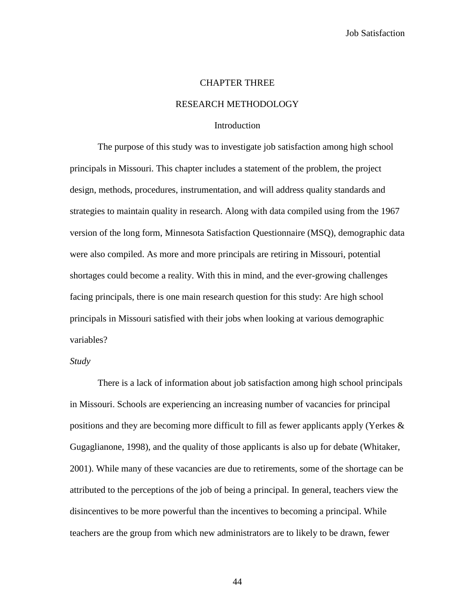#### CHAPTER THREE

## RESEARCH METHODOLOGY

#### Introduction

The purpose of this study was to investigate job satisfaction among high school principals in Missouri. This chapter includes a statement of the problem, the project design, methods, procedures, instrumentation, and will address quality standards and strategies to maintain quality in research. Along with data compiled using from the 1967 version of the long form, Minnesota Satisfaction Questionnaire (MSQ), demographic data were also compiled. As more and more principals are retiring in Missouri, potential shortages could become a reality. With this in mind, and the ever-growing challenges facing principals, there is one main research question for this study: Are high school principals in Missouri satisfied with their jobs when looking at various demographic variables?

#### *Study*

There is a lack of information about job satisfaction among high school principals in Missouri. Schools are experiencing an increasing number of vacancies for principal positions and they are becoming more difficult to fill as fewer applicants apply (Yerkes & Gugaglianone, 1998), and the quality of those applicants is also up for debate (Whitaker, 2001). While many of these vacancies are due to retirements, some of the shortage can be attributed to the perceptions of the job of being a principal. In general, teachers view the disincentives to be more powerful than the incentives to becoming a principal. While teachers are the group from which new administrators are to likely to be drawn, fewer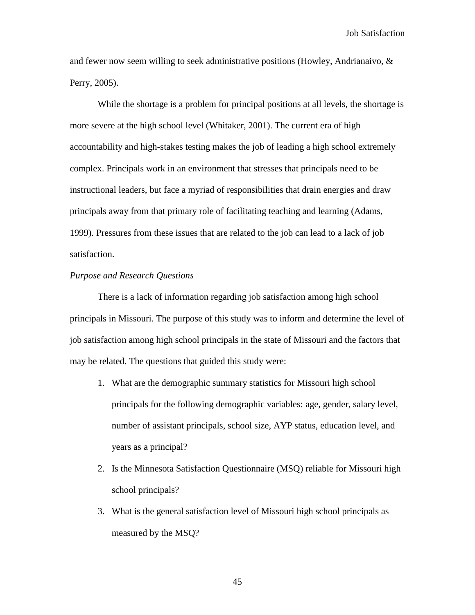and fewer now seem willing to seek administrative positions (Howley, Andrianaivo, & Perry, 2005).

While the shortage is a problem for principal positions at all levels, the shortage is more severe at the high school level (Whitaker, 2001). The current era of high accountability and high-stakes testing makes the job of leading a high school extremely complex. Principals work in an environment that stresses that principals need to be instructional leaders, but face a myriad of responsibilities that drain energies and draw principals away from that primary role of facilitating teaching and learning (Adams, 1999). Pressures from these issues that are related to the job can lead to a lack of job satisfaction.

## *Purpose and Research Questions*

There is a lack of information regarding job satisfaction among high school principals in Missouri. The purpose of this study was to inform and determine the level of job satisfaction among high school principals in the state of Missouri and the factors that may be related. The questions that guided this study were:

- 1. What are the demographic summary statistics for Missouri high school principals for the following demographic variables: age, gender, salary level, number of assistant principals, school size, AYP status, education level, and years as a principal?
- 2. Is the Minnesota Satisfaction Questionnaire (MSQ) reliable for Missouri high school principals?
- 3. What is the general satisfaction level of Missouri high school principals as measured by the MSQ?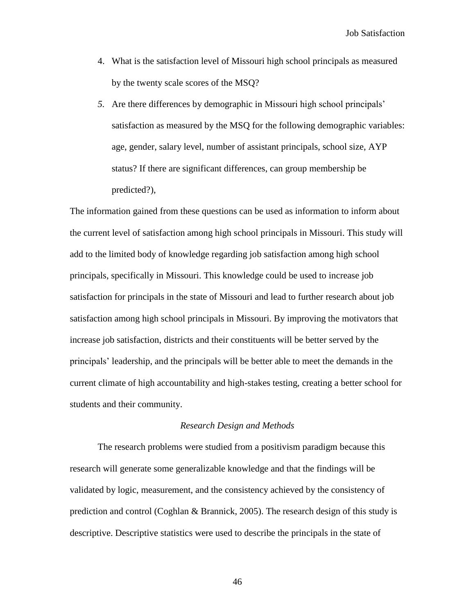- 4. What is the satisfaction level of Missouri high school principals as measured by the twenty scale scores of the MSQ?
- *5.* Are there differences by demographic in Missouri high school principals" satisfaction as measured by the MSQ for the following demographic variables: age, gender, salary level, number of assistant principals, school size, AYP status? If there are significant differences, can group membership be predicted?),

The information gained from these questions can be used as information to inform about the current level of satisfaction among high school principals in Missouri. This study will add to the limited body of knowledge regarding job satisfaction among high school principals, specifically in Missouri. This knowledge could be used to increase job satisfaction for principals in the state of Missouri and lead to further research about job satisfaction among high school principals in Missouri. By improving the motivators that increase job satisfaction, districts and their constituents will be better served by the principals" leadership, and the principals will be better able to meet the demands in the current climate of high accountability and high-stakes testing, creating a better school for students and their community.

#### *Research Design and Methods*

The research problems were studied from a positivism paradigm because this research will generate some generalizable knowledge and that the findings will be validated by logic, measurement, and the consistency achieved by the consistency of prediction and control (Coghlan & Brannick, 2005). The research design of this study is descriptive. Descriptive statistics were used to describe the principals in the state of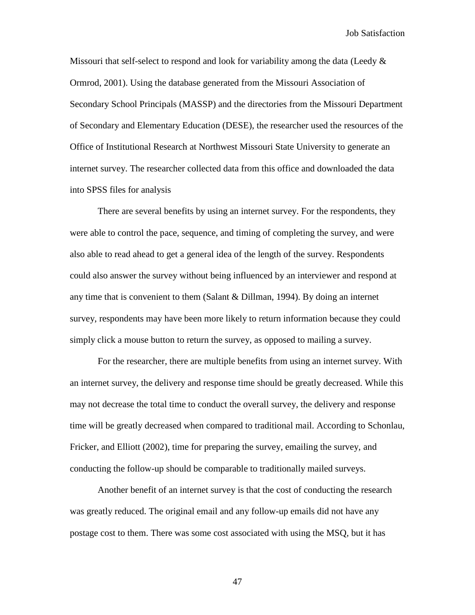Missouri that self-select to respond and look for variability among the data (Leedy  $\&$ Ormrod, 2001). Using the database generated from the Missouri Association of Secondary School Principals (MASSP) and the directories from the Missouri Department of Secondary and Elementary Education (DESE), the researcher used the resources of the Office of Institutional Research at Northwest Missouri State University to generate an internet survey. The researcher collected data from this office and downloaded the data into SPSS files for analysis

There are several benefits by using an internet survey. For the respondents, they were able to control the pace, sequence, and timing of completing the survey, and were also able to read ahead to get a general idea of the length of the survey. Respondents could also answer the survey without being influenced by an interviewer and respond at any time that is convenient to them (Salant  $&$  Dillman, 1994). By doing an internet survey, respondents may have been more likely to return information because they could simply click a mouse button to return the survey, as opposed to mailing a survey.

For the researcher, there are multiple benefits from using an internet survey. With an internet survey, the delivery and response time should be greatly decreased. While this may not decrease the total time to conduct the overall survey, the delivery and response time will be greatly decreased when compared to traditional mail. According to Schonlau, Fricker, and Elliott (2002), time for preparing the survey, emailing the survey, and conducting the follow-up should be comparable to traditionally mailed surveys.

Another benefit of an internet survey is that the cost of conducting the research was greatly reduced. The original email and any follow-up emails did not have any postage cost to them. There was some cost associated with using the MSQ, but it has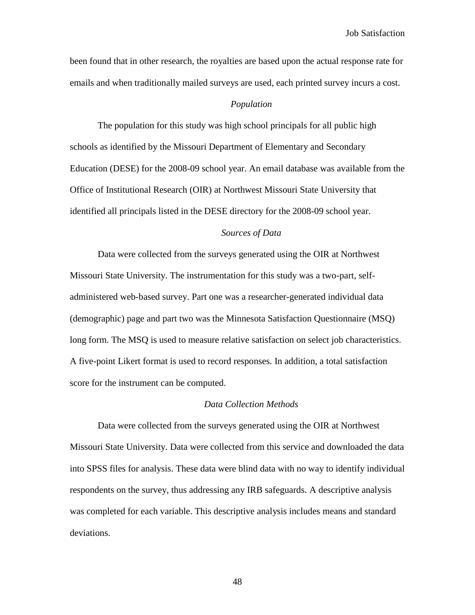been found that in other research, the royalties are based upon the actual response rate for emails and when traditionally mailed surveys are used, each printed survey incurs a cost.

## *Population*

The population for this study was high school principals for all public high schools as identified by the Missouri Department of Elementary and Secondary Education (DESE) for the 2008-09 school year. An email database was available from the Office of Institutional Research (OIR) at Northwest Missouri State University that identified all principals listed in the DESE directory for the 2008-09 school year.

## *Sources of Data*

Data were collected from the surveys generated using the OIR at Northwest Missouri State University. The instrumentation for this study was a two-part, selfadministered web-based survey. Part one was a researcher-generated individual data (demographic) page and part two was the Minnesota Satisfaction Questionnaire (MSQ) long form. The MSQ is used to measure relative satisfaction on select job characteristics. A five-point Likert format is used to record responses. In addition, a total satisfaction score for the instrument can be computed.

#### *Data Collection Methods*

Data were collected from the surveys generated using the OIR at Northwest Missouri State University. Data were collected from this service and downloaded the data into SPSS files for analysis. These data were blind data with no way to identify individual respondents on the survey, thus addressing any IRB safeguards. A descriptive analysis was completed for each variable. This descriptive analysis includes means and standard deviations.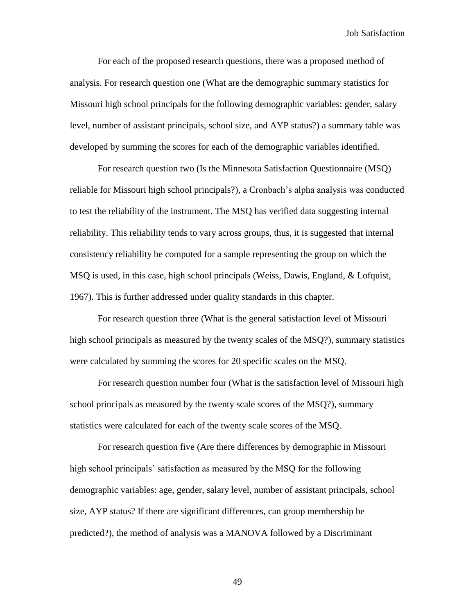For each of the proposed research questions, there was a proposed method of analysis. For research question one (What are the demographic summary statistics for Missouri high school principals for the following demographic variables: gender, salary level, number of assistant principals, school size, and AYP status?) a summary table was developed by summing the scores for each of the demographic variables identified.

For research question two (Is the Minnesota Satisfaction Questionnaire (MSQ) reliable for Missouri high school principals?), a Cronbach"s alpha analysis was conducted to test the reliability of the instrument. The MSQ has verified data suggesting internal reliability. This reliability tends to vary across groups, thus, it is suggested that internal consistency reliability be computed for a sample representing the group on which the MSQ is used, in this case, high school principals (Weiss, Dawis, England, & Lofquist, 1967). This is further addressed under quality standards in this chapter.

For research question three (What is the general satisfaction level of Missouri high school principals as measured by the twenty scales of the MSQ?), summary statistics were calculated by summing the scores for 20 specific scales on the MSQ.

For research question number four (What is the satisfaction level of Missouri high school principals as measured by the twenty scale scores of the MSQ?), summary statistics were calculated for each of the twenty scale scores of the MSQ.

For research question five (Are there differences by demographic in Missouri high school principals" satisfaction as measured by the MSQ for the following demographic variables: age, gender, salary level, number of assistant principals, school size, AYP status? If there are significant differences, can group membership be predicted?), the method of analysis was a MANOVA followed by a Discriminant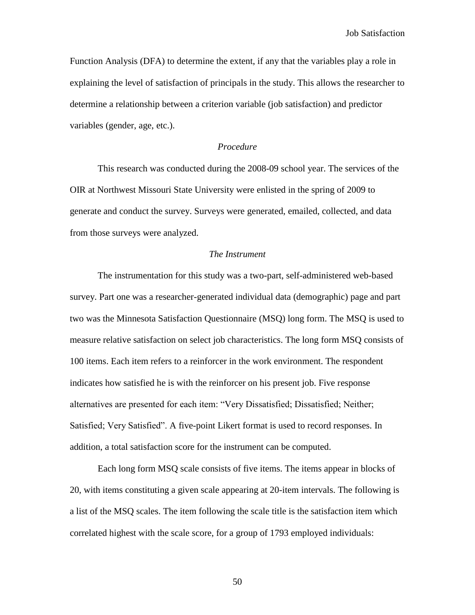Function Analysis (DFA) to determine the extent, if any that the variables play a role in explaining the level of satisfaction of principals in the study. This allows the researcher to determine a relationship between a criterion variable (job satisfaction) and predictor variables (gender, age, etc.).

### *Procedure*

This research was conducted during the 2008-09 school year. The services of the OIR at Northwest Missouri State University were enlisted in the spring of 2009 to generate and conduct the survey. Surveys were generated, emailed, collected, and data from those surveys were analyzed.

#### *The Instrument*

The instrumentation for this study was a two-part, self-administered web-based survey. Part one was a researcher-generated individual data (demographic) page and part two was the Minnesota Satisfaction Questionnaire (MSQ) long form. The MSQ is used to measure relative satisfaction on select job characteristics. The long form MSQ consists of 100 items. Each item refers to a reinforcer in the work environment. The respondent indicates how satisfied he is with the reinforcer on his present job. Five response alternatives are presented for each item: "Very Dissatisfied; Dissatisfied; Neither; Satisfied; Very Satisfied". A five-point Likert format is used to record responses. In addition, a total satisfaction score for the instrument can be computed.

Each long form MSQ scale consists of five items. The items appear in blocks of 20, with items constituting a given scale appearing at 20-item intervals. The following is a list of the MSQ scales. The item following the scale title is the satisfaction item which correlated highest with the scale score, for a group of 1793 employed individuals: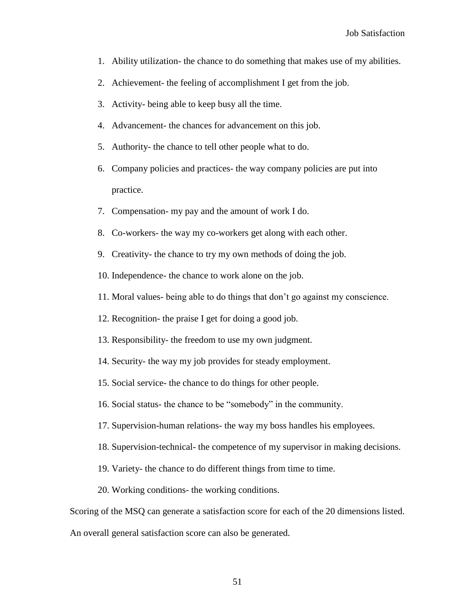- 1. Ability utilization- the chance to do something that makes use of my abilities.
- 2. Achievement- the feeling of accomplishment I get from the job.
- 3. Activity- being able to keep busy all the time.
- 4. Advancement- the chances for advancement on this job.
- 5. Authority- the chance to tell other people what to do.
- 6. Company policies and practices- the way company policies are put into practice.
- 7. Compensation- my pay and the amount of work I do.
- 8. Co-workers- the way my co-workers get along with each other.
- 9. Creativity- the chance to try my own methods of doing the job.
- 10. Independence- the chance to work alone on the job.
- 11. Moral values- being able to do things that don"t go against my conscience.
- 12. Recognition- the praise I get for doing a good job.
- 13. Responsibility- the freedom to use my own judgment.
- 14. Security- the way my job provides for steady employment.
- 15. Social service- the chance to do things for other people.
- 16. Social status- the chance to be "somebody" in the community.
- 17. Supervision-human relations- the way my boss handles his employees.
- 18. Supervision-technical- the competence of my supervisor in making decisions.
- 19. Variety- the chance to do different things from time to time.
- 20. Working conditions- the working conditions.

Scoring of the MSQ can generate a satisfaction score for each of the 20 dimensions listed.

An overall general satisfaction score can also be generated.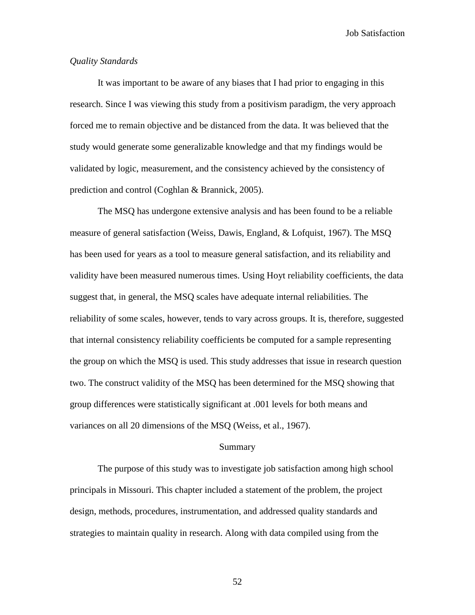## *Quality Standards*

It was important to be aware of any biases that I had prior to engaging in this research. Since I was viewing this study from a positivism paradigm, the very approach forced me to remain objective and be distanced from the data. It was believed that the study would generate some generalizable knowledge and that my findings would be validated by logic, measurement, and the consistency achieved by the consistency of prediction and control (Coghlan & Brannick, 2005).

The MSQ has undergone extensive analysis and has been found to be a reliable measure of general satisfaction (Weiss, Dawis, England, & Lofquist, 1967). The MSQ has been used for years as a tool to measure general satisfaction, and its reliability and validity have been measured numerous times. Using Hoyt reliability coefficients, the data suggest that, in general, the MSQ scales have adequate internal reliabilities. The reliability of some scales, however, tends to vary across groups. It is, therefore, suggested that internal consistency reliability coefficients be computed for a sample representing the group on which the MSQ is used. This study addresses that issue in research question two. The construct validity of the MSQ has been determined for the MSQ showing that group differences were statistically significant at .001 levels for both means and variances on all 20 dimensions of the MSQ (Weiss, et al., 1967).

#### Summary

The purpose of this study was to investigate job satisfaction among high school principals in Missouri. This chapter included a statement of the problem, the project design, methods, procedures, instrumentation, and addressed quality standards and strategies to maintain quality in research. Along with data compiled using from the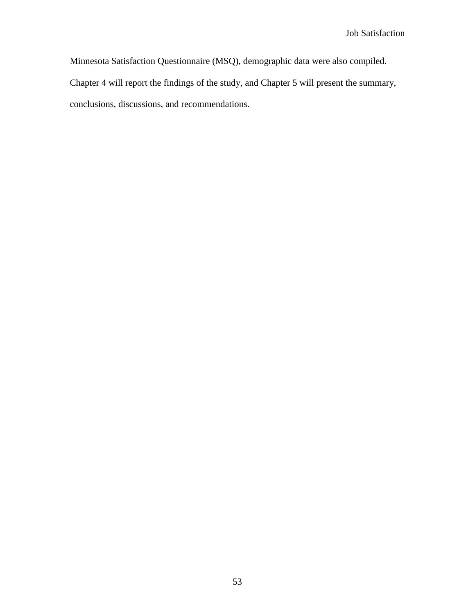Minnesota Satisfaction Questionnaire (MSQ), demographic data were also compiled. Chapter 4 will report the findings of the study, and Chapter 5 will present the summary, conclusions, discussions, and recommendations.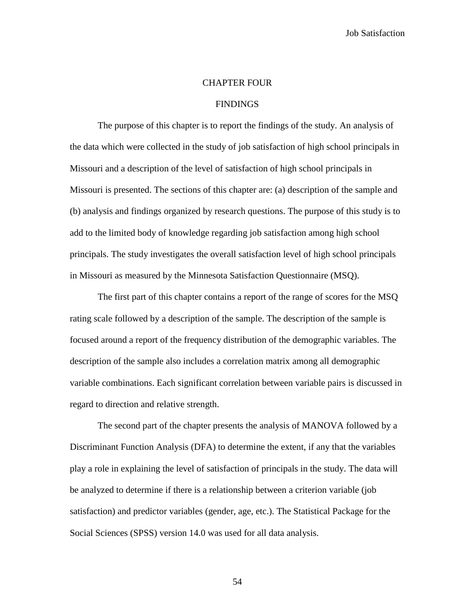#### CHAPTER FOUR

## **FINDINGS**

The purpose of this chapter is to report the findings of the study. An analysis of the data which were collected in the study of job satisfaction of high school principals in Missouri and a description of the level of satisfaction of high school principals in Missouri is presented. The sections of this chapter are: (a) description of the sample and (b) analysis and findings organized by research questions. The purpose of this study is to add to the limited body of knowledge regarding job satisfaction among high school principals. The study investigates the overall satisfaction level of high school principals in Missouri as measured by the Minnesota Satisfaction Questionnaire (MSQ).

The first part of this chapter contains a report of the range of scores for the MSQ rating scale followed by a description of the sample. The description of the sample is focused around a report of the frequency distribution of the demographic variables. The description of the sample also includes a correlation matrix among all demographic variable combinations. Each significant correlation between variable pairs is discussed in regard to direction and relative strength.

The second part of the chapter presents the analysis of MANOVA followed by a Discriminant Function Analysis (DFA) to determine the extent, if any that the variables play a role in explaining the level of satisfaction of principals in the study. The data will be analyzed to determine if there is a relationship between a criterion variable (job satisfaction) and predictor variables (gender, age, etc.). The Statistical Package for the Social Sciences (SPSS) version 14.0 was used for all data analysis.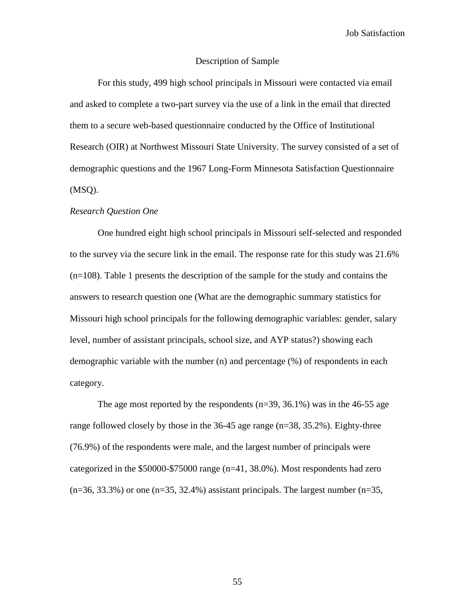### Description of Sample

For this study, 499 high school principals in Missouri were contacted via email and asked to complete a two-part survey via the use of a link in the email that directed them to a secure web-based questionnaire conducted by the Office of Institutional Research (OIR) at Northwest Missouri State University. The survey consisted of a set of demographic questions and the 1967 Long-Form Minnesota Satisfaction Questionnaire (MSQ).

#### *Research Question One*

One hundred eight high school principals in Missouri self-selected and responded to the survey via the secure link in the email. The response rate for this study was 21.6% (n=108). Table 1 presents the description of the sample for the study and contains the answers to research question one (What are the demographic summary statistics for Missouri high school principals for the following demographic variables: gender, salary level, number of assistant principals, school size, and AYP status?) showing each demographic variable with the number (n) and percentage (%) of respondents in each category.

The age most reported by the respondents  $(n=39, 36.1\%)$  was in the 46-55 age range followed closely by those in the 36-45 age range (n=38, 35.2%). Eighty-three (76.9%) of the respondents were male, and the largest number of principals were categorized in the \$50000-\$75000 range (n=41, 38.0%). Most respondents had zero  $(n=36, 33.3\%)$  or one  $(n=35, 32.4\%)$  assistant principals. The largest number  $(n=35,$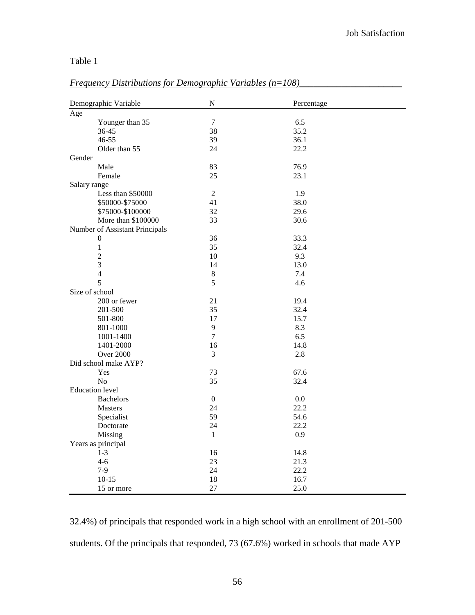# Table 1

# *Frequency Distributions for Demographic Variables (n=108)\_\_\_\_\_\_\_\_\_\_\_\_\_\_\_\_\_\_\_\_\_\_*

| Demographic Variable           | ${\bf N}$      | Percentage |  |
|--------------------------------|----------------|------------|--|
| Age                            |                |            |  |
| Younger than 35                | $\tau$         | 6.5        |  |
| 36-45                          | 38             | 35.2       |  |
| 46-55                          | 39             | 36.1       |  |
| Older than 55                  | 24             | 22.2       |  |
| Gender                         |                |            |  |
| Male                           | 83             | 76.9       |  |
| Female                         | 25             | 23.1       |  |
| Salary range                   |                |            |  |
| Less than \$50000              | $\overline{2}$ | 1.9        |  |
| \$50000-\$75000                | 41             | 38.0       |  |
| \$75000-\$100000               | 32             | 29.6       |  |
| More than \$100000             | 33             | 30.6       |  |
| Number of Assistant Principals |                |            |  |
| $\mathbf{0}$                   | 36             | 33.3       |  |
| $\mathbf{1}$                   | 35             | 32.4       |  |
| $\overline{2}$                 | 10             | 9.3        |  |
| 3                              | 14             | 13.0       |  |
| $\overline{4}$                 | $\,8\,$        | 7.4        |  |
| 5                              | 5              | 4.6        |  |
| Size of school                 |                |            |  |
| 200 or fewer                   | 21             | 19.4       |  |
| 201-500                        | 35             | 32.4       |  |
| 501-800                        | 17             | 15.7       |  |
| 801-1000                       | 9              | 8.3        |  |
| 1001-1400                      | $\overline{7}$ | 6.5        |  |
| 1401-2000                      | 16             | 14.8       |  |
| <b>Over 2000</b>               | 3              | 2.8        |  |
| Did school make AYP?           |                |            |  |
| Yes                            | 73             | 67.6       |  |
| N <sub>o</sub>                 | 35             | 32.4       |  |
| <b>Education</b> level         |                |            |  |
| <b>Bachelors</b>               | $\mathbf{0}$   | 0.0        |  |
| <b>Masters</b>                 | 24             | 22.2       |  |
| Specialist                     | 59             | 54.6       |  |
| Doctorate                      | 24             | 22.2       |  |
| Missing                        | $\mathbf{1}$   | 0.9        |  |
| Years as principal             |                |            |  |
| $1 - 3$                        | 16             | 14.8       |  |
| $4 - 6$                        | 23             | 21.3       |  |
| $7-9$                          | 24             | 22.2       |  |
| $10-15$                        | 18             | 16.7       |  |
| 15 or more                     | 27             | 25.0       |  |

32.4%) of principals that responded work in a high school with an enrollment of 201-500 students. Of the principals that responded, 73 (67.6%) worked in schools that made AYP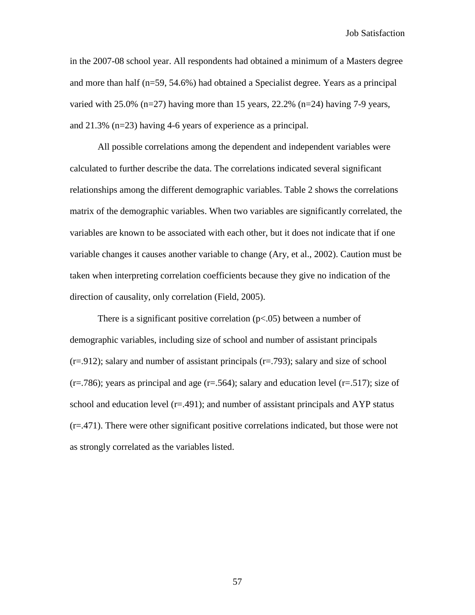in the 2007-08 school year. All respondents had obtained a minimum of a Masters degree and more than half (n=59, 54.6%) had obtained a Specialist degree. Years as a principal varied with 25.0% (n=27) having more than 15 years, 22.2% (n=24) having 7-9 years, and 21.3% (n=23) having 4-6 years of experience as a principal.

All possible correlations among the dependent and independent variables were calculated to further describe the data. The correlations indicated several significant relationships among the different demographic variables. Table 2 shows the correlations matrix of the demographic variables. When two variables are significantly correlated, the variables are known to be associated with each other, but it does not indicate that if one variable changes it causes another variable to change (Ary, et al., 2002). Caution must be taken when interpreting correlation coefficients because they give no indication of the direction of causality, only correlation (Field, 2005).

There is a significant positive correlation  $(p<.05)$  between a number of demographic variables, including size of school and number of assistant principals  $(r=.912)$ ; salary and number of assistant principals  $(r=.793)$ ; salary and size of school  $(r=.786)$ ; years as principal and age  $(r=.564)$ ; salary and education level  $(r=.517)$ ; size of school and education level  $(r=.491)$ ; and number of assistant principals and AYP status (r=.471). There were other significant positive correlations indicated, but those were not as strongly correlated as the variables listed.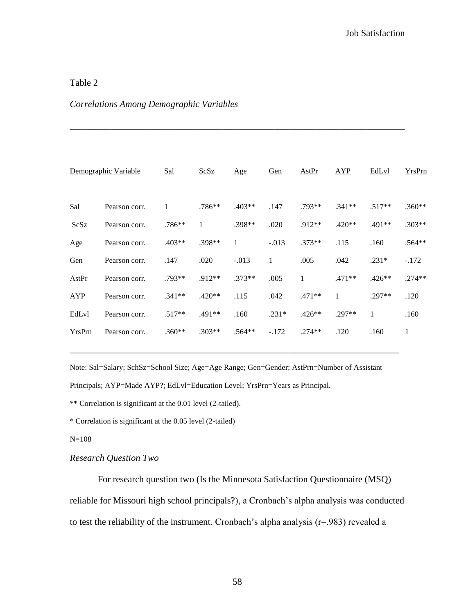# Table 2

# *Correlations Among Demographic Variables*

|        | Demographic Variable | Sal      | ScSz     | Age          | Gen         | <b>AstPr</b> | <b>AYP</b>   | EdLvl    | YrsPrn   |
|--------|----------------------|----------|----------|--------------|-------------|--------------|--------------|----------|----------|
| Sal    | Pearson corr.        | 1        | $.786**$ | $.403**$     | .147        | $.793**$     | $.341**$     | $.517**$ | $.360**$ |
| ScSz   | Pearson corr.        | .786**   | 1        | .398**       | .020        | .912**       | $.420**$     | .491**   | $.303**$ |
| Age    | Pearson corr.        | $.403**$ | .398**   | $\mathbf{1}$ | $-.013$     | $.373**$     | .115         | .160     | $.564**$ |
| Gen    | Pearson corr.        | .147     | .020     | $-.013$      | $\mathbf 1$ | .005         | .042         | $.231*$  | $-172$   |
| AstPr  | Pearson corr.        | $.793**$ | .912**   | $.373**$     | .005        | 1            | $.471**$     | $.426**$ | $.274**$ |
| AYP    | Pearson corr.        | $.341**$ | $.420**$ | .115         | .042        | .471**       | $\mathbf{1}$ | .297**   | .120     |
| EdLvl  | Pearson corr.        | $.517**$ | .491**   | .160         | $.231*$     | $.426**$     | $.297**$     | 1        | .160     |
| YrsPrn | Pearson corr.        | $.360**$ | $.303**$ | $.564**$     | $-172$      | $.274**$     | .120         | .160     | 1        |

*\_\_\_\_\_\_\_\_\_\_\_\_\_\_\_\_\_\_\_\_\_\_\_\_\_\_\_\_\_\_\_\_\_\_\_\_\_\_\_\_\_\_\_\_\_\_\_\_\_\_\_\_\_\_\_\_\_\_\_\_\_\_\_\_\_\_\_\_\_\_\_\_*

Note: Sal=Salary; SchSz=School Size; Age=Age Range; Gen=Gender; AstPrn=Number of Assistant Principals; AYP=Made AYP?; EdLvl=Education Level; YrsPrn=Years as Principal.

\_\_\_\_\_\_\_\_\_\_\_\_\_\_\_\_\_\_\_\_\_\_\_\_\_\_\_\_\_\_\_\_\_\_\_\_\_\_\_\_\_\_\_\_\_\_\_\_\_\_\_\_\_\_\_\_\_\_\_\_\_\_\_\_\_\_\_\_\_\_\_\_\_\_\_\_\_\_\_\_\_\_\_\_\_

\*\* Correlation is significant at the 0.01 level (2-tailed).

\* Correlation is significant at the 0.05 level (2-tailed)

N=108

# *Research Question Two*

For research question two (Is the Minnesota Satisfaction Questionnaire (MSQ) reliable for Missouri high school principals?), a Cronbach"s alpha analysis was conducted to test the reliability of the instrument. Cronbach's alpha analysis  $(r=983)$  revealed a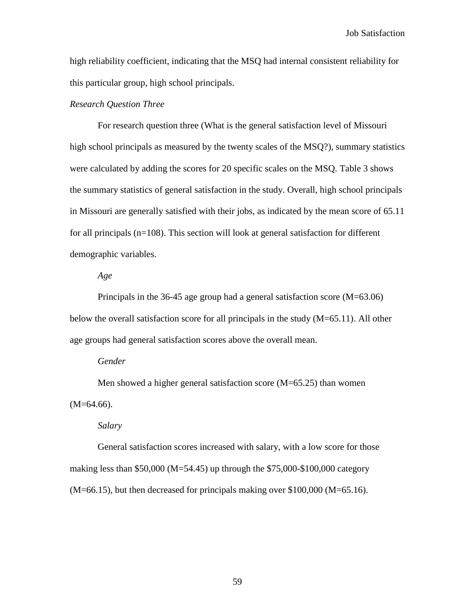high reliability coefficient, indicating that the MSQ had internal consistent reliability for this particular group, high school principals.

### *Research Question Three*

For research question three (What is the general satisfaction level of Missouri high school principals as measured by the twenty scales of the MSQ?), summary statistics were calculated by adding the scores for 20 specific scales on the MSQ. Table 3 shows the summary statistics of general satisfaction in the study. Overall, high school principals in Missouri are generally satisfied with their jobs, as indicated by the mean score of 65.11 for all principals (n=108). This section will look at general satisfaction for different demographic variables.

*Age*

Principals in the 36-45 age group had a general satisfaction score (M=63.06) below the overall satisfaction score for all principals in the study (M=65.11). All other age groups had general satisfaction scores above the overall mean.

#### *Gender*

Men showed a higher general satisfaction score (M=65.25) than women  $(M=64.66)$ .

*Salary*

General satisfaction scores increased with salary, with a low score for those making less than \$50,000 (M=54.45) up through the \$75,000-\$100,000 category  $(M=66.15)$ , but then decreased for principals making over \$100,000 (M=65.16).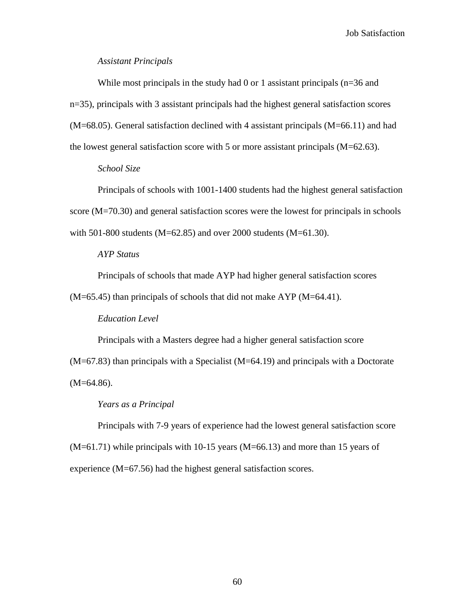## *Assistant Principals*

While most principals in the study had 0 or 1 assistant principals (n=36 and n=35), principals with 3 assistant principals had the highest general satisfaction scores (M=68.05). General satisfaction declined with 4 assistant principals (M=66.11) and had the lowest general satisfaction score with 5 or more assistant principals  $(M=62.63)$ .

# *School Size*

Principals of schools with 1001-1400 students had the highest general satisfaction score (M=70.30) and general satisfaction scores were the lowest for principals in schools with 501-800 students (M=62.85) and over 2000 students (M=61.30).

## *AYP Status*

Principals of schools that made AYP had higher general satisfaction scores

 $(M=65.45)$  than principals of schools that did not make AYP  $(M=64.41)$ .

### *Education Level*

Principals with a Masters degree had a higher general satisfaction score (M=67.83) than principals with a Specialist (M=64.19) and principals with a Doctorate  $(M=64.86)$ .

#### *Years as a Principal*

Principals with 7-9 years of experience had the lowest general satisfaction score (M=61.71) while principals with 10-15 years (M=66.13) and more than 15 years of experience (M=67.56) had the highest general satisfaction scores.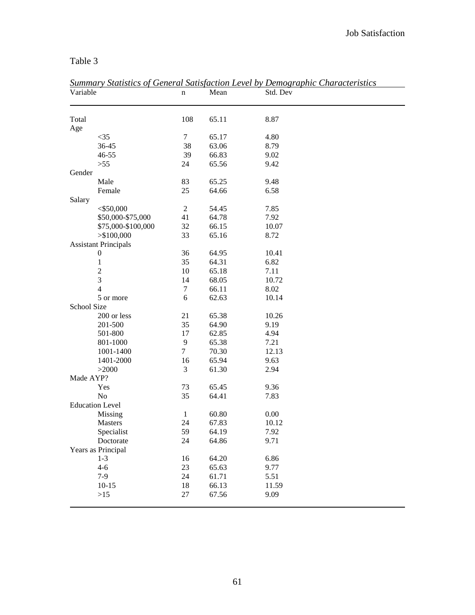# Table 3

| Variable                    | n              | Mean  | <u>Summary Statistics of General Satisfaction Level by Demographic Characteristics</u><br>Std. Dev |
|-----------------------------|----------------|-------|----------------------------------------------------------------------------------------------------|
| Total                       | 108            | 65.11 | 8.87                                                                                               |
| Age                         |                |       |                                                                                                    |
| $<$ 35                      | $\tau$         | 65.17 | 4.80                                                                                               |
| 36-45                       | 38             | 63.06 | 8.79                                                                                               |
| $46 - 55$                   | 39             | 66.83 | 9.02                                                                                               |
| >55                         | 24             | 65.56 | 9.42                                                                                               |
| Gender                      |                |       |                                                                                                    |
| Male                        | 83             | 65.25 | 9.48                                                                                               |
| Female                      | 25             | 64.66 | 6.58                                                                                               |
| Salary                      |                |       |                                                                                                    |
| $<$ \$50,000                | $\sqrt{2}$     | 54.45 | 7.85                                                                                               |
| \$50,000-\$75,000           | 41             | 64.78 | 7.92                                                                                               |
| \$75,000-\$100,000          | 32             | 66.15 | 10.07                                                                                              |
| > \$100,000                 | 33             | 65.16 | 8.72                                                                                               |
| <b>Assistant Principals</b> |                |       |                                                                                                    |
| $\boldsymbol{0}$            | 36             | 64.95 | 10.41                                                                                              |
| $\mathbf{1}$                | 35             | 64.31 | 6.82                                                                                               |
| $\boldsymbol{2}$            | 10             | 65.18 | 7.11                                                                                               |
| 3                           | 14             | 68.05 | 10.72                                                                                              |
| $\overline{4}$              | 7              | 66.11 | 8.02                                                                                               |
| 5 or more                   | 6              | 62.63 | 10.14                                                                                              |
| School Size                 |                |       |                                                                                                    |
| 200 or less                 | 21             | 65.38 | 10.26                                                                                              |
| 201-500                     | 35             | 64.90 | 9.19                                                                                               |
| 501-800                     | 17             | 62.85 | 4.94                                                                                               |
| 801-1000                    | 9              | 65.38 | 7.21                                                                                               |
| 1001-1400                   | $\overline{7}$ | 70.30 | 12.13                                                                                              |
| 1401-2000                   | 16             | 65.94 | 9.63                                                                                               |
| >2000                       | 3              | 61.30 | 2.94                                                                                               |
| Made AYP?                   |                |       |                                                                                                    |
| Yes                         | 73             | 65.45 | 9.36                                                                                               |
| No                          | 35             | 64.41 | 7.83                                                                                               |
| <b>Education Level</b>      |                |       |                                                                                                    |
| Missing                     | 1              | 60.80 | 0.00                                                                                               |
| <b>Masters</b>              | 24             | 67.83 | 10.12                                                                                              |
| Specialist                  | 59             | 64.19 | 7.92                                                                                               |
| Doctorate                   | 24             | 64.86 | 9.71                                                                                               |
| Years as Principal          |                |       |                                                                                                    |
| $1 - 3$                     | 16             | 64.20 | 6.86                                                                                               |
| $4 - 6$                     | 23             | 65.63 | 9.77                                                                                               |
| $7-9$                       | 24             | 61.71 | 5.51                                                                                               |
| $10-15$                     | 18             | 66.13 | 11.59                                                                                              |
| $>15$                       | 27             | 67.56 | 9.09                                                                                               |

*Summary Statistics of General Satisfaction Level by Demographic Characteristics*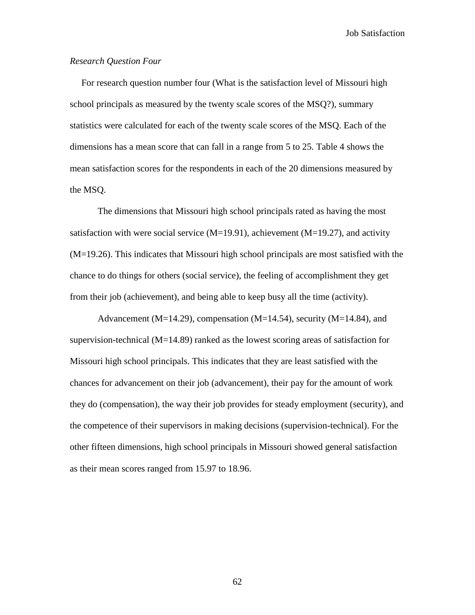## *Research Question Four*

 For research question number four (What is the satisfaction level of Missouri high school principals as measured by the twenty scale scores of the MSQ?), summary statistics were calculated for each of the twenty scale scores of the MSQ. Each of the dimensions has a mean score that can fall in a range from 5 to 25. Table 4 shows the mean satisfaction scores for the respondents in each of the 20 dimensions measured by the MSQ.

The dimensions that Missouri high school principals rated as having the most satisfaction with were social service  $(M=19.91)$ , achievement  $(M=19.27)$ , and activity (M=19.26). This indicates that Missouri high school principals are most satisfied with the chance to do things for others (social service), the feeling of accomplishment they get from their job (achievement), and being able to keep busy all the time (activity).

Advancement (M=14.29), compensation (M=14.54), security (M=14.84), and supervision-technical  $(M=14.89)$  ranked as the lowest scoring areas of satisfaction for Missouri high school principals. This indicates that they are least satisfied with the chances for advancement on their job (advancement), their pay for the amount of work they do (compensation), the way their job provides for steady employment (security), and the competence of their supervisors in making decisions (supervision-technical). For the other fifteen dimensions, high school principals in Missouri showed general satisfaction as their mean scores ranged from 15.97 to 18.96.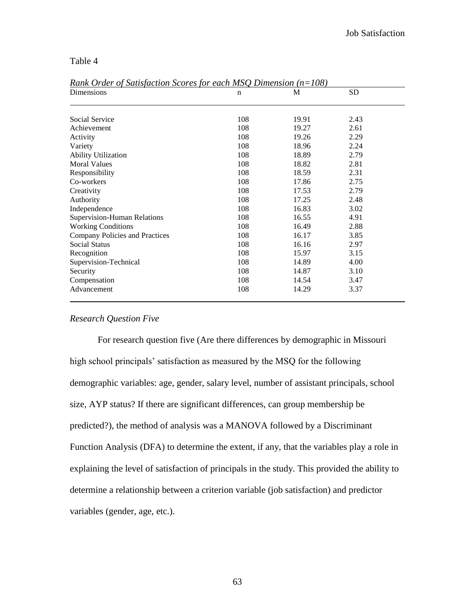Table 4

| Dimensions                     | n   | M     | <b>SD</b> |  |
|--------------------------------|-----|-------|-----------|--|
|                                |     |       |           |  |
| Social Service                 | 108 | 19.91 | 2.43      |  |
| Achievement                    | 108 | 19.27 | 2.61      |  |
| Activity                       | 108 | 19.26 | 2.29      |  |
| Variety                        | 108 | 18.96 | 2.24      |  |
| <b>Ability Utilization</b>     | 108 | 18.89 | 2.79      |  |
| <b>Moral Values</b>            | 108 | 18.82 | 2.81      |  |
| Responsibility                 | 108 | 18.59 | 2.31      |  |
| Co-workers                     | 108 | 17.86 | 2.75      |  |
| Creativity                     | 108 | 17.53 | 2.79      |  |
| Authority                      | 108 | 17.25 | 2.48      |  |
| Independence                   | 108 | 16.83 | 3.02      |  |
| Supervision-Human Relations    | 108 | 16.55 | 4.91      |  |
| <b>Working Conditions</b>      | 108 | 16.49 | 2.88      |  |
| Company Policies and Practices | 108 | 16.17 | 3.85      |  |
| <b>Social Status</b>           | 108 | 16.16 | 2.97      |  |
| Recognition                    | 108 | 15.97 | 3.15      |  |
| Supervision-Technical          | 108 | 14.89 | 4.00      |  |
| Security                       | 108 | 14.87 | 3.10      |  |
| Compensation                   | 108 | 14.54 | 3.47      |  |
| Advancement                    | 108 | 14.29 | 3.37      |  |

*Rank Order of Satisfaction Scores for each MSQ Dimension (n=108)*

## *Research Question Five*

For research question five (Are there differences by demographic in Missouri high school principals' satisfaction as measured by the MSQ for the following demographic variables: age, gender, salary level, number of assistant principals, school size, AYP status? If there are significant differences, can group membership be predicted?), the method of analysis was a MANOVA followed by a Discriminant Function Analysis (DFA) to determine the extent, if any, that the variables play a role in explaining the level of satisfaction of principals in the study. This provided the ability to determine a relationship between a criterion variable (job satisfaction) and predictor variables (gender, age, etc.).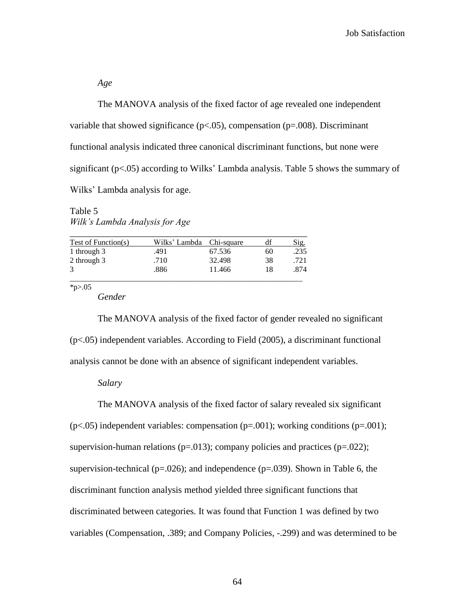*Age*

The MANOVA analysis of the fixed factor of age revealed one independent variable that showed significance ( $p<0.05$ ), compensation ( $p=0.008$ ). Discriminant functional analysis indicated three canonical discriminant functions, but none were significant ( $p < .05$ ) according to Wilks' Lambda analysis. Table 5 shows the summary of Wilks" Lambda analysis for age.

Table 5 *Wilk's Lambda Analysis for Age*

| <b>Test of Function(s)</b> | Wilks' Lambda Chi-square |        | df | Sig. |
|----------------------------|--------------------------|--------|----|------|
| 1 through 3                | .491                     | 67.536 | 60 | .235 |
| 2 through 3                | .710                     | 32.498 | 38 | .721 |
| 3                          | .886                     | 11.466 | 18 | .874 |

 $*_{p>05}$ 

*Gender*

The MANOVA analysis of the fixed factor of gender revealed no significant (p<.05) independent variables. According to Field (2005), a discriminant functional analysis cannot be done with an absence of significant independent variables.

## *Salary*

The MANOVA analysis of the fixed factor of salary revealed six significant  $(p<.05)$  independent variables: compensation  $(p=.001)$ ; working conditions  $(p=.001)$ ; supervision-human relations ( $p=.013$ ); company policies and practices ( $p=.022$ ); supervision-technical ( $p=.026$ ); and independence ( $p=.039$ ). Shown in Table 6, the discriminant function analysis method yielded three significant functions that discriminated between categories. It was found that Function 1 was defined by two variables (Compensation, .389; and Company Policies, -.299) and was determined to be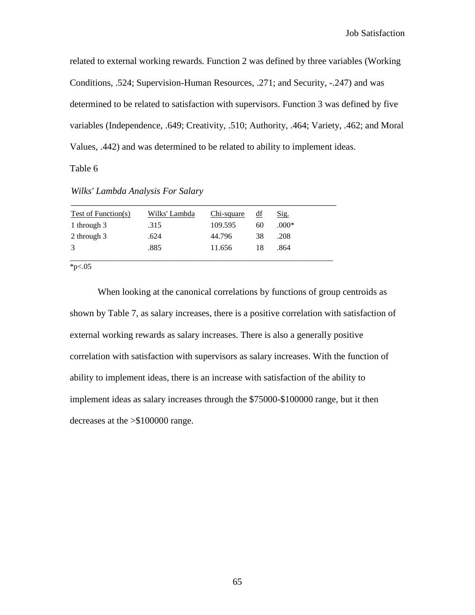related to external working rewards. Function 2 was defined by three variables (Working Conditions, .524; Supervision-Human Resources, .271; and Security, -.247) and was determined to be related to satisfaction with supervisors. Function 3 was defined by five variables (Independence, .649; Creativity, .510; Authority, .464; Variety, .462; and Moral Values, .442) and was determined to be related to ability to implement ideas.

Table 6

|  | Wilks' Lambda Analysis For Salary |  |
|--|-----------------------------------|--|
|  |                                   |  |

| Test of Function(s) | Wilks' Lambda | Chi-square | df | Sig.    |
|---------------------|---------------|------------|----|---------|
| 1 through 3         | .315          | 109.595    | 60 | $.000*$ |
| 2 through 3         | .624          | 44.796     | 38 | .208    |
| 3                   | .885          | 11.656     | 18 | .864    |
|                     |               |            |    |         |

\_\_\_\_\_\_\_\_\_\_\_\_\_\_\_\_\_\_\_\_\_\_\_\_\_\_\_\_\_\_\_\_\_\_\_\_\_\_\_\_\_\_\_\_\_\_\_\_\_\_\_\_\_\_\_\_\_

 $*_{p<.05}$ 

When looking at the canonical correlations by functions of group centroids as shown by Table 7, as salary increases, there is a positive correlation with satisfaction of external working rewards as salary increases. There is also a generally positive correlation with satisfaction with supervisors as salary increases. With the function of ability to implement ideas, there is an increase with satisfaction of the ability to implement ideas as salary increases through the \$75000-\$100000 range, but it then decreases at the >\$100000 range.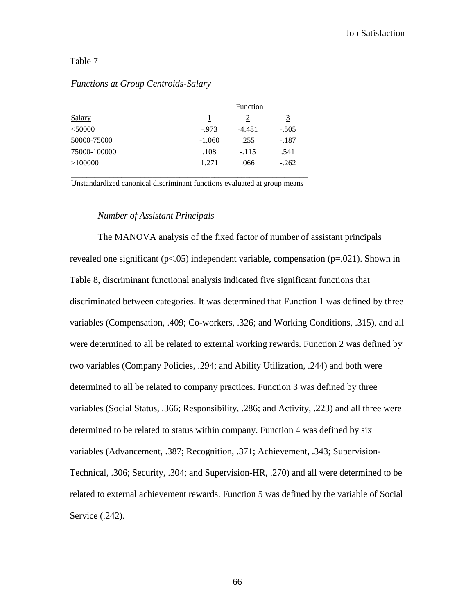# Table 7

|          | Function |         |
|----------|----------|---------|
| 1        | 2        | 3       |
| $-0.973$ | $-4.481$ | $-.505$ |
| $-1.060$ | .255     | $-.187$ |
| .108     | $-.115$  | .541    |
| 1.271    | .066     | $-.262$ |
|          |          |         |

# *Functions at Group Centroids-Salary*

Unstandardized canonical discriminant functions evaluated at group means

#### *Number of Assistant Principals*

The MANOVA analysis of the fixed factor of number of assistant principals revealed one significant ( $p<0.05$ ) independent variable, compensation ( $p=.021$ ). Shown in Table 8, discriminant functional analysis indicated five significant functions that discriminated between categories. It was determined that Function 1 was defined by three variables (Compensation, .409; Co-workers, .326; and Working Conditions, .315), and all were determined to all be related to external working rewards. Function 2 was defined by two variables (Company Policies, .294; and Ability Utilization, .244) and both were determined to all be related to company practices. Function 3 was defined by three variables (Social Status, .366; Responsibility, .286; and Activity, .223) and all three were determined to be related to status within company. Function 4 was defined by six variables (Advancement, .387; Recognition, .371; Achievement, .343; Supervision-Technical, .306; Security, .304; and Supervision-HR, .270) and all were determined to be related to external achievement rewards. Function 5 was defined by the variable of Social Service (.242).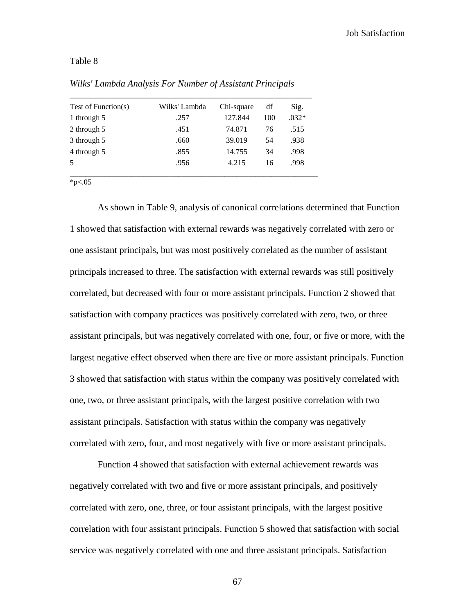# Table 8

| Test of Function(s) | Wilks' Lambda | Chi-square | $\underline{\mathrm{df}}$ | Sig.    |
|---------------------|---------------|------------|---------------------------|---------|
| 1 through 5         | .257          | 127.844    | 100                       | $.032*$ |
| 2 through 5         | .451          | 74.871     | 76                        | .515    |
| 3 through 5         | .660          | 39.019     | 54                        | .938    |
| 4 through 5         | .855          | 14.755     | 34                        | .998    |
| 5                   | .956          | 4.215      | 16                        | .998    |

*Wilks' Lambda Analysis For Number of Assistant Principals*

\*p $< 0.05$ 

As shown in Table 9, analysis of canonical correlations determined that Function 1 showed that satisfaction with external rewards was negatively correlated with zero or one assistant principals, but was most positively correlated as the number of assistant principals increased to three. The satisfaction with external rewards was still positively correlated, but decreased with four or more assistant principals. Function 2 showed that satisfaction with company practices was positively correlated with zero, two, or three assistant principals, but was negatively correlated with one, four, or five or more, with the largest negative effect observed when there are five or more assistant principals. Function 3 showed that satisfaction with status within the company was positively correlated with one, two, or three assistant principals, with the largest positive correlation with two assistant principals. Satisfaction with status within the company was negatively correlated with zero, four, and most negatively with five or more assistant principals.

Function 4 showed that satisfaction with external achievement rewards was negatively correlated with two and five or more assistant principals, and positively correlated with zero, one, three, or four assistant principals, with the largest positive correlation with four assistant principals. Function 5 showed that satisfaction with social service was negatively correlated with one and three assistant principals. Satisfaction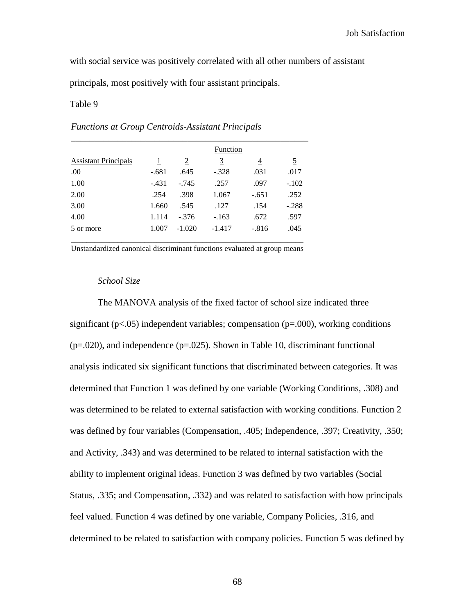with social service was positively correlated with all other numbers of assistant

principals, most positively with four assistant principals.

#### Table 9

### *Functions at Group Centroids-Assistant Principals*

|                             |                |          | Function |         |          |
|-----------------------------|----------------|----------|----------|---------|----------|
| <b>Assistant Principals</b> | $\overline{1}$ | 2        | <u>3</u> | 4       | <u>5</u> |
| .00.                        | $-.681$        | .645     | $-.328$  | .031    | .017     |
| 1.00                        | $-.431$        | $-.745$  | .257     | .097    | $-.102$  |
| 2.00                        | .254           | .398     | 1.067    | $-.651$ | .252     |
| 3.00                        | 1.660          | .545     | .127     | .154    | $-.288$  |
| 4.00                        | 1.114          | $-.376$  | $-.163$  | .672    | .597     |
| 5 or more                   | 1.007          | $-1.020$ | $-1.417$ | $-.816$ | .045     |

Unstandardized canonical discriminant functions evaluated at group means

### *School Size*

The MANOVA analysis of the fixed factor of school size indicated three significant ( $p$ <.05) independent variables; compensation ( $p$ =.000), working conditions  $(p=.020)$ , and independence  $(p=.025)$ . Shown in Table 10, discriminant functional analysis indicated six significant functions that discriminated between categories. It was determined that Function 1 was defined by one variable (Working Conditions, .308) and was determined to be related to external satisfaction with working conditions. Function 2 was defined by four variables (Compensation, .405; Independence, .397; Creativity, .350; and Activity, .343) and was determined to be related to internal satisfaction with the ability to implement original ideas. Function 3 was defined by two variables (Social Status, .335; and Compensation, .332) and was related to satisfaction with how principals feel valued. Function 4 was defined by one variable, Company Policies, .316, and determined to be related to satisfaction with company policies. Function 5 was defined by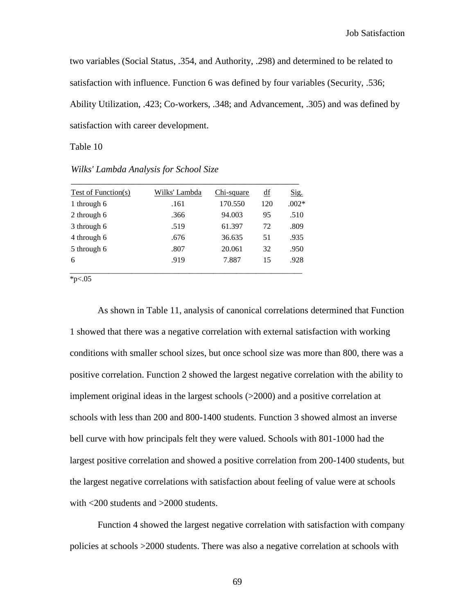two variables (Social Status, .354, and Authority, .298) and determined to be related to satisfaction with influence. Function 6 was defined by four variables (Security, .536; Ability Utilization, .423; Co-workers, .348; and Advancement, .305) and was defined by satisfaction with career development.

Table 10

| Test of Function(s) | Wilks' Lambda | Chi-square | df  | <u>Sig.</u> |
|---------------------|---------------|------------|-----|-------------|
| 1 through 6         | .161          | 170.550    | 120 | $.002*$     |
| 2 through 6         | .366          | 94.003     | 95  | .510        |
| 3 through 6         | .519          | 61.397     | 72  | .809        |
| 4 through 6         | .676          | 36.635     | 51  | .935        |
| 5 through 6         | .807          | 20.061     | 32  | .950        |
| 6                   | .919          | 7.887      | 15  | .928        |

*Wilks' Lambda Analysis for School Size*

 $*_{p<.05}$ 

As shown in Table 11, analysis of canonical correlations determined that Function 1 showed that there was a negative correlation with external satisfaction with working conditions with smaller school sizes, but once school size was more than 800, there was a positive correlation. Function 2 showed the largest negative correlation with the ability to implement original ideas in the largest schools (>2000) and a positive correlation at schools with less than 200 and 800-1400 students. Function 3 showed almost an inverse bell curve with how principals felt they were valued. Schools with 801-1000 had the largest positive correlation and showed a positive correlation from 200-1400 students, but the largest negative correlations with satisfaction about feeling of value were at schools with <200 students and >2000 students.

Function 4 showed the largest negative correlation with satisfaction with company policies at schools >2000 students. There was also a negative correlation at schools with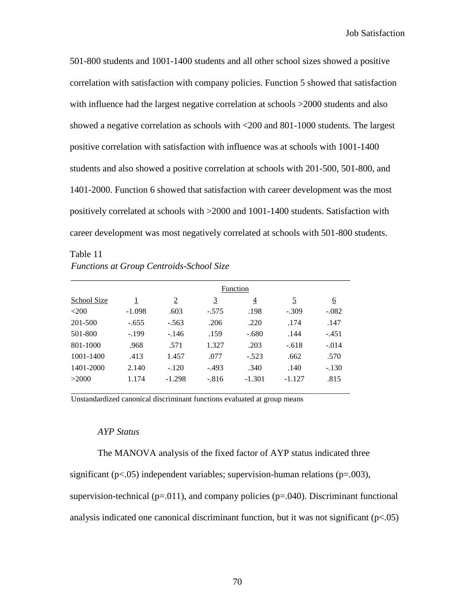501-800 students and 1001-1400 students and all other school sizes showed a positive correlation with satisfaction with company policies. Function 5 showed that satisfaction with influence had the largest negative correlation at schools  $>2000$  students and also showed a negative correlation as schools with <200 and 801-1000 students. The largest positive correlation with satisfaction with influence was at schools with 1001-1400 students and also showed a positive correlation at schools with 201-500, 501-800, and 1401-2000. Function 6 showed that satisfaction with career development was the most positively correlated at schools with >2000 and 1001-1400 students. Satisfaction with career development was most negatively correlated at schools with 501-800 students.

Table 11 *Functions at Group Centroids-School Size*

|             |          |                |          | Function       |          |          |
|-------------|----------|----------------|----------|----------------|----------|----------|
| School Size | <u>1</u> | $\overline{2}$ | <u>3</u> | $\overline{4}$ | <u>5</u> | <u>6</u> |
| $<$ 200     | $-1.098$ | .603           | $-.575$  | .198           | $-.309$  | $-.082$  |
| 201-500     | $-.655$  | $-.563$        | .206     | .220           | .174     | .147     |
| 501-800     | $-.199$  | $-.146$        | .159     | $-.680$        | .144     | $-.451$  |
| 801-1000    | .968     | .571           | 1.327    | .203           | $-.618$  | $-.014$  |
| 1001-1400   | .413     | 1.457          | .077     | $-.523$        | .662     | .570     |
| 1401-2000   | 2.140    | $-.120$        | $-.493$  | .340           | .140     | $-.130$  |
| >2000       | 1.174    | $-1.298$       | $-.816$  | $-1.301$       | $-1.127$ | .815     |

\_\_\_\_\_\_\_\_\_\_\_\_\_\_\_\_\_\_\_\_\_\_\_\_\_\_\_\_\_\_\_\_\_\_\_\_\_\_\_\_\_\_\_\_\_\_\_\_\_\_\_\_\_\_\_\_\_\_\_\_\_\_\_\_\_\_\_\_\_\_\_\_

Unstandardized canonical discriminant functions evaluated at group means

# *AYP Status*

The MANOVA analysis of the fixed factor of AYP status indicated three

significant ( $p<.05$ ) independent variables; supervision-human relations ( $p=.003$ ),

supervision-technical ( $p=0.011$ ), and company policies ( $p=0.040$ ). Discriminant functional

analysis indicated one canonical discriminant function, but it was not significant  $(p<.05)$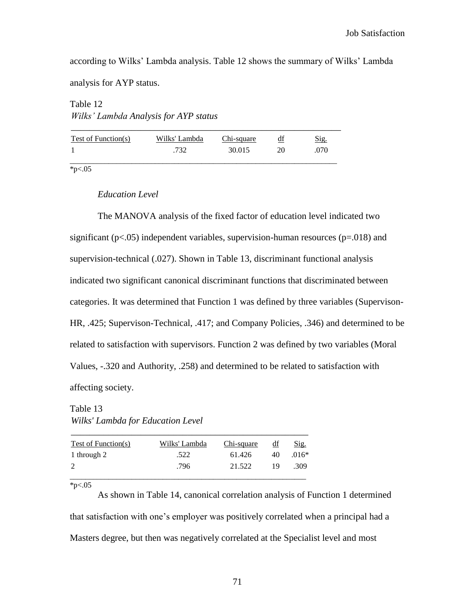according to Wilks" Lambda analysis. Table 12 shows the summary of Wilks" Lambda

analysis for AYP status.

Table 12 *Wilks' Lambda Analysis for AYP status*

| Test of Function(s) | Wilks' Lambda | Chi-square |    | Sig. |
|---------------------|---------------|------------|----|------|
|                     | .732          | 30.015     | 20 | 070  |
|                     |               |            |    |      |

 $*p<.05$ 

## *Education Level*

The MANOVA analysis of the fixed factor of education level indicated two significant ( $p<05$ ) independent variables, supervision-human resources ( $p=018$ ) and supervision-technical (.027). Shown in Table 13, discriminant functional analysis indicated two significant canonical discriminant functions that discriminated between categories. It was determined that Function 1 was defined by three variables (Supervison-HR, .425; Supervison-Technical, .417; and Company Policies, .346) and determined to be related to satisfaction with supervisors. Function 2 was defined by two variables (Moral Values, -.320 and Authority, .258) and determined to be related to satisfaction with affecting society.

Table 13 *Wilks' Lambda for Education Level*

| Test of Function(s) | Wilks' Lambda | Chi-square | df | Sig.    |
|---------------------|---------------|------------|----|---------|
| 1 through 2         | .522          | 61.426     | 40 | $.016*$ |
| 2                   | .796          | 21.522     | 19 | .309    |
|                     |               |            |    |         |

 $*_{p<.05}$ 

As shown in Table 14, canonical correlation analysis of Function 1 determined that satisfaction with one"s employer was positively correlated when a principal had a Masters degree, but then was negatively correlated at the Specialist level and most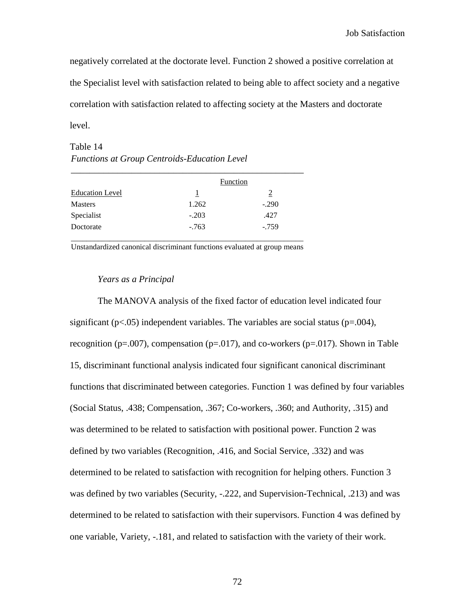negatively correlated at the doctorate level. Function 2 showed a positive correlation at the Specialist level with satisfaction related to being able to affect society and a negative correlation with satisfaction related to affecting society at the Masters and doctorate level.

Table 14 *Functions at Group Centroids-Education Level*

|                        |         | Function |
|------------------------|---------|----------|
| <b>Education Level</b> | 1       | 2        |
| <b>Masters</b>         | 1.262   | $-.290$  |
| Specialist             | $-.203$ | .427     |
| Doctorate              | $-763$  | $-.759$  |

Unstandardized canonical discriminant functions evaluated at group means

### *Years as a Principal*

The MANOVA analysis of the fixed factor of education level indicated four significant ( $p<.05$ ) independent variables. The variables are social status ( $p=0.004$ ), recognition ( $p=.007$ ), compensation ( $p=.017$ ), and co-workers ( $p=.017$ ). Shown in Table 15, discriminant functional analysis indicated four significant canonical discriminant functions that discriminated between categories. Function 1 was defined by four variables (Social Status, .438; Compensation, .367; Co-workers, .360; and Authority, .315) and was determined to be related to satisfaction with positional power. Function 2 was defined by two variables (Recognition, .416, and Social Service, .332) and was determined to be related to satisfaction with recognition for helping others. Function 3 was defined by two variables (Security, -.222, and Supervision-Technical, .213) and was determined to be related to satisfaction with their supervisors. Function 4 was defined by one variable, Variety, -.181, and related to satisfaction with the variety of their work.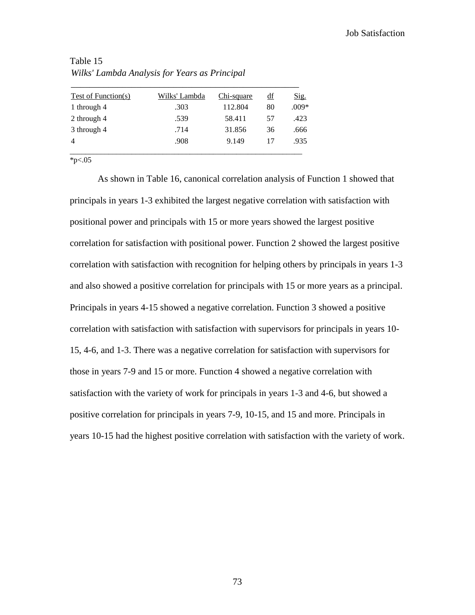| Test of Function(s) | Wilks' Lambda | Chi-square | df | Sig.    |
|---------------------|---------------|------------|----|---------|
| 1 through 4         | .303          | 112.804    | 80 | $.009*$ |
| 2 through 4         | .539          | 58.411     | 57 | .423    |
| 3 through 4         | .714          | 31.856     | 36 | .666    |
| 4                   | .908          | 9.149      | 17 | .935    |
|                     |               |            |    |         |

Table 15 *Wilks' Lambda Analysis for Years as Principal*

 $*_{p<.05}$ 

As shown in Table 16, canonical correlation analysis of Function 1 showed that principals in years 1-3 exhibited the largest negative correlation with satisfaction with positional power and principals with 15 or more years showed the largest positive correlation for satisfaction with positional power. Function 2 showed the largest positive correlation with satisfaction with recognition for helping others by principals in years 1-3 and also showed a positive correlation for principals with 15 or more years as a principal. Principals in years 4-15 showed a negative correlation. Function 3 showed a positive correlation with satisfaction with satisfaction with supervisors for principals in years 10- 15, 4-6, and 1-3. There was a negative correlation for satisfaction with supervisors for those in years 7-9 and 15 or more. Function 4 showed a negative correlation with satisfaction with the variety of work for principals in years 1-3 and 4-6, but showed a positive correlation for principals in years 7-9, 10-15, and 15 and more. Principals in years 10-15 had the highest positive correlation with satisfaction with the variety of work.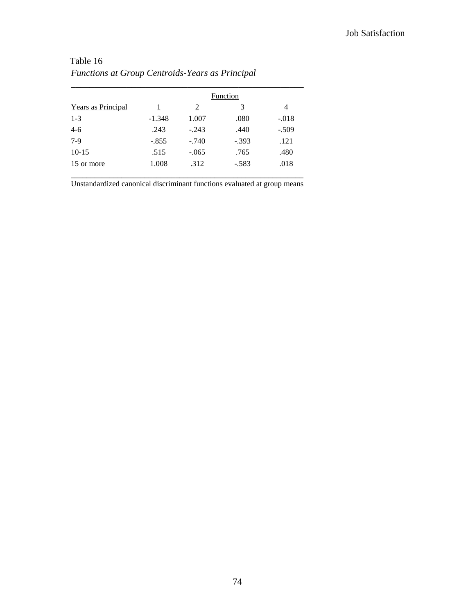|                    |          |                | Function       |                |
|--------------------|----------|----------------|----------------|----------------|
| Years as Principal | 1        | $\overline{2}$ | $\overline{3}$ | $\overline{4}$ |
| $1 - 3$            | $-1.348$ | 1.007          | .080           | $-.018$        |
| $4 - 6$            | .243     | $-.243$        | .440           | $-.509$        |
| $7-9$              | $-.855$  | $-.740$        | $-.393$        | .121           |
| $10-15$            | .515     | $-.065$        | .765           | .480           |
| 15 or more         | 1.008    | .312           | $-.583$        | .018           |

# Table 16 *Functions at Group Centroids-Years as Principal*

Unstandardized canonical discriminant functions evaluated at group means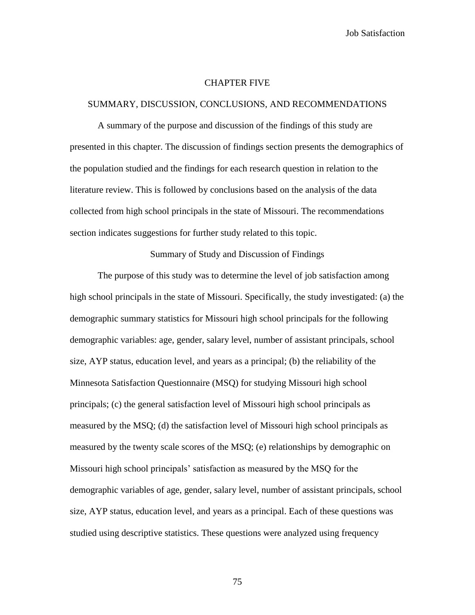#### CHAPTER FIVE

#### SUMMARY, DISCUSSION, CONCLUSIONS, AND RECOMMENDATIONS

A summary of the purpose and discussion of the findings of this study are presented in this chapter. The discussion of findings section presents the demographics of the population studied and the findings for each research question in relation to the literature review. This is followed by conclusions based on the analysis of the data collected from high school principals in the state of Missouri. The recommendations section indicates suggestions for further study related to this topic.

Summary of Study and Discussion of Findings

The purpose of this study was to determine the level of job satisfaction among high school principals in the state of Missouri. Specifically, the study investigated: (a) the demographic summary statistics for Missouri high school principals for the following demographic variables: age, gender, salary level, number of assistant principals, school size, AYP status, education level, and years as a principal; (b) the reliability of the Minnesota Satisfaction Questionnaire (MSQ) for studying Missouri high school principals; (c) the general satisfaction level of Missouri high school principals as measured by the MSQ; (d) the satisfaction level of Missouri high school principals as measured by the twenty scale scores of the MSQ; (e) relationships by demographic on Missouri high school principals" satisfaction as measured by the MSQ for the demographic variables of age, gender, salary level, number of assistant principals, school size, AYP status, education level, and years as a principal. Each of these questions was studied using descriptive statistics. These questions were analyzed using frequency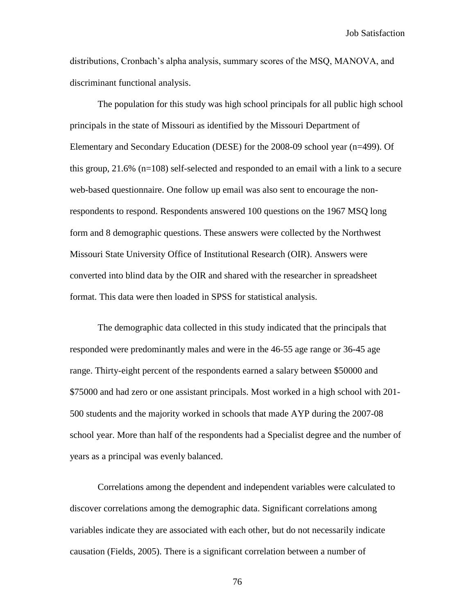distributions, Cronbach"s alpha analysis, summary scores of the MSQ, MANOVA, and discriminant functional analysis.

The population for this study was high school principals for all public high school principals in the state of Missouri as identified by the Missouri Department of Elementary and Secondary Education (DESE) for the 2008-09 school year (n=499). Of this group,  $21.6\%$  (n=108) self-selected and responded to an email with a link to a secure web-based questionnaire. One follow up email was also sent to encourage the nonrespondents to respond. Respondents answered 100 questions on the 1967 MSQ long form and 8 demographic questions. These answers were collected by the Northwest Missouri State University Office of Institutional Research (OIR). Answers were converted into blind data by the OIR and shared with the researcher in spreadsheet format. This data were then loaded in SPSS for statistical analysis.

The demographic data collected in this study indicated that the principals that responded were predominantly males and were in the 46-55 age range or 36-45 age range. Thirty-eight percent of the respondents earned a salary between \$50000 and \$75000 and had zero or one assistant principals. Most worked in a high school with 201- 500 students and the majority worked in schools that made AYP during the 2007-08 school year. More than half of the respondents had a Specialist degree and the number of years as a principal was evenly balanced.

Correlations among the dependent and independent variables were calculated to discover correlations among the demographic data. Significant correlations among variables indicate they are associated with each other, but do not necessarily indicate causation (Fields, 2005). There is a significant correlation between a number of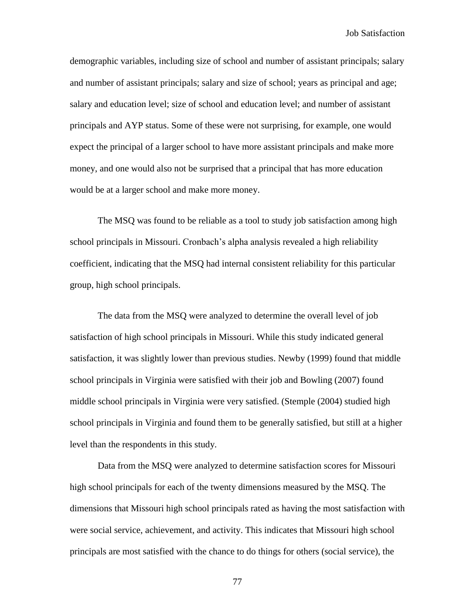demographic variables, including size of school and number of assistant principals; salary and number of assistant principals; salary and size of school; years as principal and age; salary and education level; size of school and education level; and number of assistant principals and AYP status. Some of these were not surprising, for example, one would expect the principal of a larger school to have more assistant principals and make more money, and one would also not be surprised that a principal that has more education would be at a larger school and make more money.

The MSQ was found to be reliable as a tool to study job satisfaction among high school principals in Missouri. Cronbach"s alpha analysis revealed a high reliability coefficient, indicating that the MSQ had internal consistent reliability for this particular group, high school principals.

The data from the MSQ were analyzed to determine the overall level of job satisfaction of high school principals in Missouri. While this study indicated general satisfaction, it was slightly lower than previous studies. Newby (1999) found that middle school principals in Virginia were satisfied with their job and Bowling (2007) found middle school principals in Virginia were very satisfied. (Stemple (2004) studied high school principals in Virginia and found them to be generally satisfied, but still at a higher level than the respondents in this study.

Data from the MSQ were analyzed to determine satisfaction scores for Missouri high school principals for each of the twenty dimensions measured by the MSQ. The dimensions that Missouri high school principals rated as having the most satisfaction with were social service, achievement, and activity. This indicates that Missouri high school principals are most satisfied with the chance to do things for others (social service), the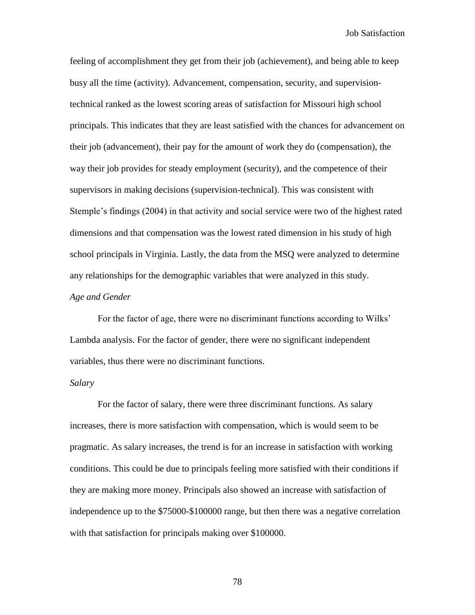feeling of accomplishment they get from their job (achievement), and being able to keep busy all the time (activity). Advancement, compensation, security, and supervisiontechnical ranked as the lowest scoring areas of satisfaction for Missouri high school principals. This indicates that they are least satisfied with the chances for advancement on their job (advancement), their pay for the amount of work they do (compensation), the way their job provides for steady employment (security), and the competence of their supervisors in making decisions (supervision-technical). This was consistent with Stemple"s findings (2004) in that activity and social service were two of the highest rated dimensions and that compensation was the lowest rated dimension in his study of high school principals in Virginia. Lastly, the data from the MSQ were analyzed to determine any relationships for the demographic variables that were analyzed in this study. *Age and Gender*

For the factor of age, there were no discriminant functions according to Wilks" Lambda analysis. For the factor of gender, there were no significant independent variables, thus there were no discriminant functions.

## *Salary*

For the factor of salary, there were three discriminant functions. As salary increases, there is more satisfaction with compensation, which is would seem to be pragmatic. As salary increases, the trend is for an increase in satisfaction with working conditions. This could be due to principals feeling more satisfied with their conditions if they are making more money. Principals also showed an increase with satisfaction of independence up to the \$75000-\$100000 range, but then there was a negative correlation with that satisfaction for principals making over \$100000.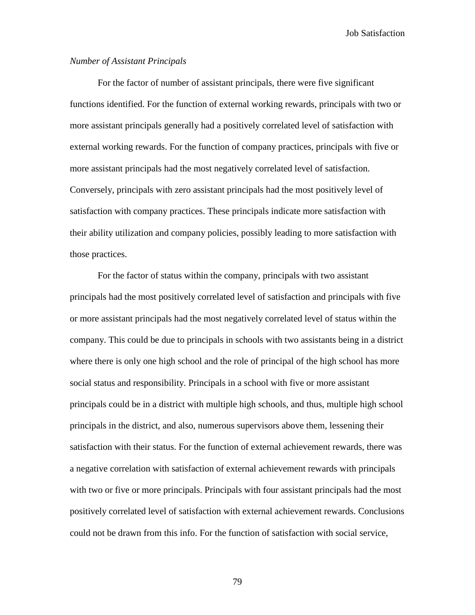# *Number of Assistant Principals*

For the factor of number of assistant principals, there were five significant functions identified. For the function of external working rewards, principals with two or more assistant principals generally had a positively correlated level of satisfaction with external working rewards. For the function of company practices, principals with five or more assistant principals had the most negatively correlated level of satisfaction. Conversely, principals with zero assistant principals had the most positively level of satisfaction with company practices. These principals indicate more satisfaction with their ability utilization and company policies, possibly leading to more satisfaction with those practices.

For the factor of status within the company, principals with two assistant principals had the most positively correlated level of satisfaction and principals with five or more assistant principals had the most negatively correlated level of status within the company. This could be due to principals in schools with two assistants being in a district where there is only one high school and the role of principal of the high school has more social status and responsibility. Principals in a school with five or more assistant principals could be in a district with multiple high schools, and thus, multiple high school principals in the district, and also, numerous supervisors above them, lessening their satisfaction with their status. For the function of external achievement rewards, there was a negative correlation with satisfaction of external achievement rewards with principals with two or five or more principals. Principals with four assistant principals had the most positively correlated level of satisfaction with external achievement rewards. Conclusions could not be drawn from this info. For the function of satisfaction with social service,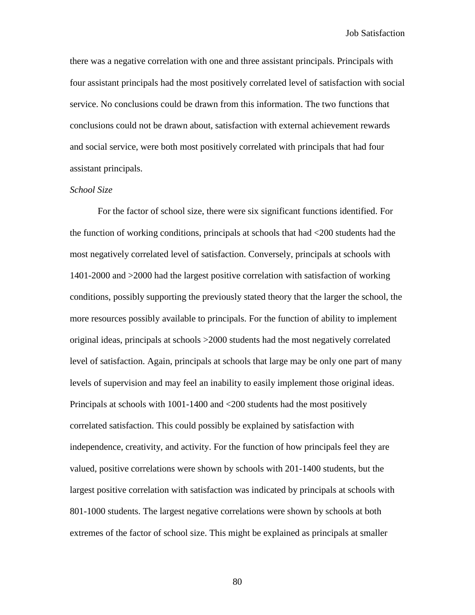there was a negative correlation with one and three assistant principals. Principals with four assistant principals had the most positively correlated level of satisfaction with social service. No conclusions could be drawn from this information. The two functions that conclusions could not be drawn about, satisfaction with external achievement rewards and social service, were both most positively correlated with principals that had four assistant principals.

## *School Size*

For the factor of school size, there were six significant functions identified. For the function of working conditions, principals at schools that had <200 students had the most negatively correlated level of satisfaction. Conversely, principals at schools with 1401-2000 and >2000 had the largest positive correlation with satisfaction of working conditions, possibly supporting the previously stated theory that the larger the school, the more resources possibly available to principals. For the function of ability to implement original ideas, principals at schools >2000 students had the most negatively correlated level of satisfaction. Again, principals at schools that large may be only one part of many levels of supervision and may feel an inability to easily implement those original ideas. Principals at schools with 1001-1400 and <200 students had the most positively correlated satisfaction. This could possibly be explained by satisfaction with independence, creativity, and activity. For the function of how principals feel they are valued, positive correlations were shown by schools with 201-1400 students, but the largest positive correlation with satisfaction was indicated by principals at schools with 801-1000 students. The largest negative correlations were shown by schools at both extremes of the factor of school size. This might be explained as principals at smaller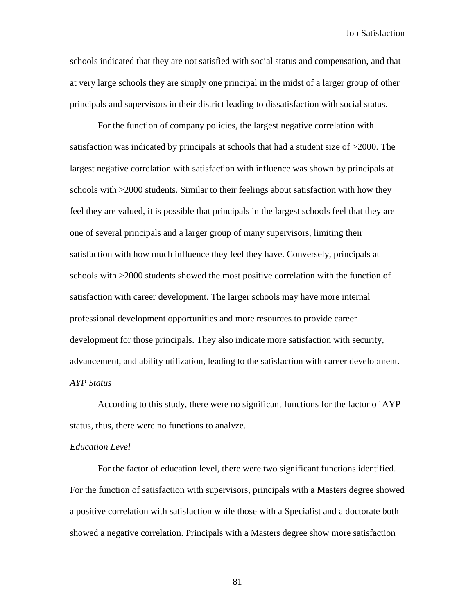schools indicated that they are not satisfied with social status and compensation, and that at very large schools they are simply one principal in the midst of a larger group of other principals and supervisors in their district leading to dissatisfaction with social status.

For the function of company policies, the largest negative correlation with satisfaction was indicated by principals at schools that had a student size of >2000. The largest negative correlation with satisfaction with influence was shown by principals at schools with >2000 students. Similar to their feelings about satisfaction with how they feel they are valued, it is possible that principals in the largest schools feel that they are one of several principals and a larger group of many supervisors, limiting their satisfaction with how much influence they feel they have. Conversely, principals at schools with >2000 students showed the most positive correlation with the function of satisfaction with career development. The larger schools may have more internal professional development opportunities and more resources to provide career development for those principals. They also indicate more satisfaction with security, advancement, and ability utilization, leading to the satisfaction with career development. *AYP Status*

According to this study, there were no significant functions for the factor of AYP status, thus, there were no functions to analyze.

#### *Education Level*

For the factor of education level, there were two significant functions identified. For the function of satisfaction with supervisors, principals with a Masters degree showed a positive correlation with satisfaction while those with a Specialist and a doctorate both showed a negative correlation. Principals with a Masters degree show more satisfaction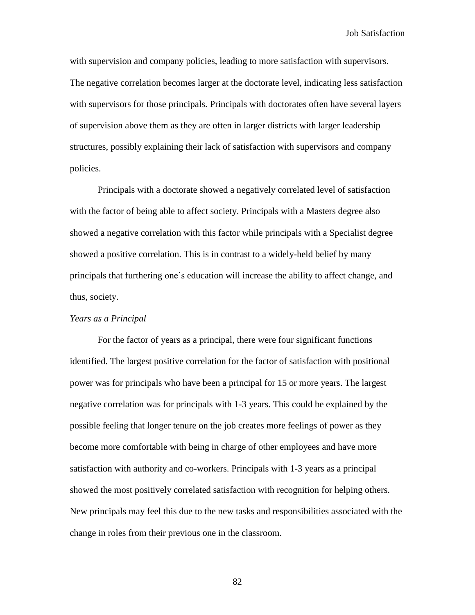with supervision and company policies, leading to more satisfaction with supervisors. The negative correlation becomes larger at the doctorate level, indicating less satisfaction with supervisors for those principals. Principals with doctorates often have several layers of supervision above them as they are often in larger districts with larger leadership structures, possibly explaining their lack of satisfaction with supervisors and company policies.

Principals with a doctorate showed a negatively correlated level of satisfaction with the factor of being able to affect society. Principals with a Masters degree also showed a negative correlation with this factor while principals with a Specialist degree showed a positive correlation. This is in contrast to a widely-held belief by many principals that furthering one"s education will increase the ability to affect change, and thus, society.

# *Years as a Principal*

For the factor of years as a principal, there were four significant functions identified. The largest positive correlation for the factor of satisfaction with positional power was for principals who have been a principal for 15 or more years. The largest negative correlation was for principals with 1-3 years. This could be explained by the possible feeling that longer tenure on the job creates more feelings of power as they become more comfortable with being in charge of other employees and have more satisfaction with authority and co-workers. Principals with 1-3 years as a principal showed the most positively correlated satisfaction with recognition for helping others. New principals may feel this due to the new tasks and responsibilities associated with the change in roles from their previous one in the classroom.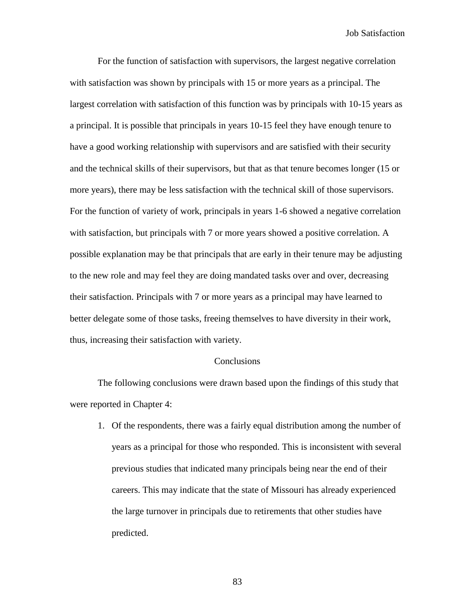For the function of satisfaction with supervisors, the largest negative correlation with satisfaction was shown by principals with 15 or more years as a principal. The largest correlation with satisfaction of this function was by principals with 10-15 years as a principal. It is possible that principals in years 10-15 feel they have enough tenure to have a good working relationship with supervisors and are satisfied with their security and the technical skills of their supervisors, but that as that tenure becomes longer (15 or more years), there may be less satisfaction with the technical skill of those supervisors. For the function of variety of work, principals in years 1-6 showed a negative correlation with satisfaction, but principals with 7 or more years showed a positive correlation. A possible explanation may be that principals that are early in their tenure may be adjusting to the new role and may feel they are doing mandated tasks over and over, decreasing their satisfaction. Principals with 7 or more years as a principal may have learned to better delegate some of those tasks, freeing themselves to have diversity in their work, thus, increasing their satisfaction with variety.

#### **Conclusions**

The following conclusions were drawn based upon the findings of this study that were reported in Chapter 4:

1. Of the respondents, there was a fairly equal distribution among the number of years as a principal for those who responded. This is inconsistent with several previous studies that indicated many principals being near the end of their careers. This may indicate that the state of Missouri has already experienced the large turnover in principals due to retirements that other studies have predicted.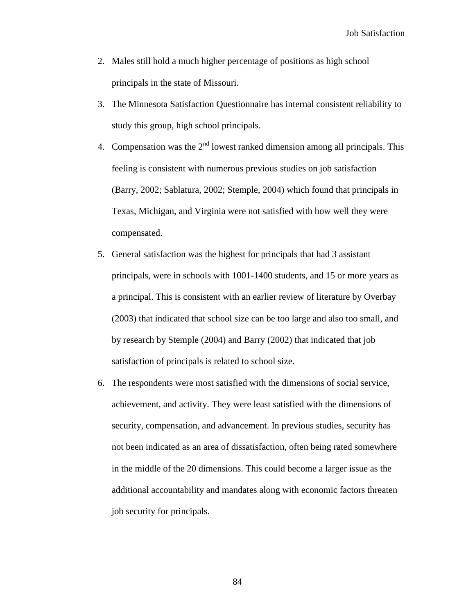- 2. Males still hold a much higher percentage of positions as high school principals in the state of Missouri.
- 3. The Minnesota Satisfaction Questionnaire has internal consistent reliability to study this group, high school principals.
- 4. Compensation was the  $2<sup>nd</sup>$  lowest ranked dimension among all principals. This feeling is consistent with numerous previous studies on job satisfaction (Barry, 2002; Sablatura, 2002; Stemple, 2004) which found that principals in Texas, Michigan, and Virginia were not satisfied with how well they were compensated.
- 5. General satisfaction was the highest for principals that had 3 assistant principals, were in schools with 1001-1400 students, and 15 or more years as a principal. This is consistent with an earlier review of literature by Overbay (2003) that indicated that school size can be too large and also too small, and by research by Stemple (2004) and Barry (2002) that indicated that job satisfaction of principals is related to school size.
- 6. The respondents were most satisfied with the dimensions of social service, achievement, and activity. They were least satisfied with the dimensions of security, compensation, and advancement. In previous studies, security has not been indicated as an area of dissatisfaction, often being rated somewhere in the middle of the 20 dimensions. This could become a larger issue as the additional accountability and mandates along with economic factors threaten job security for principals.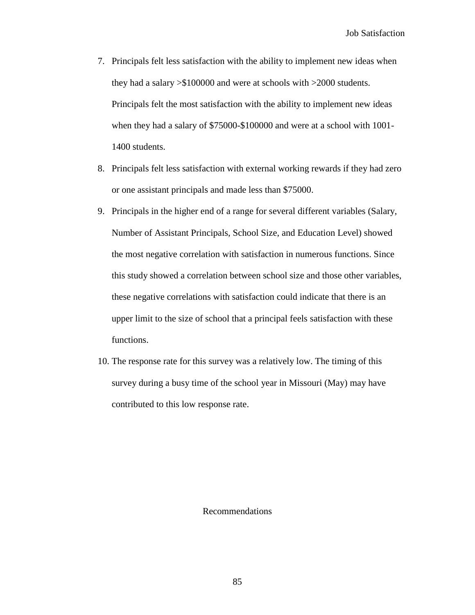- 7. Principals felt less satisfaction with the ability to implement new ideas when they had a salary >\$100000 and were at schools with >2000 students. Principals felt the most satisfaction with the ability to implement new ideas when they had a salary of \$75000-\$100000 and were at a school with 1001- 1400 students.
- 8. Principals felt less satisfaction with external working rewards if they had zero or one assistant principals and made less than \$75000.
- 9. Principals in the higher end of a range for several different variables (Salary, Number of Assistant Principals, School Size, and Education Level) showed the most negative correlation with satisfaction in numerous functions. Since this study showed a correlation between school size and those other variables, these negative correlations with satisfaction could indicate that there is an upper limit to the size of school that a principal feels satisfaction with these functions.
- 10. The response rate for this survey was a relatively low. The timing of this survey during a busy time of the school year in Missouri (May) may have contributed to this low response rate.

Recommendations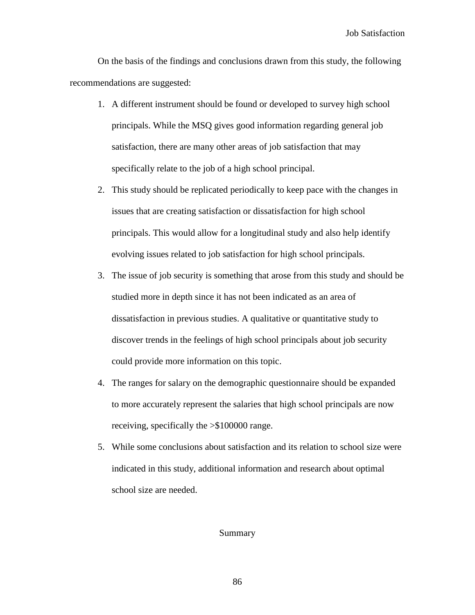On the basis of the findings and conclusions drawn from this study, the following recommendations are suggested:

- 1. A different instrument should be found or developed to survey high school principals. While the MSQ gives good information regarding general job satisfaction, there are many other areas of job satisfaction that may specifically relate to the job of a high school principal.
- 2. This study should be replicated periodically to keep pace with the changes in issues that are creating satisfaction or dissatisfaction for high school principals. This would allow for a longitudinal study and also help identify evolving issues related to job satisfaction for high school principals.
- 3. The issue of job security is something that arose from this study and should be studied more in depth since it has not been indicated as an area of dissatisfaction in previous studies. A qualitative or quantitative study to discover trends in the feelings of high school principals about job security could provide more information on this topic.
- 4. The ranges for salary on the demographic questionnaire should be expanded to more accurately represent the salaries that high school principals are now receiving, specifically the >\$100000 range.
- 5. While some conclusions about satisfaction and its relation to school size were indicated in this study, additional information and research about optimal school size are needed.

#### Summary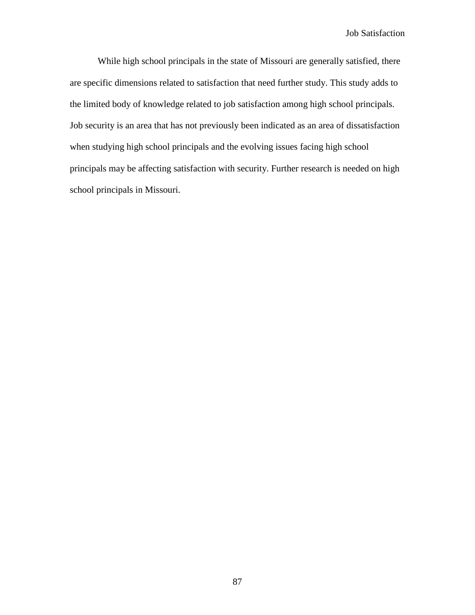While high school principals in the state of Missouri are generally satisfied, there are specific dimensions related to satisfaction that need further study. This study adds to the limited body of knowledge related to job satisfaction among high school principals. Job security is an area that has not previously been indicated as an area of dissatisfaction when studying high school principals and the evolving issues facing high school principals may be affecting satisfaction with security. Further research is needed on high school principals in Missouri.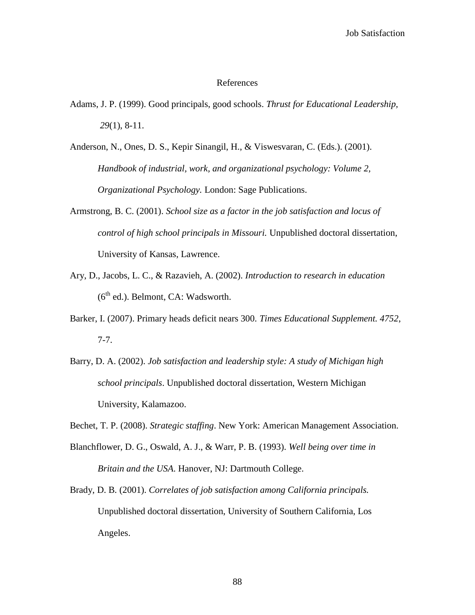## References

- Adams, J. P. (1999). Good principals, good schools. *Thrust for Educational Leadership, 29*(1), 8-11.
- Anderson, N., Ones, D. S., Kepir Sinangil, H., & Viswesvaran, C. (Eds.). (2001). *Handbook of industrial, work, and organizational psychology: Volume 2, Organizational Psychology.* London: Sage Publications.
- Armstrong, B. C. (2001). *School size as a factor in the job satisfaction and locus of control of high school principals in Missouri.* Unpublished doctoral dissertation, University of Kansas, Lawrence.
- Ary, D., Jacobs, L. C., & Razavieh, A. (2002). *Introduction to research in education*  $(6^{th}$  ed.). Belmont, CA: Wadsworth.
- Barker, I. (2007). Primary heads deficit nears 300. *Times Educational Supplement. 4752*, 7-7.
- Barry, D. A. (2002). *Job satisfaction and leadership style: A study of Michigan high school principals*. Unpublished doctoral dissertation, Western Michigan University, Kalamazoo.
- Bechet, T. P. (2008). *Strategic staffing*. New York: American Management Association.
- Blanchflower, D. G., Oswald, A. J., & Warr, P. B. (1993). *Well being over time in Britain and the USA*. Hanover, NJ: Dartmouth College.
- Brady, D. B. (2001). *Correlates of job satisfaction among California principals.* Unpublished doctoral dissertation, University of Southern California, Los Angeles.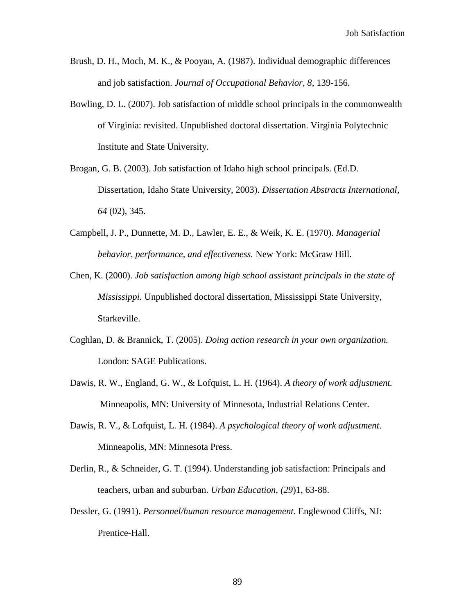- Brush, D. H., Moch, M. K., & Pooyan, A. (1987). Individual demographic differences and job satisfaction. *Journal of Occupational Behavior, 8,* 139-156.
- Bowling, D. L. (2007). Job satisfaction of middle school principals in the commonwealth of Virginia: revisited. Unpublished doctoral dissertation. Virginia Polytechnic Institute and State University.
- Brogan, G. B. (2003). Job satisfaction of Idaho high school principals. (Ed.D. Dissertation, Idaho State University, 2003). *Dissertation Abstracts International, 64* (02), 345.
- Campbell, J. P., Dunnette, M. D., Lawler, E. E., & Weik, K. E. (1970). *Managerial behavior, performance, and effectiveness.* New York: McGraw Hill.
- Chen, K. (2000). *Job satisfaction among high school assistant principals in the state of Mississippi.* Unpublished doctoral dissertation, Mississippi State University, Starkeville.
- Coghlan, D. & Brannick, T. (2005). *Doing action research in your own organization.* London: SAGE Publications.
- Dawis, R. W., England, G. W., & Lofquist, L. H. (1964). *A theory of work adjustment.* Minneapolis, MN: University of Minnesota, Industrial Relations Center.
- Dawis, R. V., & Lofquist, L. H. (1984). *A psychological theory of work adjustment*. Minneapolis, MN: Minnesota Press.
- Derlin, R., & Schneider, G. T. (1994). Understanding job satisfaction: Principals and teachers, urban and suburban. *Urban Education, (29*)1, 63-88.
- Dessler, G. (1991). *Personnel/human resource management*. Englewood Cliffs, NJ: Prentice-Hall.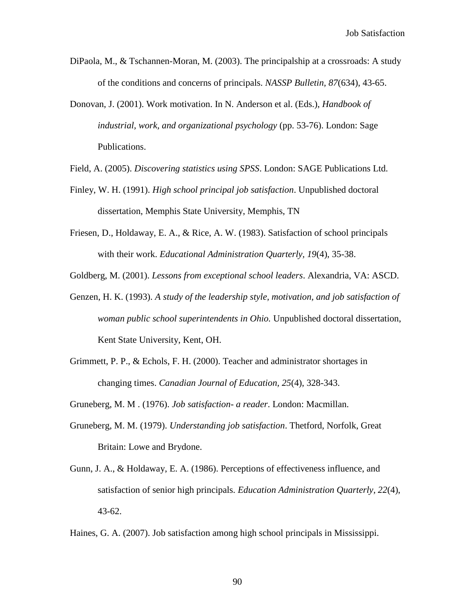- DiPaola, M., & Tschannen-Moran, M. (2003). The principalship at a crossroads: A study of the conditions and concerns of principals. *NASSP Bulletin, 87*(634), 43-65.
- Donovan, J. (2001). Work motivation. In N. Anderson et al. (Eds.), *Handbook of industrial, work, and organizational psychology* (pp. 53-76). London: Sage Publications.
- Field, A. (2005). *Discovering statistics using SPSS*. London: SAGE Publications Ltd.
- Finley, W. H. (1991). *High school principal job satisfaction*. Unpublished doctoral dissertation, Memphis State University, Memphis, TN
- Friesen, D., Holdaway, E. A., & Rice, A. W. (1983). Satisfaction of school principals with their work. *Educational Administration Quarterly, 19*(4), 35-38.

Goldberg, M. (2001). *Lessons from exceptional school leaders*. Alexandria, VA: ASCD.

- Genzen, H. K. (1993). *A study of the leadership style, motivation, and job satisfaction of woman public school superintendents in Ohio.* Unpublished doctoral dissertation, Kent State University, Kent, OH.
- Grimmett, P. P., & Echols, F. H. (2000). Teacher and administrator shortages in changing times. *Canadian Journal of Education, 25*(4), 328-343.
- Gruneberg, M. M . (1976). *Job satisfaction- a reader*. London: Macmillan.
- Gruneberg, M. M. (1979). *Understanding job satisfaction*. Thetford, Norfolk, Great Britain: Lowe and Brydone.
- Gunn, J. A., & Holdaway, E. A. (1986). Perceptions of effectiveness influence, and satisfaction of senior high principals. *Education Administration Quarterly, 22*(4), 43-62.
- Haines, G. A. (2007). Job satisfaction among high school principals in Mississippi.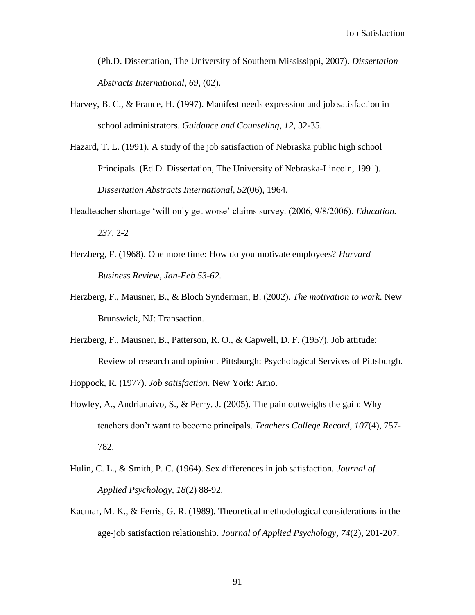(Ph.D. Dissertation, The University of Southern Mississippi, 2007). *Dissertation Abstracts International, 69*, (02).

- Harvey, B. C., & France, H. (1997). Manifest needs expression and job satisfaction in school administrators. *Guidance and Counseling, 12*, 32-35.
- Hazard, T. L. (1991). A study of the job satisfaction of Nebraska public high school Principals. (Ed.D. Dissertation, The University of Nebraska-Lincoln, 1991). *Dissertation Abstracts International, 52*(06), 1964.
- Headteacher shortage "will only get worse" claims survey. (2006, 9/8/2006). *Education. 237*, 2-2
- Herzberg, F. (1968). One more time: How do you motivate employees? *Harvard Business Review, Jan-Feb 53-62.*
- Herzberg, F., Mausner, B., & Bloch Synderman, B. (2002). *The motivation to work*. New Brunswick, NJ: Transaction.
- Herzberg, F., Mausner, B., Patterson, R. O., & Capwell, D. F. (1957). Job attitude: Review of research and opinion. Pittsburgh: Psychological Services of Pittsburgh.
- Hoppock, R. (1977). *Job satisfaction*. New York: Arno.
- Howley, A., Andrianaivo, S., & Perry. J. (2005). The pain outweighs the gain: Why teachers don"t want to become principals. *Teachers College Record*, *107*(4), 757- 782.
- Hulin, C. L., & Smith, P. C. (1964). Sex differences in job satisfaction. *Journal of Applied Psychology, 18*(2) 88-92.
- Kacmar, M. K., & Ferris, G. R. (1989). Theoretical methodological considerations in the age-job satisfaction relationship. *Journal of Applied Psychology, 74*(2), 201-207.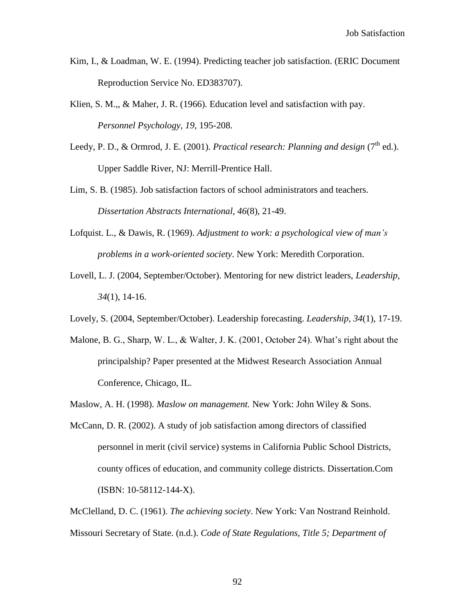- Kim, I., & Loadman, W. E. (1994). Predicting teacher job satisfaction. (ERIC Document Reproduction Service No. ED383707).
- Klien, S. M.,, & Maher, J. R. (1966). Education level and satisfaction with pay. *Personnel Psychology, 19,* 195-208.
- Leedy, P. D., & Ormrod, J. E. (2001). *Practical research: Planning and design* (7<sup>th</sup> ed.). Upper Saddle River, NJ: Merrill-Prentice Hall.
- Lim, S. B. (1985). Job satisfaction factors of school administrators and teachers. *Dissertation Abstracts International, 46*(8), 21-49.
- Lofquist. L., & Dawis, R. (1969). *Adjustment to work: a psychological view of man's problems in a work-oriented society*. New York: Meredith Corporation.
- Lovell, L. J. (2004, September/October). Mentoring for new district leaders, *Leadership, 34*(1), 14-16.
- Lovely, S. (2004, September/October). Leadership forecasting. *Leadership, 34*(1), 17-19.
- Malone, B. G., Sharp, W. L., & Walter, J. K. (2001, October 24). What's right about the principalship? Paper presented at the Midwest Research Association Annual Conference, Chicago, IL.
- Maslow, A. H. (1998). *Maslow on management.* New York: John Wiley & Sons.
- McCann, D. R. (2002). A study of job satisfaction among directors of classified personnel in merit (civil service) systems in California Public School Districts, county offices of education, and community college districts. Dissertation.Com (ISBN: 10-58112-144-X).

McClelland, D. C. (1961). *The achieving society*. New York: Van Nostrand Reinhold. Missouri Secretary of State. (n.d.). *Code of State Regulations, Title 5; Department of*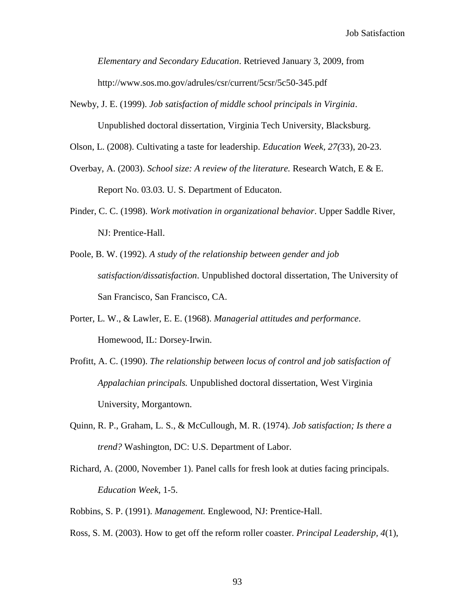*Elementary and Secondary Education*. Retrieved January 3, 2009, from http://www.sos.mo.gov/adrules/csr/current/5csr/5c50-345.pdf

Newby, J. E. (1999). *Job satisfaction of middle school principals in Virginia*.

Unpublished doctoral dissertation, Virginia Tech University, Blacksburg.

Olson, L. (2008). Cultivating a taste for leadership. *Education Week, 27(*33), 20-23.

- Overbay, A. (2003). *School size: A review of the literature.* Research Watch, E & E. Report No. 03.03. U. S. Department of Educaton.
- Pinder, C. C. (1998). *Work motivation in organizational behavior*. Upper Saddle River, NJ: Prentice-Hall.
- Poole, B. W. (1992). *A study of the relationship between gender and job satisfaction/dissatisfaction*. Unpublished doctoral dissertation, The University of San Francisco, San Francisco, CA.
- Porter, L. W., & Lawler, E. E. (1968). *Managerial attitudes and performance*. Homewood, IL: Dorsey-Irwin.
- Profitt, A. C. (1990). *The relationship between locus of control and job satisfaction of Appalachian principals.* Unpublished doctoral dissertation, West Virginia University, Morgantown.
- Quinn, R. P., Graham, L. S., & McCullough, M. R. (1974). *Job satisfaction; Is there a trend?* Washington, DC: U.S. Department of Labor.
- Richard, A. (2000, November 1). Panel calls for fresh look at duties facing principals. *Education Week*, 1-5.
- Robbins, S. P. (1991). *Management.* Englewood, NJ: Prentice-Hall.
- Ross, S. M. (2003). How to get off the reform roller coaster. *Principal Leadership, 4*(1),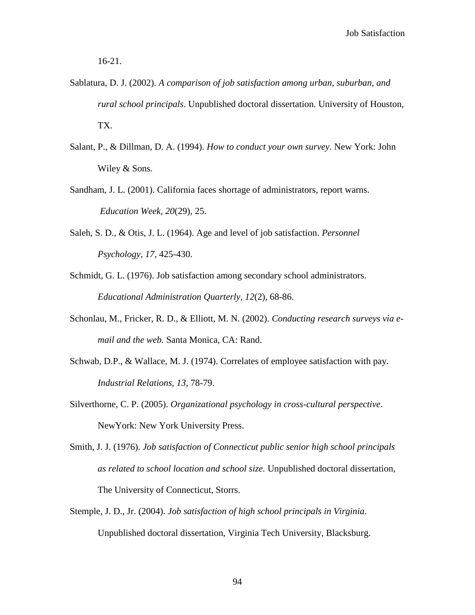16-21.

- Sablatura, D. J. (2002). *A comparison of job satisfaction among urban, suburban, and rural school principals*. Unpublished doctoral dissertation. University of Houston, TX.
- Salant, P., & Dillman, D. A. (1994). *How to conduct your own survey*. New York: John Wiley & Sons.
- Sandham, J. L. (2001). California faces shortage of administrators, report warns. *Education Week, 20*(29), 25.
- Saleh, S. D., & Otis, J. L. (1964). Age and level of job satisfaction. *Personnel Psychology, 17*, 425-430.
- Schmidt, G. L. (1976). Job satisfaction among secondary school administrators. *Educational Administration Quarterly, 12*(2), 68-86.
- Schonlau, M., Fricker, R. D., & Elliott, M. N. (2002). *Conducting research surveys via email and the web.* Santa Monica, CA: Rand.
- Schwab, D.P., & Wallace, M. J. (1974). Correlates of employee satisfaction with pay. *Industrial Relations, 13*, 78-79.
- Silverthorne, C. P. (2005). *Organizational psychology in cross-cultural perspective*. NewYork: New York University Press.
- Smith, J. J. (1976). *Job satisfaction of Connecticut public senior high school principals as related to school location and school size.* Unpublished doctoral dissertation, The University of Connecticut, Storrs.
- Stemple, J. D., Jr. (2004). *Job satisfaction of high school principals in Virginia*. Unpublished doctoral dissertation, Virginia Tech University, Blacksburg.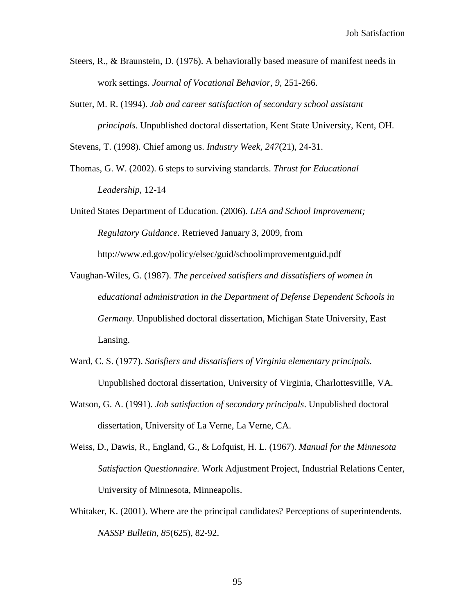- Steers, R., & Braunstein, D. (1976). A behaviorally based measure of manifest needs in work settings*. Journal of Vocational Behavior, 9,* 251-266.
- Sutter, M. R. (1994). *Job and career satisfaction of secondary school assistant principals*. Unpublished doctoral dissertation, Kent State University, Kent, OH.

Stevens, T. (1998). Chief among us. *Industry Week, 247*(21), 24-31.

- Thomas, G. W. (2002). 6 steps to surviving standards. *Thrust for Educational Leadership*, 12-14
- United States Department of Education. (2006). *LEA and School Improvement; Regulatory Guidance.* Retrieved January 3, 2009, from http://www.ed.gov/policy/elsec/guid/schoolimprovementguid.pdf
- Vaughan-Wiles, G. (1987). *The perceived satisfiers and dissatisfiers of women in educational administration in the Department of Defense Dependent Schools in Germany.* Unpublished doctoral dissertation, Michigan State University, East Lansing.
- Ward, C. S. (1977). *Satisfiers and dissatisfiers of Virginia elementary principals.* Unpublished doctoral dissertation, University of Virginia, Charlottesviille, VA.
- Watson, G. A. (1991). *Job satisfaction of secondary principals*. Unpublished doctoral dissertation, University of La Verne, La Verne, CA.
- Weiss, D., Dawis, R., England, G., & Lofquist, H. L. (1967). *Manual for the Minnesota Satisfaction Questionnaire.* Work Adjustment Project, Industrial Relations Center, University of Minnesota, Minneapolis.
- Whitaker, K. (2001). Where are the principal candidates? Perceptions of superintendents. *NASSP Bulletin, 85*(625), 82-92.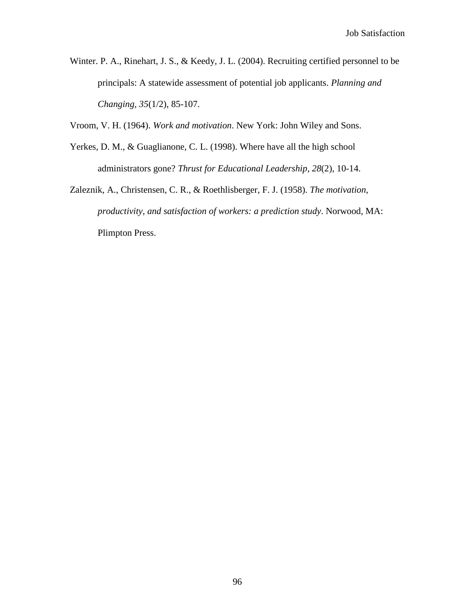Winter. P. A., Rinehart, J. S., & Keedy, J. L. (2004). Recruiting certified personnel to be principals: A statewide assessment of potential job applicants. *Planning and Changing, 35*(1/2), 85-107.

Vroom, V. H. (1964). *Work and motivation*. New York: John Wiley and Sons.

- Yerkes, D. M., & Guaglianone, C. L. (1998). Where have all the high school administrators gone? *Thrust for Educational Leadership*, *28*(2), 10-14.
- Zaleznik, A., Christensen, C. R., & Roethlisberger, F. J. (1958). *The motivation, productivity, and satisfaction of workers: a prediction study*. Norwood, MA: Plimpton Press.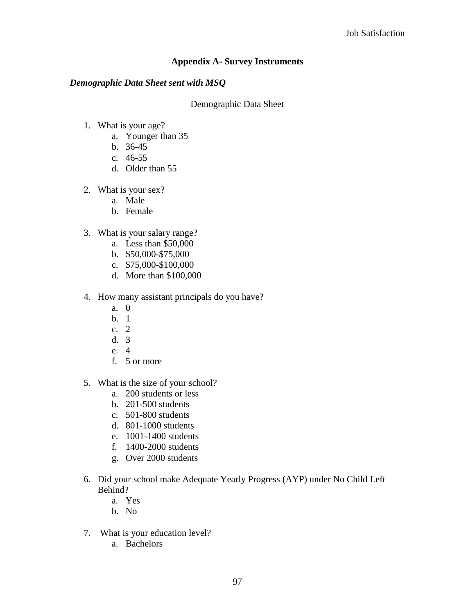# **Appendix A- Survey Instruments**

# *Demographic Data Sheet sent with MSQ*

# Demographic Data Sheet

- 1. What is your age?
	- a. Younger than 35
	- b. 36-45
	- c. 46-55
	- d. Older than 55
- 2. What is your sex?
	- a. Male
	- b. Female
- 3. What is your salary range?
	- a. Less than \$50,000
	- b. \$50,000-\$75,000
	- c. \$75,000-\$100,000
	- d. More than \$100,000
- 4. How many assistant principals do you have?
	- a. 0
	- b. 1
	- c. 2
	- d. 3
	- e. 4
	- f. 5 or more
- 5. What is the size of your school?
	- a. 200 students or less
	- b. 201-500 students
	- c. 501-800 students
	- d. 801-1000 students
	- e. 1001-1400 students
	- f. 1400-2000 students
	- g. Over 2000 students
- 6. Did your school make Adequate Yearly Progress (AYP) under No Child Left Behind?
	- a. Yes
	- b. No
- 7. What is your education level?
	- a. Bachelors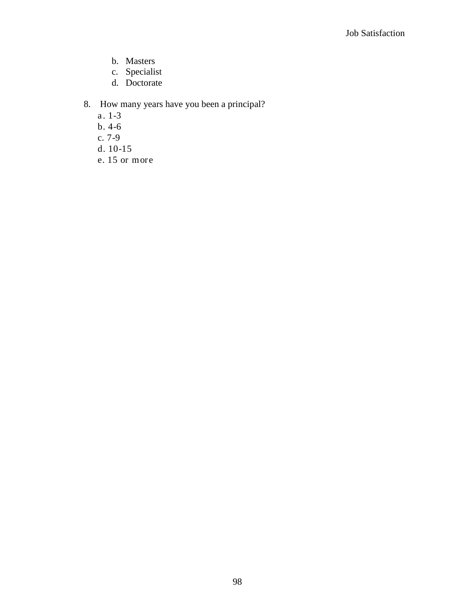- b. Masters
- c. Specialist
- d. Doctorate

# 8. How many years have you been a principal?

- a. 1-3
- b. 4-6
- c. 7-9
- d. 10-15
- e. 15 or more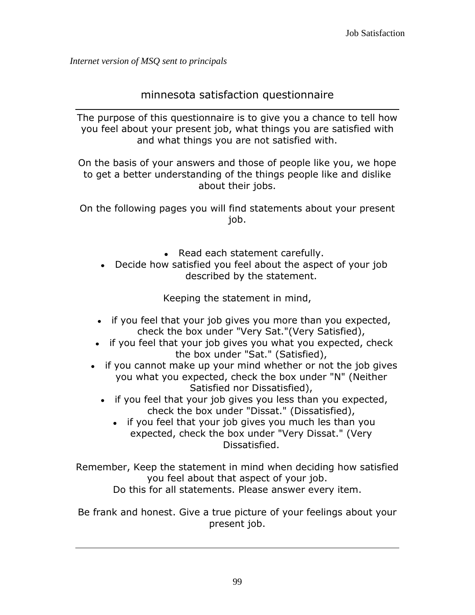*Internet version of MSQ sent to principals*

# minnesota satisfaction questionnaire

The purpose of this questionnaire is to give you a chance to tell how you feel about your present job, what things you are satisfied with and what things you are not satisfied with.

On the basis of your answers and those of people like you, we hope to get a better understanding of the things people like and dislike about their jobs.

On the following pages you will find statements about your present job.

- Read each statement carefully.
- Decide how satisfied you feel about the aspect of your job described by the statement.

Keeping the statement in mind,

- if you feel that your job gives you more than you expected, check the box under "Very Sat."(Very Satisfied),
- if you feel that your job gives you what you expected, check the box under "Sat." (Satisfied),
- if you cannot make up your mind whether or not the job gives you what you expected, check the box under "N" (Neither Satisfied nor Dissatisfied),
	- if you feel that your job gives you less than you expected, check the box under "Dissat." (Dissatisfied),
		- if you feel that your job gives you much les than you expected, check the box under "Very Dissat." (Very Dissatisfied.

Remember, Keep the statement in mind when deciding how satisfied you feel about that aspect of your job. Do this for all statements. Please answer every item.

Be frank and honest. Give a true picture of your feelings about your present job.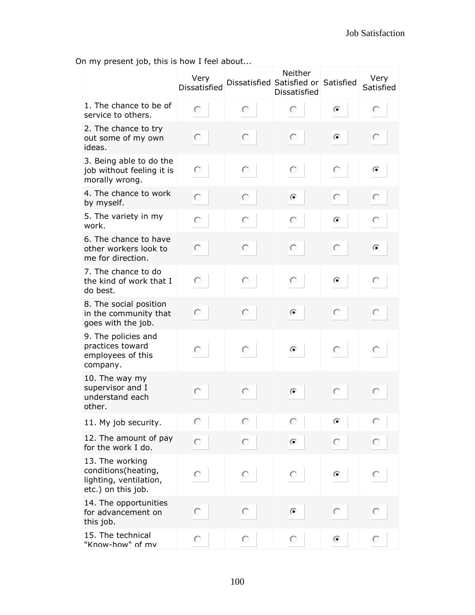On my present job, this is how I feel about...

|                                                                                        | Very<br><b>Dissatisfied</b> |   | Neither<br>Dissatisfied Satisfied or Satisfied<br>Dissatisfied |           | Very<br>Satisfied |
|----------------------------------------------------------------------------------------|-----------------------------|---|----------------------------------------------------------------|-----------|-------------------|
| 1. The chance to be of<br>service to others.                                           | О                           | Ō | О                                                              | $\bullet$ | О                 |
| 2. The chance to try<br>out some of my own<br>ideas.                                   | О                           | О | О                                                              | $\odot$   | О                 |
| 3. Being able to do the<br>job without feeling it is<br>morally wrong.                 | О                           | О | O                                                              | O         | $\odot$           |
| 4. The chance to work<br>by myself.                                                    | O                           | О | $\odot$                                                        | О         | О                 |
| 5. The variety in my<br>work.                                                          | О                           | О | О                                                              | $\bullet$ | О                 |
| 6. The chance to have<br>other workers look to<br>me for direction.                    | О                           | О | О                                                              | О         | $\odot$           |
| 7. The chance to do<br>the kind of work that I<br>do best.                             | О                           | О | О                                                              | $\odot$   | О                 |
| 8. The social position<br>in the community that<br>goes with the job.                  | О                           | О | $\odot$                                                        | O         | О                 |
| 9. The policies and<br>practices toward<br>employees of this<br>company.               | О                           | О | $\left( \bullet \right)$                                       | О         | O                 |
| 10. The way my<br>supervisor and I<br>understand each<br>other.                        | О                           | О | $\odot$                                                        | О         | О                 |
| 11. My job security.                                                                   | О                           | О | О                                                              | O         | O                 |
| 12. The amount of pay<br>for the work I do.                                            | О                           | О | $\bullet$                                                      | О         | О                 |
| 13. The working<br>conditions(heating,<br>lighting, ventilation,<br>etc.) on this job. | О                           | О | О                                                              | $\odot$   | О                 |
| 14. The opportunities<br>for advancement on<br>this job.                               | О                           | О | $\odot$                                                        | О         | О                 |
| 15. The technical<br>"Know-how" of mv                                                  | $\circ$                     | О | О                                                              | $\bullet$ | О                 |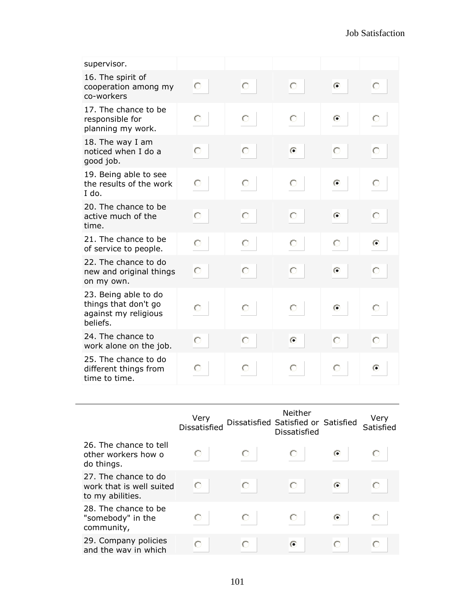| supervisor.                                                                      |   |   |           |           |           |
|----------------------------------------------------------------------------------|---|---|-----------|-----------|-----------|
| 16. The spirit of<br>cooperation among my<br>co-workers                          | О | О | О         | $\odot$   | О         |
| 17. The chance to be<br>responsible for<br>planning my work.                     | О | О | О         | $\bullet$ | О         |
| 18. The way I am<br>noticed when I do a<br>good job.                             | Ō | О | $\bullet$ | O         | О         |
| 19. Being able to see<br>the results of the work<br>$I$ do.                      | Ο | О | О         | G         | O         |
| 20. The chance to be<br>active much of the<br>time.                              | Ō | О | О         | $\bullet$ | О         |
| 21. The chance to be<br>of service to people.                                    | Ō | О | О         | О         | $\bullet$ |
| 22. The chance to do<br>new and original things<br>on my own.                    | O | O | О         | $\bullet$ | О         |
| 23. Being able to do<br>things that don't go<br>against my religious<br>beliefs. | О | О | О         | G         | О         |
| 24. The chance to<br>work alone on the job.                                      | Ō | О | $\odot$   | О         | Ō         |
| 25. The chance to do<br>different things from<br>time to time.                   | Ο | O | O         | O         | G         |

|                                                                      | Very<br>Dissatisfied |   | Neither<br>Dissatisfied Satisfied or Satisfied<br><b>Dissatisfied</b> |   | Very<br>Satisfied |
|----------------------------------------------------------------------|----------------------|---|-----------------------------------------------------------------------|---|-------------------|
| 26. The chance to tell<br>other workers how o<br>do things.          |                      |   | O                                                                     | Œ |                   |
| 27. The chance to do<br>work that is well suited<br>to my abilities. |                      |   | O                                                                     | G |                   |
| 28. The chance to be<br>"somebody" in the<br>community,              |                      | O |                                                                       | G |                   |
| 29. Company policies<br>and the way in which                         |                      |   | ⋒                                                                     |   |                   |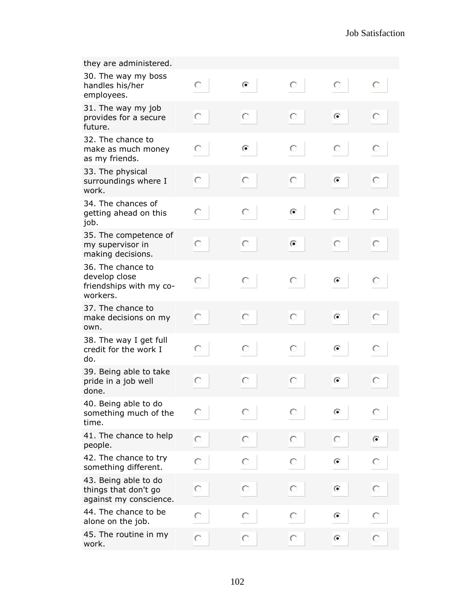| they are administered.                                                    |   |           |           |           |         |
|---------------------------------------------------------------------------|---|-----------|-----------|-----------|---------|
| 30. The way my boss<br>handles his/her<br>employees.                      | О | $\bullet$ | О         | O         | О       |
| 31. The way my job<br>provides for a secure<br>future.                    | О | О         | О         | $\odot$   | О       |
| 32. The chance to<br>make as much money<br>as my friends.                 | О | G         | О         | О         | О       |
| 33. The physical<br>surroundings where I<br>work.                         | О | О         | О         | $\odot$   | О       |
| 34. The chances of<br>getting ahead on this<br>job.                       | О | О         | $\bullet$ | О         | О       |
| 35. The competence of<br>my supervisor in<br>making decisions.            | О | О         | $\odot$   | О         | О       |
| 36. The chance to<br>develop close<br>friendships with my co-<br>workers. | O | О         | О         | $\odot$   | О       |
| 37. The chance to<br>make decisions on my<br>own.                         | О | О         | О         | $\odot$   | Ō       |
| 38. The way I get full<br>credit for the work I<br>do.                    | O | О         | О         | $\bullet$ | О       |
| 39. Being able to take<br>pride in a job well<br>done.                    | О | О         | О         | $\odot$   | О       |
| 40. Being able to do<br>something much of the<br>time.                    | О | О         | О         | O         | О       |
| 41. The chance to help<br>people.                                         | О | О         | О         | Ю         | $\odot$ |
| 42. The chance to try<br>something different.                             | О | О         | О         | $\odot$   | О       |
| 43. Being able to do<br>things that don't go<br>against my conscience.    | О | О         | О         | $\odot$   | О       |
| 44. The chance to be<br>alone on the job.                                 | О | О         | О         | $\odot$   | О       |
| 45. The routine in my<br>work.                                            | О | О         | О         | $\bullet$ | О       |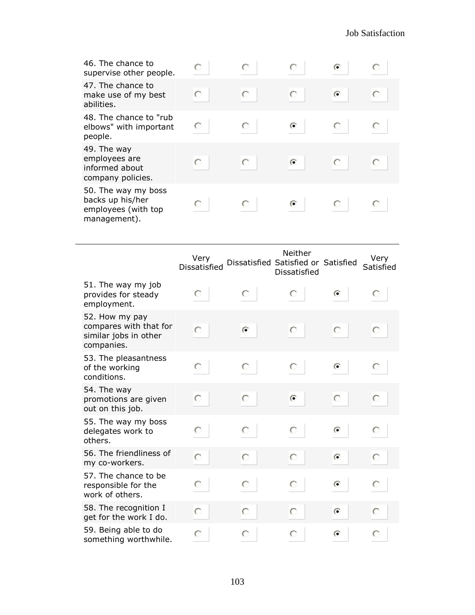| 46. The chance to<br>supervise other people.                                   |   |   |   | G         |  |
|--------------------------------------------------------------------------------|---|---|---|-----------|--|
| 47. The chance to<br>make use of my best<br>abilities.                         |   | Ō | Ō | $\bullet$ |  |
| 48. The chance to "rub"<br>elbows" with important<br>people.                   | O |   | G |           |  |
| 49. The way<br>employees are<br>informed about<br>company policies.            |   |   | G |           |  |
| 50. The way my boss<br>backs up his/her<br>employees (with top<br>management). |   |   |   |           |  |

|                                                                                 | Verv<br>Dissatisfied |         | Neither<br>Dissatisfied Satisfied or Satisfied<br>Dissatisfied |           | Very<br>Satisfied |
|---------------------------------------------------------------------------------|----------------------|---------|----------------------------------------------------------------|-----------|-------------------|
| 51. The way my job<br>provides for steady<br>employment.                        | О                    | О       | О                                                              | $\odot$   | O                 |
| 52. How my pay<br>compares with that for<br>similar jobs in other<br>companies. | Ō                    | $\odot$ | О                                                              | О         | О                 |
| 53. The pleasantness<br>of the working<br>conditions.                           | О                    | О       | О                                                              | $\bullet$ | О                 |
| 54. The way<br>promotions are given<br>out on this job.                         | Ō                    | О       | $\odot$                                                        | О         | О                 |
| 55. The way my boss<br>delegates work to<br>others.                             | О                    | О       | О                                                              | $\bullet$ | O                 |
| 56. The friendliness of<br>my co-workers.                                       | Ō                    | О       | О                                                              | $\odot$   | О                 |
| 57. The chance to be<br>responsible for the<br>work of others.                  | О                    | О       | О                                                              | $\odot$   | О                 |
| 58. The recognition I<br>get for the work I do.                                 | О                    | О       | О                                                              | $\bullet$ | О                 |
| 59. Being able to do<br>something worthwhile.                                   | O                    | О       | О                                                              | $\circ$   | O                 |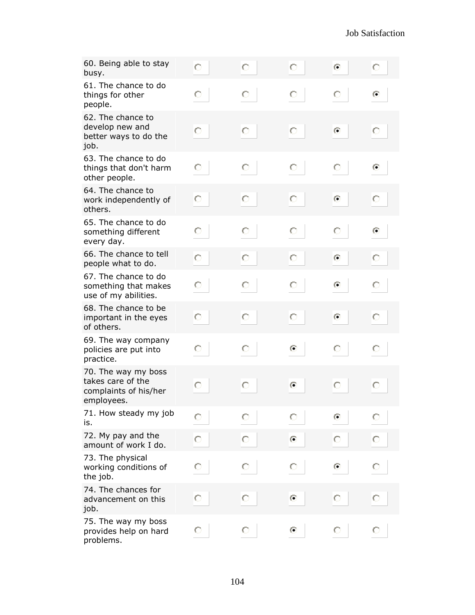| 60. Being able to stay<br>busy.                                                 | O | О       | О         | $\odot$        | О              |
|---------------------------------------------------------------------------------|---|---------|-----------|----------------|----------------|
| 61. The chance to do<br>things for other<br>people.                             | О | О       | О         | О              | $\blacksquare$ |
| 62. The chance to<br>develop new and<br>better ways to do the<br>job.           | О | $\circ$ | О         | $\odot$        | О              |
| 63. The chance to do<br>things that don't harm<br>other people.                 | О | O       | O         | О              | $\odot$        |
| 64. The chance to<br>work independently of<br>others.                           | О | О       | О         | $\bullet$      | О              |
| 65. The chance to do<br>something different<br>every day.                       | О | О       | О         | О              | $\odot$        |
| 66. The chance to tell<br>people what to do.                                    | O | О       | O         | $\bullet$      | O              |
| 67. The chance to do<br>something that makes<br>use of my abilities.            | О | О       | О         | $\bullet$      | О              |
| 68. The chance to be<br>important in the eyes<br>of others.                     | О | $\circ$ | О         | $\odot$        | О              |
| 69. The way company<br>policies are put into<br>practice.                       | О | О       | $\bullet$ | О              | О              |
| 70. The way my boss<br>takes care of the<br>complaints of his/her<br>employees. | О | О       | $\odot$   | O              | О              |
| 71. How steady my job<br>is.                                                    | O | O       | O         | $\bullet$      | О              |
| 72. My pay and the<br>amount of work I do.                                      | О | O       | $\odot$   | O              | O              |
| 73. The physical<br>working conditions of<br>the job.                           | О | O       | O         | $\blacksquare$ | О              |
| 74. The chances for<br>advancement on this<br>job.                              | О | О       | $\odot$   | О              | О              |
| 75. The way my boss<br>provides help on hard<br>problems.                       | О | O       | $\bullet$ | О              | О              |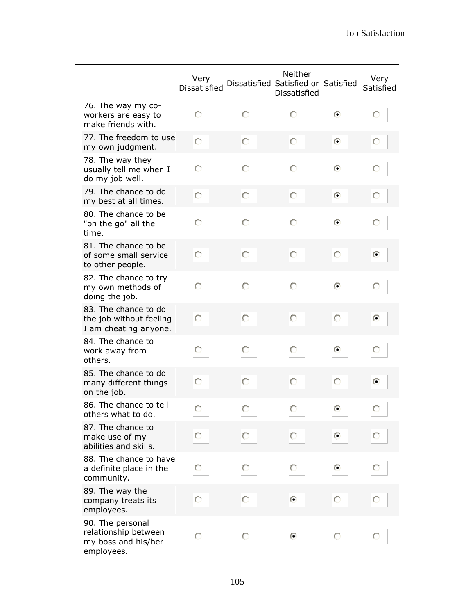|                                                                               | Very<br>Dissatisfied |   | Neither<br>Dissatisfied Satisfied or Satisfied<br><b>Dissatisfied</b> |           | Very<br>Satisfied |
|-------------------------------------------------------------------------------|----------------------|---|-----------------------------------------------------------------------|-----------|-------------------|
| 76. The way my co-<br>workers are easy to<br>make friends with.               | О                    | О | О                                                                     | $\odot$   | О                 |
| 77. The freedom to use<br>my own judgment.                                    | O                    | О | О                                                                     | $\odot$   | O                 |
| 78. The way they<br>usually tell me when I<br>do my job well.                 | О                    | О | О                                                                     | $\bullet$ | О                 |
| 79. The chance to do<br>my best at all times.                                 | О                    | О | О                                                                     | $\odot$   | О                 |
| 80. The chance to be<br>"on the go" all the<br>time.                          | О                    | О | О                                                                     | O         | О                 |
| 81. The chance to be<br>of some small service<br>to other people.             | О                    | О | О                                                                     | О         | $\odot$           |
| 82. The chance to try<br>my own methods of<br>doing the job.                  | О                    | О | О                                                                     | G         | O                 |
| 83. The chance to do<br>the job without feeling<br>I am cheating anyone.      | О                    | О | О                                                                     | О         | $\odot$           |
| 84. The chance to<br>work away from<br>others.                                | О                    | О | О                                                                     | $\bullet$ | О                 |
| 85. The chance to do<br>many different things<br>on the job.                  | О                    | О | О                                                                     | О         | $\odot$           |
| 86. The chance to tell<br>others what to do.                                  | О                    | О | О                                                                     | $\odot$   | О                 |
| 87. The chance to<br>make use of my<br>abilities and skills.                  | Ō                    | О | О                                                                     | $\odot$   | О                 |
| 88. The chance to have<br>a definite place in the<br>community.               | О                    | О | O                                                                     | $\odot$   |                   |
| 89. The way the<br>company treats its<br>employees.                           | О                    | О | $\odot$                                                               | O         | О                 |
| 90. The personal<br>relationship between<br>my boss and his/her<br>employees. | O                    | O | ⊙                                                                     | O         |                   |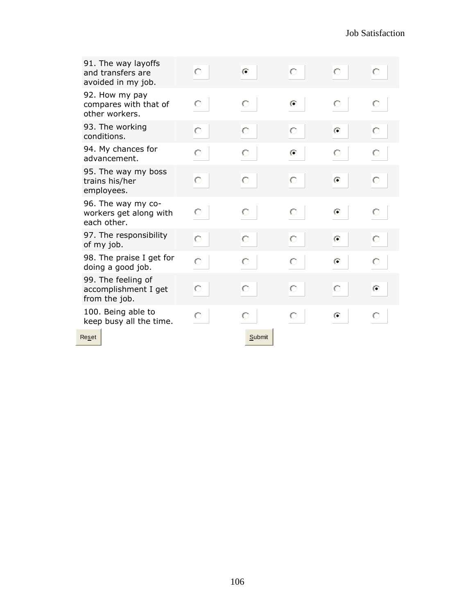| 91. The way layoffs<br>and transfers are<br>avoided in my job. | O | $\odot$ | О         | О          | Ω                        |
|----------------------------------------------------------------|---|---------|-----------|------------|--------------------------|
| 92. How my pay<br>compares with that of<br>other workers.      | О | О       | G         | О          | О                        |
| 93. The working<br>conditions.                                 | О | О       | О         | $\odot$    | O                        |
| 94. My chances for<br>advancement.                             | O | O       | $\bullet$ | O          | O                        |
| 95. The way my boss<br>trains his/her<br>employees.            | Ō | О       | О         | $\bullet$  | О                        |
| 96. The way my co-<br>workers get along with<br>each other.    | О | О       | О         | $\epsilon$ | О                        |
| 97. The responsibility<br>of my job.                           | О | О       | Ō         | $\odot$    | O                        |
| 98. The praise I get for<br>doing a good job.                  | О | О       | О         | $\bullet$  | О                        |
| 99. The feeling of<br>accomplishment I get<br>from the job.    | О | О       | Ō         | $\circ$    | $\left( \bullet \right)$ |
| 100. Being able to<br>keep busy all the time.                  | О | О       | Ō         | $\bullet$  | О                        |
| Reset                                                          |   | Submit  |           |            |                          |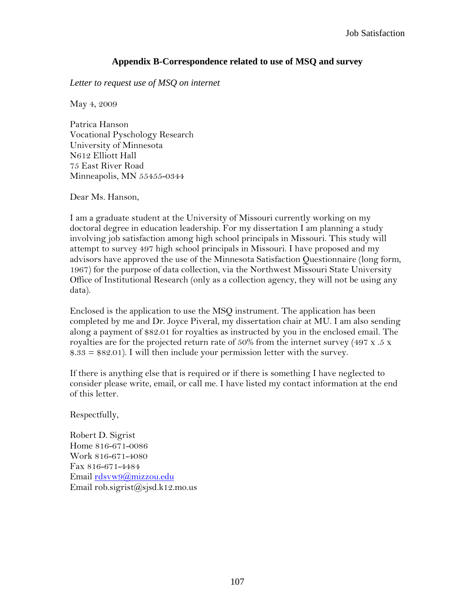## **Appendix B-Correspondence related to use of MSQ and survey**

*Letter to request use of MSQ on internet*

May 4, 2009

Patrica Hanson Vocational Pyschology Research University of Minnesota N612 Elliott Hall 75 East River Road Minneapolis, MN 55455-0344

Dear Ms. Hanson,

I am a graduate student at the University of Missouri currently working on my doctoral degree in education leadership. For my dissertation I am planning a study involving job satisfaction among high school principals in Missouri. This study will attempt to survey 497 high school principals in Missouri. I have proposed and my advisors have approved the use of the Minnesota Satisfaction Questionnaire (long form, 1967) for the purpose of data collection, via the Northwest Missouri State University Office of Institutional Research (only as a collection agency, they will not be using any data).

Enclosed is the application to use the MSQ instrument. The application has been completed by me and Dr. Joyce Piveral, my dissertation chair at MU. I am also sending along a payment of \$82.01 for royalties as instructed by you in the enclosed email. The royalties are for the projected return rate of  $50\%$  from the internet survey (497 x .5 x  $$.33 = $82.01$ ). I will then include your permission letter with the survey.

If there is anything else that is required or if there is something I have neglected to consider please write, email, or call me. I have listed my contact information at the end of this letter.

Respectfully,

Robert D. Sigrist Home 816-671-0086 Work 816-671-4080 Fax 816-671-4484 Email [rdsvw9@mizzou.edu](mailto:rdsvw9@mizzou.edu) Email rob.sigrist@sjsd.k12.mo.us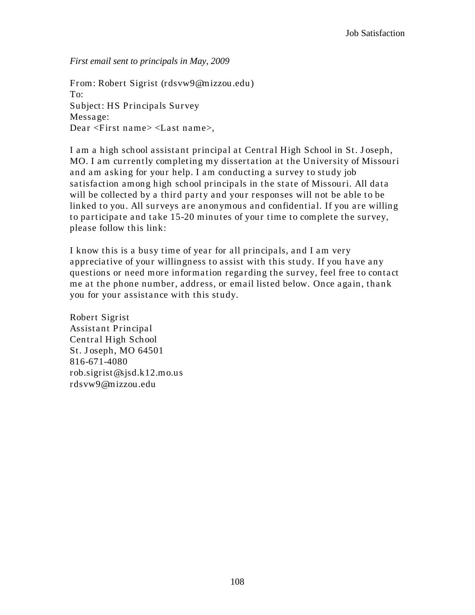*First email sent to principals in May, 2009*

From: Robert Sigrist (rdsvw9@mizzou.edu) To: Subject: HS Principals Survey Message: Dear <First name> <Last name>,

I am a high school assistant principal at Central High School in St. J oseph, MO. I am currently completing my dissertation at the University of Missouri and am asking for your help. I am conducting a survey to study job satisfaction among high school principals in the state of Missouri. All data will be collected by a third party and your responses will not be able to be linked to you. All surveys are anonymous and confidential. If you are willing to participate and take 15-20 minutes of your time to complete the survey, please follow this link:

I know this is a busy time of year for all principals, and I am very appreciative of your willingness to assist with this study. If you have any questions or need more information regarding the survey, feel free to contact me at the phone number, address, or email listed below. Once again, thank you for your assistance with this study.

Robert Sigrist Assistant Principal Central High School St. J oseph, MO 64501 816-671-4080 rob.sigrist@sjsd.k12.mo.us rdsvw9@mizzou.edu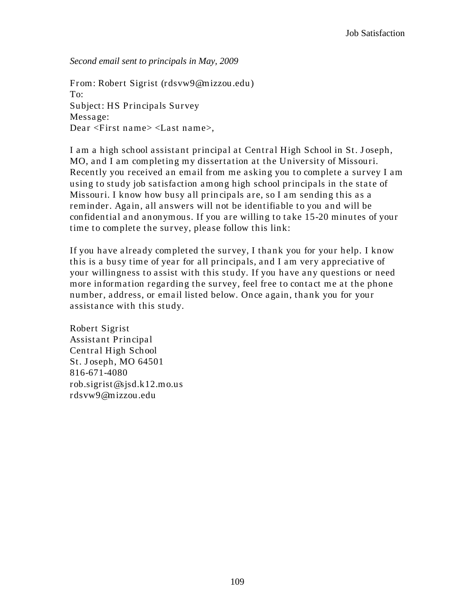*Second email sent to principals in May, 2009*

From: Robert Sigrist (rdsvw9@mizzou.edu) To: Subject: HS Principals Survey Message: Dear <First name> <Last name>,

I am a high school assistant principal at Central High School in St. J oseph, MO, and I am completing my dissertation at the University of Missouri. Recently you received an email from me asking you to complete a survey I am using to study job satisfaction among high school principals in the state of Missouri. I know how busy all prin cipals are, so I am sending this as a reminder. Again, all answers will not be identifiable to you and will be confidential and anonymous. If you are willing to take 15-20 minutes of your time to complete the survey, please follow this link:

If you have a lready completed the survey, I thank you for your help. I know this is a busy time of year for all principals, and I am very appreciative of your willingness to assist with this study. If you have any questions or need more information regarding the survey, feel free to contact me at the phone number, address, or email listed below. Once again, thank you for your assistance with this study.

Robert Sigrist Assistant Principal Central High School St. J oseph, MO 64501 816-671-4080 rob.sigrist@sjsd.k12.mo.us rdsvw9@mizzou.edu